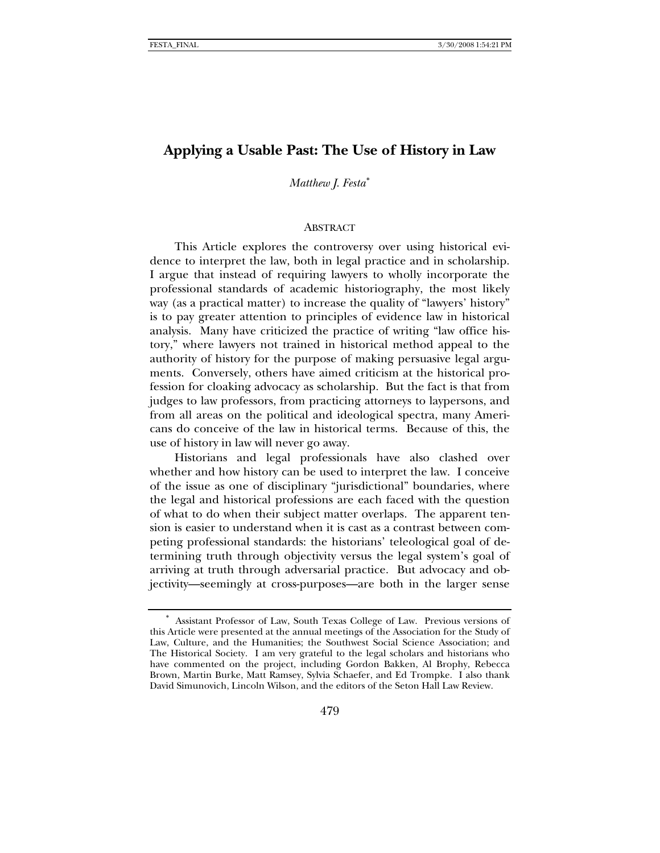# **Applying a Usable Past: The Use of History in Law**

## *Matthew J. Festa*[∗](#page-0-0)

### ABSTRACT

This Article explores the controversy over using historical evidence to interpret the law, both in legal practice and in scholarship. I argue that instead of requiring lawyers to wholly incorporate the professional standards of academic historiography, the most likely way (as a practical matter) to increase the quality of "lawyers' history" is to pay greater attention to principles of evidence law in historical analysis. Many have criticized the practice of writing "law office history," where lawyers not trained in historical method appeal to the authority of history for the purpose of making persuasive legal arguments. Conversely, others have aimed criticism at the historical profession for cloaking advocacy as scholarship. But the fact is that from judges to law professors, from practicing attorneys to laypersons, and from all areas on the political and ideological spectra, many Americans do conceive of the law in historical terms. Because of this, the use of history in law will never go away.

Historians and legal professionals have also clashed over whether and how history can be used to interpret the law. I conceive of the issue as one of disciplinary "jurisdictional" boundaries, where the legal and historical professions are each faced with the question of what to do when their subject matter overlaps. The apparent tension is easier to understand when it is cast as a contrast between competing professional standards: the historians' teleological goal of determining truth through objectivity versus the legal system's goal of arriving at truth through adversarial practice. But advocacy and objectivity—seemingly at cross-purposes—are both in the larger sense

<span id="page-0-0"></span><sup>∗</sup> Assistant Professor of Law, South Texas College of Law. Previous versions of this Article were presented at the annual meetings of the Association for the Study of Law, Culture, and the Humanities; the Southwest Social Science Association; and The Historical Society. I am very grateful to the legal scholars and historians who have commented on the project, including Gordon Bakken, Al Brophy, Rebecca Brown, Martin Burke, Matt Ramsey, Sylvia Schaefer, and Ed Trompke. I also thank David Simunovich, Lincoln Wilson, and the editors of the Seton Hall Law Review.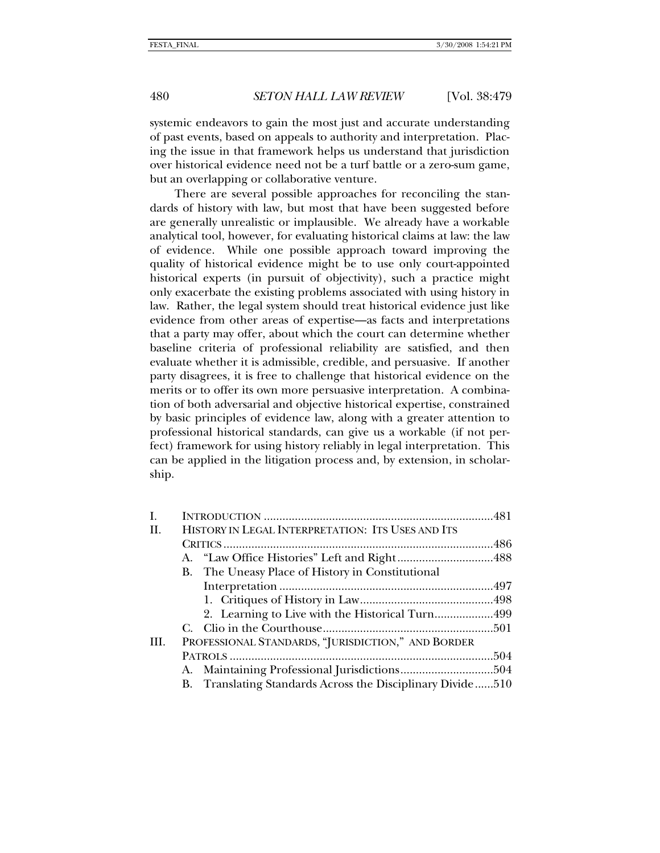systemic endeavors to gain the most just and accurate understanding of past events, based on appeals to authority and interpretation. Placing the issue in that framework helps us understand that jurisdiction over historical evidence need not be a turf battle or a zero-sum game, but an overlapping or collaborative venture.

There are several possible approaches for reconciling the standards of history with law, but most that have been suggested before are generally unrealistic or implausible. We already have a workable analytical tool, however, for evaluating historical claims at law: the law of evidence. While one possible approach toward improving the quality of historical evidence might be to use only court-appointed historical experts (in pursuit of objectivity), such a practice might only exacerbate the existing problems associated with using history in law. Rather, the legal system should treat historical evidence just like evidence from other areas of expertise—as facts and interpretations that a party may offer, about which the court can determine whether baseline criteria of professional reliability are satisfied, and then evaluate whether it is admissible, credible, and persuasive. If another party disagrees, it is free to challenge that historical evidence on the merits or to offer its own more persuasive interpretation. A combination of both adversarial and objective historical expertise, constrained by basic principles of evidence law, along with a greater attention to professional historical standards, can give us a workable (if not perfect) framework for using history reliably in legal interpretation. This can be applied in the litigation process and, by extension, in scholarship.

| I.   |  |                                                            |  |
|------|--|------------------------------------------------------------|--|
| H.   |  | HISTORY IN LEGAL INTERPRETATION: ITS USES AND ITS          |  |
|      |  |                                                            |  |
|      |  |                                                            |  |
|      |  | B. The Uneasy Place of History in Constitutional           |  |
|      |  |                                                            |  |
|      |  |                                                            |  |
|      |  | 2. Learning to Live with the Historical Turn499            |  |
|      |  |                                                            |  |
| III. |  | PROFESSIONAL STANDARDS, "JURISDICTION," AND BORDER         |  |
|      |  |                                                            |  |
|      |  |                                                            |  |
|      |  | B. Translating Standards Across the Disciplinary Divide510 |  |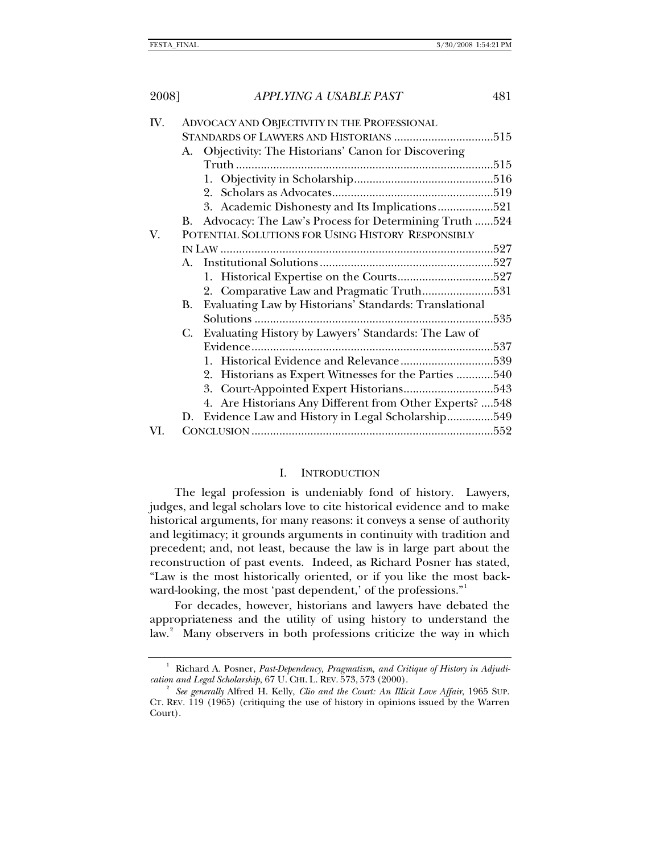<span id="page-2-0"></span>

| 2008] | APPLYING A USABLE PAST                                       | 481  |
|-------|--------------------------------------------------------------|------|
| IV.   | ADVOCACY AND OBJECTIVITY IN THE PROFESSIONAL                 |      |
|       |                                                              |      |
|       | Objectivity: The Historians' Canon for Discovering<br>А.     |      |
|       |                                                              |      |
|       |                                                              |      |
|       |                                                              |      |
|       | 3. Academic Dishonesty and Its Implications521               |      |
|       | Advocacy: The Law's Process for Determining Truth 524<br>В.  |      |
| V.    | POTENTIAL SOLUTIONS FOR USING HISTORY RESPONSIBLY            |      |
|       |                                                              |      |
|       | $A_{\cdot}$                                                  |      |
|       |                                                              |      |
|       |                                                              |      |
|       | Evaluating Law by Historians' Standards: Translational<br>В. |      |
|       |                                                              | .535 |
|       | Evaluating History by Lawyers' Standards: The Law of<br>C.   |      |
|       |                                                              |      |
|       |                                                              |      |
|       | 2. Historians as Expert Witnesses for the Parties  540       |      |
|       |                                                              |      |
|       | 4. Are Historians Any Different from Other Experts?  548     |      |
|       | Evidence Law and History in Legal Scholarship549<br>D.       |      |
| VI.   |                                                              |      |

## I. INTRODUCTION

The legal profession is undeniably fond of history. Lawyers, judges, and legal scholars love to cite historical evidence and to make historical arguments, for many reasons: it conveys a sense of authority and legitimacy; it grounds arguments in continuity with tradition and precedent; and, not least, because the law is in large part about the reconstruction of past events. Indeed, as Richard Posner has stated, "Law is the most historically oriented, or if you like the most back-ward-looking, the most 'past dependent,' of the professions."<sup>[1](#page-2-1)</sup>

For decades, however, historians and lawyers have debated the appropriateness and the utility of using history to understand the law.<sup>[2](#page-2-2)</sup> Many observers in both professions criticize the way in which

<span id="page-2-1"></span><sup>1</sup> Richard A. Posner, *Past-Dependency, Pragmatism, and Critique of History in Adjudication and Legal Scholarship*, 67 U. CHI. L. REV. 573, <sup>573</sup> (2000). 2

<span id="page-2-2"></span>*See generally* Alfred H. Kelly, *Clio and the Court: An Illicit Love Affair*, 1965 SUP. CT. REV. 119 (1965) (critiquing the use of history in opinions issued by the Warren Court).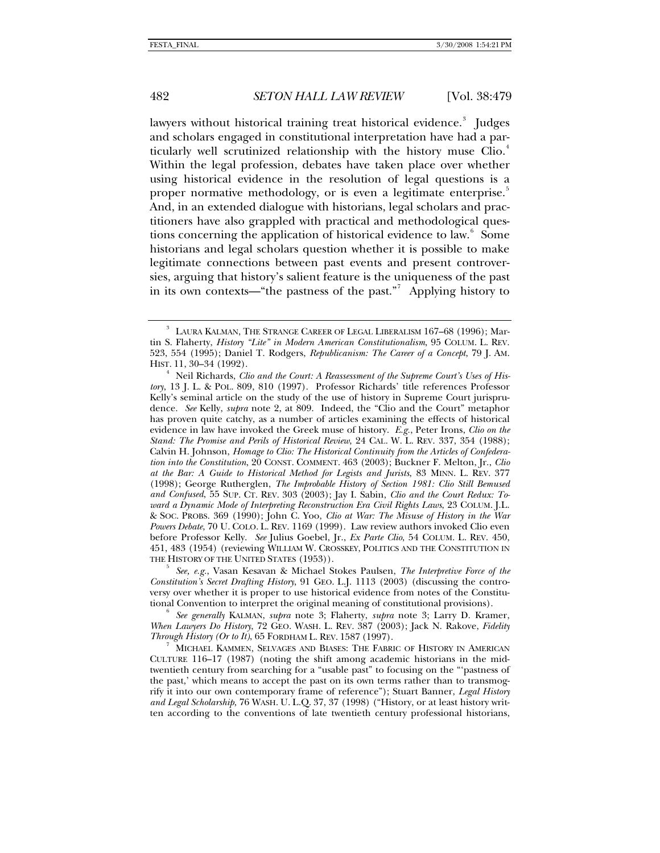lawyers without historical training treat historical evidence.<sup>[3](#page-3-0)</sup> Judges and scholars engaged in constitutional interpretation have had a par-ticularly well scrutinized relationship with the history muse Clio.<sup>[4](#page-3-1)</sup> Within the legal profession, debates have taken place over whether using historical evidence in the resolution of legal questions is a proper normative methodology, or is even a legitimate enterprise.<sup>3</sup> And, in an extended dialogue with historians, legal scholars and practitioners have also grappled with practical and methodological ques-tions concerning the application of historical evidence to law.<sup>[6](#page-3-3)</sup> Some historians and legal scholars question whether it is possible to make legitimate connections between past events and present controversies, arguing that history's salient feature is the uniqueness of the past in its own contexts—"the pastness of the past."<sup>[7](#page-3-4)</sup> Applying history to

<span id="page-3-2"></span> *See, e.g.*, Vasan Kesavan & Michael Stokes Paulsen, *The Interpretive Force of the Constitution's Secret Drafting History*, 91 GEO. L.J. 1113 (2003) (discussing the controversy over whether it is proper to use historical evidence from notes of the Constitutional Convention to interpret the original meaning of constitutional provisions). 6

<span id="page-3-3"></span> *See generally* KALMAN, *supra* note 3; Flaherty, *supra* note 3; Larry D. Kramer, *When Lawyers Do History*, 72 GEO. WASH. L. REV. 387 (2003); Jack N. Rakove, *Fidelity Through History (Or to It)*, 65 FORDHAM L. REV. <sup>1587</sup> (1997). 7

<span id="page-3-4"></span> MICHAEL KAMMEN, SELVAGES AND BIASES: THE FABRIC OF HISTORY IN AMERICAN CULTURE 116–17 (1987) (noting the shift among academic historians in the midtwentieth century from searching for a "usable past" to focusing on the "'pastness of the past,' which means to accept the past on its own terms rather than to transmogrify it into our own contemporary frame of reference"); Stuart Banner, *Legal History and Legal Scholarship*, 76 WASH. U. L.Q. 37, 37 (1998) ("History, or at least history written according to the conventions of late twentieth century professional historians,

<span id="page-3-0"></span><sup>3</sup> LAURA KALMAN, THE STRANGE CAREER OF LEGAL LIBERALISM 167–68 (1996); Martin S. Flaherty, *History "Lite" in Modern American Constitutionalism*, 95 COLUM. L. REV. 523, 554 (1995); Daniel T. Rodgers, *Republicanism: The Career of a Concept*, 79 J. AM. HIST. 11, 30–34 (1992). 4

<span id="page-3-1"></span>Neil Richards, *Clio and the Court: A Reassessment of the Supreme Court's Uses of History*, 13 J. L. & POL. 809, 810 (1997). Professor Richards' title references Professor Kelly's seminal article on the study of the use of history in Supreme Court jurisprudence. *See* Kelly, *supra* note 2, at 809. Indeed, the "Clio and the Court" metaphor has proven quite catchy, as a number of articles examining the effects of historical evidence in law have invoked the Greek muse of history. *E.g.*, Peter Irons, *Clio on the Stand: The Promise and Perils of Historical Review*, 24 CAL. W. L. REV. 337, 354 (1988); Calvin H. Johnson, *Homage to Clio: The Historical Continuity from the Articles of Confederation into the Constitution*, 20 CONST. COMMENT. 463 (2003); Buckner F. Melton, Jr., *Clio at the Bar: A Guide to Historical Method for Legists and Jurists*, 83 MINN. L. REV. 377 (1998); George Rutherglen, *The Improbable History of Section 1981: Clio Still Bemused and Confused*, 55 SUP. CT. REV. 303 (2003); Jay I. Sabin, *Clio and the Court Redux: Toward a Dynamic Mode of Interpreting Reconstruction Era Civil Rights Laws*, 23 COLUM. J.L. & SOC. PROBS. 369 (1990); John C. Yoo, *Clio at War: The Misuse of History in the War Powers Debate*, 70 U. COLO. L. REV. 1169 (1999). Law review authors invoked Clio even before Professor Kelly. *See* Julius Goebel, Jr., *Ex Parte Clio*, 54 COLUM. L. REV. 450, 451, 483 (1954) (reviewing WILLIAM W. CROSSKEY, POLITICS AND THE CONSTITUTION IN THE HISTORY OF THE UNITED STATES (1953)).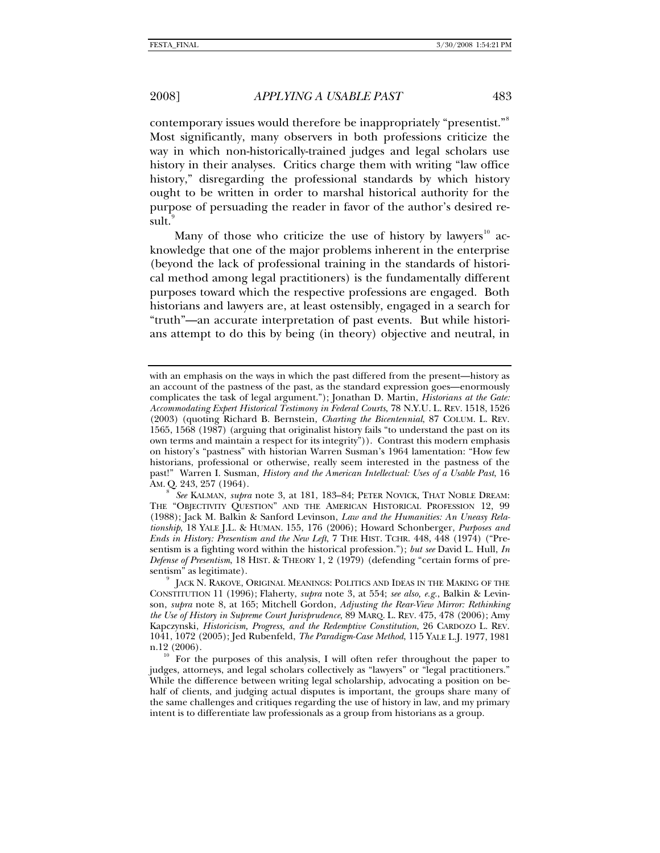contemporary issues would therefore be inappropriately "presentist."[8](#page-4-0) Most significantly, many observers in both professions criticize the way in which non-historically-trained judges and legal scholars use history in their analyses. Critics charge them with writing "law office history," disregarding the professional standards by which history ought to be written in order to marshal historical authority for the purpose of persuading the reader in favor of the author's desired result.

Many of those who criticize the use of history by lawyers $^{10}$  $^{10}$  $^{10}$  acknowledge that one of the major problems inherent in the enterprise (beyond the lack of professional training in the standards of historical method among legal practitioners) is the fundamentally different purposes toward which the respective professions are engaged. Both historians and lawyers are, at least ostensibly, engaged in a search for "truth"—an accurate interpretation of past events. But while historians attempt to do this by being (in theory) objective and neutral, in

<span id="page-4-0"></span>8  *See* KALMAN, *supra* note 3, at 181, 183–84; PETER NOVICK, THAT NOBLE DREAM: THE "OBJECTIVITY QUESTION" AND THE AMERICAN HISTORICAL PROFESSION 12, 99 (1988); Jack M. Balkin & Sanford Levinson, *Law and the Humanities: An Uneasy Relationship*, 18 YALE J.L. & HUMAN. 155, 176 (2006); Howard Schonberger, *Purposes and Ends in History: Presentism and the New Left*, 7 THE HIST. TCHR. 448, 448 (1974) ("Presentism is a fighting word within the historical profession."); *but see* David L. Hull, *In Defense of Presentism*, 18 HIST. & THEORY 1, 2 (1979) (defending "certain forms of presentism" as legitimate).

with an emphasis on the ways in which the past differed from the present—history as an account of the pastness of the past, as the standard expression goes—enormously complicates the task of legal argument."); Jonathan D. Martin, *Historians at the Gate: Accommodating Expert Historical Testimony in Federal Courts*, 78 N.Y.U. L. REV. 1518, 1526 (2003) (quoting Richard B. Bernstein, *Charting the Bicentennial*, 87 COLUM. L. REV. 1565, 1568 (1987) (arguing that originalist history fails "to understand the past on its own terms and maintain a respect for its integrity")). Contrast this modern emphasis on history's "pastness" with historian Warren Susman's 1964 lamentation: "How few historians, professional or otherwise, really seem interested in the pastness of the past!" Warren I. Susman, *History and the American Intellectual: Uses of a Usable Past*, 16 AM. Q. 243, 257 (1964).

<span id="page-4-1"></span>JACK N. RAKOVE, ORIGINAL MEANINGS: POLITICS AND IDEAS IN THE MAKING OF THE CONSTITUTION 11 (1996); Flaherty, *supra* note 3, at 554; *see also, e.g.*, Balkin & Levinson, *supra* note 8, at 165; Mitchell Gordon, *Adjusting the Rear-View Mirror: Rethinking the Use of History in Supreme Court Jurisprudence*, 89 MARQ. L. REV. 475, 478 (2006); Amy Kapczynski, *Historicism, Progress, and the Redemptive Constitution*, 26 CARDOZO L. REV. 1041, 1072 (2005); Jed Rubenfeld, *The Paradigm-Case Method*, 115 YALE L.J. 1977, 1981 n.12 (2006).<br><sup>10</sup> For the purposes of this analysis, I will often refer throughout the paper to

<span id="page-4-2"></span>judges, attorneys, and legal scholars collectively as "lawyers" or "legal practitioners." While the difference between writing legal scholarship, advocating a position on behalf of clients, and judging actual disputes is important, the groups share many of the same challenges and critiques regarding the use of history in law, and my primary intent is to differentiate law professionals as a group from historians as a group.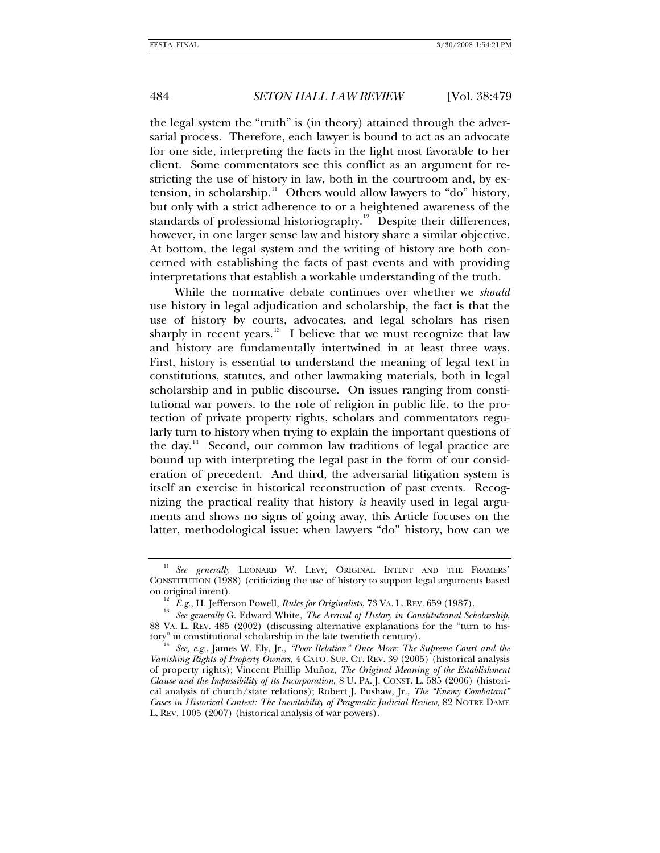the legal system the "truth" is (in theory) attained through the adversarial process. Therefore, each lawyer is bound to act as an advocate for one side, interpreting the facts in the light most favorable to her client. Some commentators see this conflict as an argument for restricting the use of history in law, both in the courtroom and, by ex-tension, in scholarship.<sup>[11](#page-5-0)</sup> Others would allow lawyers to "do" history, but only with a strict adherence to or a heightened awareness of the standards of professional historiography.<sup>[12](#page-5-1)</sup> Despite their differences, however, in one larger sense law and history share a similar objective. At bottom, the legal system and the writing of history are both concerned with establishing the facts of past events and with providing interpretations that establish a workable understanding of the truth.

While the normative debate continues over whether we *should* use history in legal adjudication and scholarship, the fact is that the use of history by courts, advocates, and legal scholars has risen sharply in recent years. $13$  I believe that we must recognize that law and history are fundamentally intertwined in at least three ways. First, history is essential to understand the meaning of legal text in constitutions, statutes, and other lawmaking materials, both in legal scholarship and in public discourse. On issues ranging from constitutional war powers, to the role of religion in public life, to the protection of private property rights, scholars and commentators regularly turn to history when trying to explain the important questions of the day. $14$  Second, our common law traditions of legal practice are bound up with interpreting the legal past in the form of our consideration of precedent. And third, the adversarial litigation system is itself an exercise in historical reconstruction of past events. Recognizing the practical reality that history *is* heavily used in legal arguments and shows no signs of going away, this Article focuses on the latter, methodological issue: when lawyers "do" history, how can we

<span id="page-5-0"></span><sup>&</sup>lt;sup>11</sup> See generally LEONARD W. LEVY, ORIGINAL INTENT AND THE FRAMERS' CONSTITUTION (1988) (criticizing the use of history to support legal arguments based

<span id="page-5-2"></span><span id="page-5-1"></span><sup>&</sup>lt;sup>12</sup> *E.g.*, H. Jefferson Powell, *Rules for Originalists*, 73 VA. L. REV. 659 (1987).<br><sup>13</sup> *See generally* G. Edward White, *The Arrival of History in Constitutional Scholarship*, 88 VA. L. REV. 485 (2002) (discussing alternative explanations for the "turn to his-<br>tory" in constitutional scholarship in the late twentieth century).

<span id="page-5-3"></span><sup>&</sup>lt;sup>14</sup> See, e.g., James W. Ely, Jr., *"Poor Relation" Once More: The Supreme Court and the Vanishing Rights of Property Owners*, 4 CATO. SUP. CT. REV. 39 (2005) (historical analysis of property rights); Vincent Phillip Muñoz, *The Original Meaning of the Establishment Clause and the Impossibility of its Incorporation*, 8 U. PA. J. CONST. L. 585 (2006) (historical analysis of church/state relations); Robert J. Pushaw, Jr., *The "Enemy Combatant" Cases in Historical Context: The Inevitability of Pragmatic Judicial Review*, 82 NOTRE DAME L. REV. 1005 (2007) (historical analysis of war powers).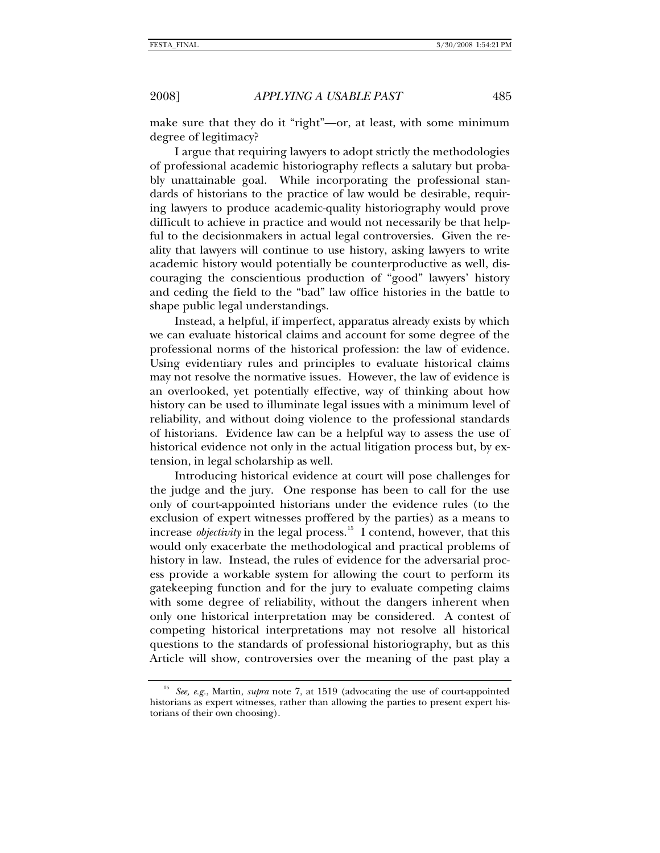make sure that they do it "right"—or, at least, with some minimum degree of legitimacy?

I argue that requiring lawyers to adopt strictly the methodologies of professional academic historiography reflects a salutary but probably unattainable goal. While incorporating the professional standards of historians to the practice of law would be desirable, requiring lawyers to produce academic-quality historiography would prove difficult to achieve in practice and would not necessarily be that helpful to the decisionmakers in actual legal controversies. Given the reality that lawyers will continue to use history, asking lawyers to write academic history would potentially be counterproductive as well, discouraging the conscientious production of "good" lawyers' history and ceding the field to the "bad" law office histories in the battle to shape public legal understandings.

Instead, a helpful, if imperfect, apparatus already exists by which we can evaluate historical claims and account for some degree of the professional norms of the historical profession: the law of evidence. Using evidentiary rules and principles to evaluate historical claims may not resolve the normative issues. However, the law of evidence is an overlooked, yet potentially effective, way of thinking about how history can be used to illuminate legal issues with a minimum level of reliability, and without doing violence to the professional standards of historians. Evidence law can be a helpful way to assess the use of historical evidence not only in the actual litigation process but, by extension, in legal scholarship as well.

Introducing historical evidence at court will pose challenges for the judge and the jury. One response has been to call for the use only of court-appointed historians under the evidence rules (to the exclusion of expert witnesses proffered by the parties) as a means to increase *objectivity* in the legal process.<sup>[15](#page-6-0)</sup> I contend, however, that this would only exacerbate the methodological and practical problems of history in law. Instead, the rules of evidence for the adversarial process provide a workable system for allowing the court to perform its gatekeeping function and for the jury to evaluate competing claims with some degree of reliability, without the dangers inherent when only one historical interpretation may be considered. A contest of competing historical interpretations may not resolve all historical questions to the standards of professional historiography, but as this Article will show, controversies over the meaning of the past play a

<span id="page-6-0"></span><sup>15</sup> *See, e.g.*, Martin, *supra* note 7, at 1519 (advocating the use of court-appointed historians as expert witnesses, rather than allowing the parties to present expert historians of their own choosing).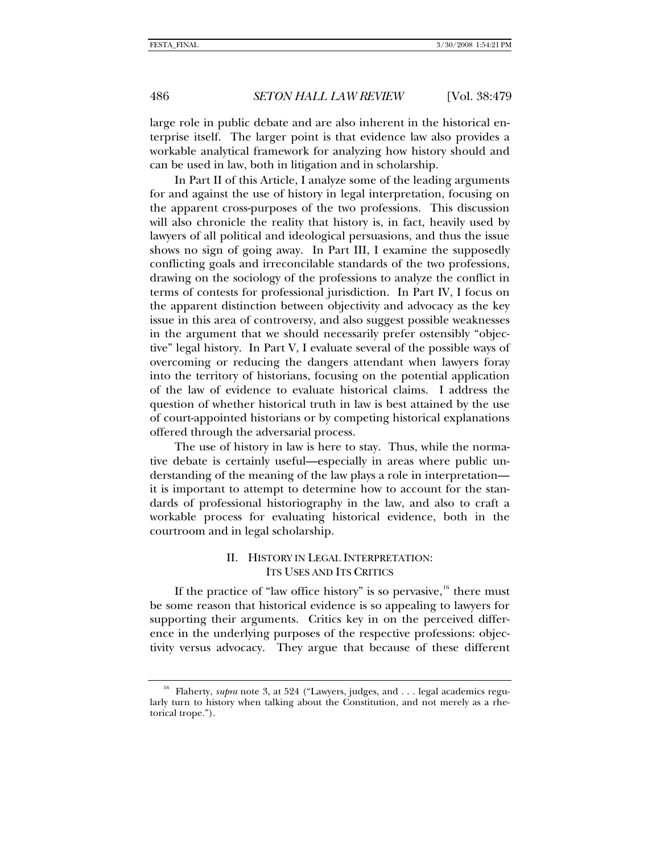large role in public debate and are also inherent in the historical enterprise itself. The larger point is that evidence law also provides a workable analytical framework for analyzing how history should and can be used in law, both in litigation and in scholarship.

In Part II of this Article, I analyze some of the leading arguments for and against the use of history in legal interpretation, focusing on the apparent cross-purposes of the two professions. This discussion will also chronicle the reality that history is, in fact, heavily used by lawyers of all political and ideological persuasions, and thus the issue shows no sign of going away. In Part III, I examine the supposedly conflicting goals and irreconcilable standards of the two professions, drawing on the sociology of the professions to analyze the conflict in terms of contests for professional jurisdiction. In Part IV, I focus on the apparent distinction between objectivity and advocacy as the key issue in this area of controversy, and also suggest possible weaknesses in the argument that we should necessarily prefer ostensibly "objective" legal history. In Part V, I evaluate several of the possible ways of overcoming or reducing the dangers attendant when lawyers foray into the territory of historians, focusing on the potential application of the law of evidence to evaluate historical claims. I address the question of whether historical truth in law is best attained by the use of court-appointed historians or by competing historical explanations offered through the adversarial process.

The use of history in law is here to stay. Thus, while the normative debate is certainly useful—especially in areas where public understanding of the meaning of the law plays a role in interpretation it is important to attempt to determine how to account for the standards of professional historiography in the law, and also to craft a workable process for evaluating historical evidence, both in the courtroom and in legal scholarship.

# II. HISTORY IN LEGAL INTERPRETATION: ITS USES AND ITS CRITICS

If the practice of "law office history" is so pervasive,  $16$  there must be some reason that historical evidence is so appealing to lawyers for supporting their arguments. Critics key in on the perceived difference in the underlying purposes of the respective professions: objectivity versus advocacy. They argue that because of these different

<span id="page-7-0"></span>

<span id="page-7-1"></span><sup>&</sup>lt;sup>16</sup> Flaherty, *supra* note 3, at 524 ("Lawyers, judges, and . . . legal academics regularly turn to history when talking about the Constitution, and not merely as a rhetorical trope.").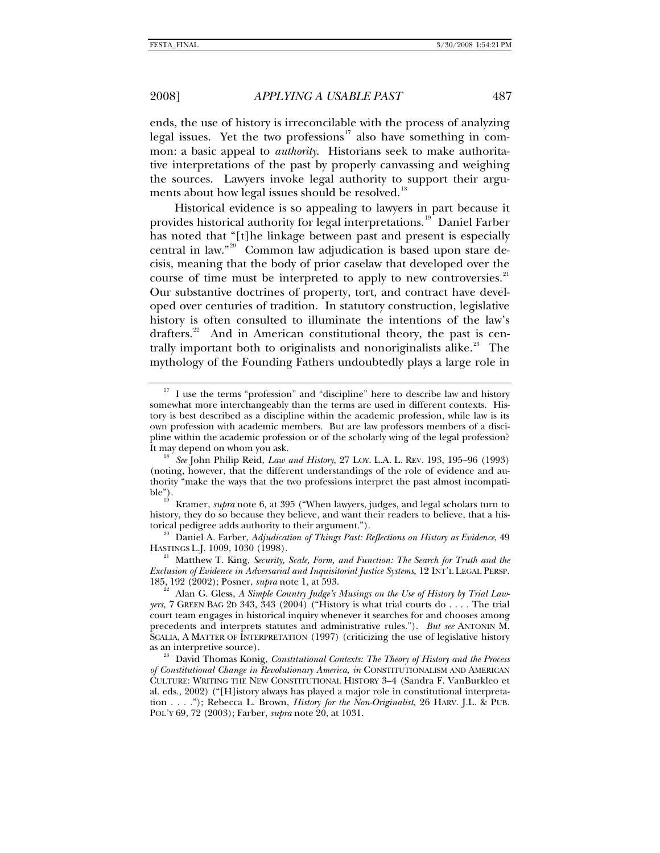ends, the use of history is irreconcilable with the process of analyzing legal issues. Yet the two professions<sup>[17](#page-8-0)</sup> also have something in common: a basic appeal to *authority*. Historians seek to make authoritative interpretations of the past by properly canvassing and weighing the sources. Lawyers invoke legal authority to support their argu-ments about how legal issues should be resolved.<sup>[18](#page-8-1)</sup>

Historical evidence is so appealing to lawyers in part because it provides historical authority for legal interpretations.<sup>[19](#page-8-2)</sup> Daniel Farber has noted that "[t]he linkage between past and present is especially central in law."[20](#page-8-3) Common law adjudication is based upon stare decisis, meaning that the body of prior caselaw that developed over the course of time must be interpreted to apply to new controversies.<sup>[21](#page-8-4)</sup> Our substantive doctrines of property, tort, and contract have developed over centuries of tradition. In statutory construction, legislative history is often consulted to illuminate the intentions of the law's drafters.<sup>[22](#page-8-5)</sup> And in American constitutional theory, the past is cen-trally important both to originalists and nonoriginalists alike.<sup>[23](#page-8-6)</sup> The mythology of the Founding Fathers undoubtedly plays a large role in

<span id="page-8-4"></span>*Exclusion of Evidence in Adversarial and Inquisitorial Justice Systems*, 12 INT'L LEGAL PERSP. 185, 192 (2002); Posner, *supra* note 1, at 593. 22 Alan G. Gless, *A Simple Country Judge's Musings on the Use of History by Trial Law-*

<span id="page-8-0"></span>I use the terms "profession" and "discipline" here to describe law and history somewhat more interchangeably than the terms are used in different contexts. History is best described as a discipline within the academic profession, while law is its own profession with academic members. But are law professors members of a discipline within the academic profession or of the scholarly wing of the legal profession?

<span id="page-8-1"></span>It may depend on whom you ask. 18 *See* John Philip Reid, *Law and History*, 27 LOY. L.A. L. REV. 193, 195–96 (1993) (noting, however, that the different understandings of the role of evidence and authority "make the ways that the two professions interpret the past almost incompati-

<span id="page-8-2"></span>ble").<br><sup>19</sup> Kramer, *supra* note 6, at 395 ("When lawyers, judges, and legal scholars turn to history, they do so because they believe, and want their readers to believe, that a historical pedigree adds authority to their argument."). 20 Daniel A. Farber, *Adjudication of Things Past: Reflections on History as Evidence*, 49

<span id="page-8-3"></span>HASTINGS L.J. 1009, 1030 (1998). 21 Matthew T. King, *Security, Scale, Form, and Function: The Search for Truth and the* 

<span id="page-8-5"></span>*yers*, 7 GREEN BAG 2D 343, 343 (2004) ("History is what trial courts do . . . . The trial court team engages in historical inquiry whenever it searches for and chooses among precedents and interprets statutes and administrative rules."). *But see* ANTONIN M. SCALIA, A MATTER OF INTERPRETATION (1997) (criticizing the use of legislative history as an interpretive source). 23 David Thomas Konig, *Constitutional Contexts: The Theory of History and the Process* 

<span id="page-8-6"></span>*of Constitutional Change in Revolutionary America*, *in* CONSTITUTIONALISM AND AMERICAN CULTURE: WRITING THE NEW CONSTITUTIONAL HISTORY 3–4 (Sandra F. VanBurkleo et al. eds., 2002) ("[H]istory always has played a major role in constitutional interpretation . . . ."); Rebecca L. Brown, *History for the Non-Originalist*, 26 HARV. J.L. & PUB. POL'Y 69, 72 (2003); Farber, *supra* note 20, at 1031.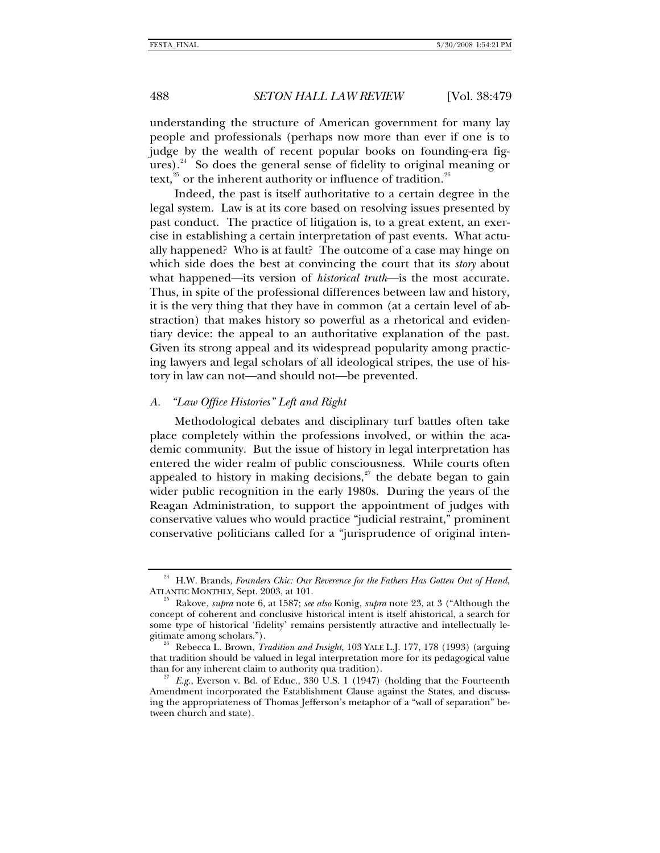<span id="page-9-0"></span>understanding the structure of American government for many lay people and professionals (perhaps now more than ever if one is to judge by the wealth of recent popular books on founding-era figures). $24$  So does the general sense of fidelity to original meaning or text,<sup>[25](#page-9-2)</sup> or the inherent authority or influence of tradition.<sup>[26](#page-9-3)</sup>

Indeed, the past is itself authoritative to a certain degree in the legal system. Law is at its core based on resolving issues presented by past conduct. The practice of litigation is, to a great extent, an exercise in establishing a certain interpretation of past events. What actually happened? Who is at fault? The outcome of a case may hinge on which side does the best at convincing the court that its *story* about what happened—its version of *historical truth*—is the most accurate. Thus, in spite of the professional differences between law and history, it is the very thing that they have in common (at a certain level of abstraction) that makes history so powerful as a rhetorical and evidentiary device: the appeal to an authoritative explanation of the past. Given its strong appeal and its widespread popularity among practicing lawyers and legal scholars of all ideological stripes, the use of history in law can not—and should not—be prevented.

# *A. "Law Office Histories" Left and Right*

Methodological debates and disciplinary turf battles often take place completely within the professions involved, or within the academic community. But the issue of history in legal interpretation has entered the wider realm of public consciousness. While courts often appealed to history in making decisions, $27$  the debate began to gain wider public recognition in the early 1980s. During the years of the Reagan Administration, to support the appointment of judges with conservative values who would practice "judicial restraint," prominent conservative politicians called for a "jurisprudence of original inten-

<span id="page-9-1"></span> $^{24}$  H.W. Brands, *Founders Chic: Our Reverence for the Fathers Has Gotten Out of Hand*, ATLANTIC MONTHLY, Sept. 2003, at 101.

<span id="page-9-2"></span>Rakove, *supra* note 6, at 1587; *see also* Konig, *supra* note 23, at 3 ("Although the concept of coherent and conclusive historical intent is itself ahistorical, a search for some type of historical 'fidelity' remains persistently attractive and intellectually legitimate among scholars."). 26 Rebecca L. Brown, *Tradition and Insight*, 103 YALE L.J. 177, 178 (1993) (arguing

<span id="page-9-3"></span>that tradition should be valued in legal interpretation more for its pedagogical value than for any inherent claim to authority qua tradition).<br><sup>27</sup> *E.g.*, Everson v. Bd. of Educ., 330 U.S. 1 (1947) (holding that the Fourteenth

<span id="page-9-4"></span>Amendment incorporated the Establishment Clause against the States, and discussing the appropriateness of Thomas Jefferson's metaphor of a "wall of separation" between church and state).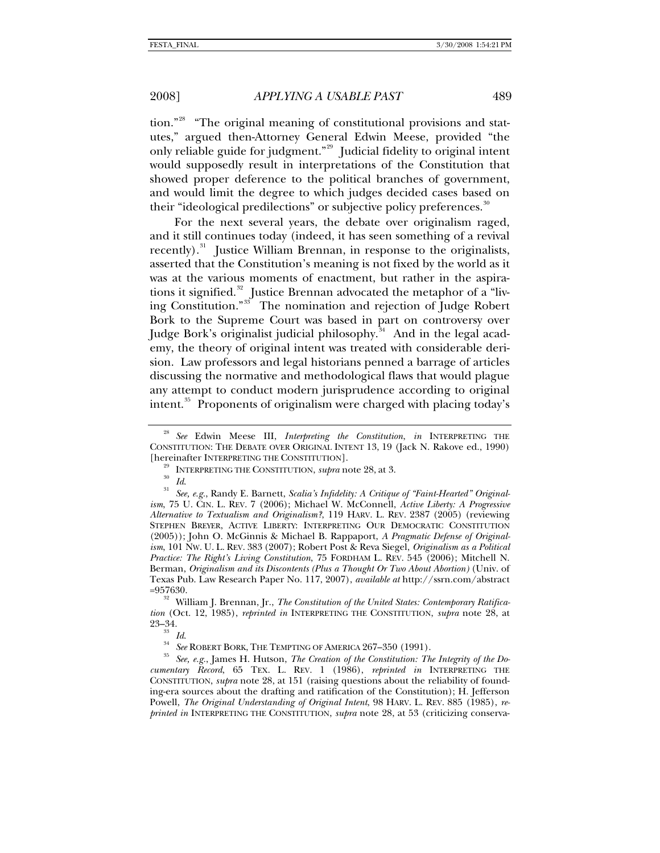tion."[28](#page-10-0) "The original meaning of constitutional provisions and statutes," argued then-Attorney General Edwin Meese, provided "the only reliable guide for judgment."<sup>[29](#page-10-1)</sup> Judicial fidelity to original intent would supposedly result in interpretations of the Constitution that showed proper deference to the political branches of government, and would limit the degree to which judges decided cases based on their "ideological predilections" or subjective policy preferences.<sup>[30](#page-10-2)</sup>

For the next several years, the debate over originalism raged, and it still continues today (indeed, it has seen something of a revival recently).<sup>[31](#page-10-3)</sup> Justice William Brennan, in response to the originalists, asserted that the Constitution's meaning is not fixed by the world as it was at the various moments of enactment, but rather in the aspira-tions it signified.<sup>[32](#page-10-4)</sup> Justice Brennan advocated the metaphor of a "liv-ing Constitution."<sup>[33](#page-10-5)</sup> The nomination and rejection of Judge Robert Bork to the Supreme Court was based in part on controversy over Judge Bork's originalist judicial philosophy.<sup>[34](#page-10-6)</sup> And in the legal academy, the theory of original intent was treated with considerable derision. Law professors and legal historians penned a barrage of articles discussing the normative and methodological flaws that would plague any attempt to conduct modern jurisprudence according to original intent.<sup>[35](#page-10-7)</sup> Proponents of originalism were charged with placing today's

<span id="page-10-0"></span><sup>28</sup> *See* Edwin Meese III, *Interpreting the Constitution*, *in* INTERPRETING THE CONSTITUTION: THE DEBATE OVER ORIGINAL INTENT 13, 19 (Jack N. Rakove ed., 1990)

<span id="page-10-3"></span><span id="page-10-2"></span><span id="page-10-1"></span><sup>[</sup>hereinafter INTERPRETING THE CONSTITUTION].<br><sup>29</sup> INTERPRETING THE CONSTITUTION, *supra* note 28, at 3.<br><sup>30</sup> Id.<br><sup>31</sup> See, e.g., Randy E. Barnett, *Scalia's Infidelity: A Critique of "Faint-Hearted" Originalism*, 75 U. CIN. L. REV. 7 (2006); Michael W. McConnell, *Active Liberty: A Progressive Alternative to Textualism and Originalism?*, 119 HARV. L. REV. 2387 (2005) (reviewing STEPHEN BREYER, ACTIVE LIBERTY: INTERPRETING OUR DEMOCRATIC CONSTITUTION (2005)); John O. McGinnis & Michael B. Rappaport, *A Pragmatic Defense of Originalism*, 101 NW. U. L. REV. 383 (2007); Robert Post & Reva Siegel, *Originalism as a Political Practice: The Right's Living Constitution*, 75 FORDHAM L. REV. 545 (2006); Mitchell N. Berman, *Originalism and its Discontents (Plus a Thought Or Two About Abortion)* (Univ. of Texas Pub. Law Research Paper No. 117, 2007), *available at* http://ssrn.com/abstract

<span id="page-10-4"></span><sup>=957630.</sup> 32 William J. Brennan, Jr., *The Constitution of the United States: Contemporary Ratification* (Oct. 12, 1985), *reprinted in* INTERPRETING THE CONSTITUTION, *supra* note 28, at

<span id="page-10-7"></span><span id="page-10-6"></span><span id="page-10-5"></span><sup>&</sup>lt;sup>33</sup> Id.<br><sup>34</sup> See ROBERT BORK, THE TEMPTING OF AMERICA 267–350 (1991).<br><sup>35</sup> See, e.g., James H. Hutson, *The Creation of the Constitution: The Integrity of the Documentary Record*, 65 TEX. L. REV. 1 (1986), *reprinted in* INTERPRETING THE CONSTITUTION, *supra* note 28, at 151 (raising questions about the reliability of founding-era sources about the drafting and ratification of the Constitution); H. Jefferson Powell, *The Original Understanding of Original Intent*, 98 HARV. L. REV. 885 (1985), *reprinted in* INTERPRETING THE CONSTITUTION, *supra* note 28, at 53 (criticizing conserva-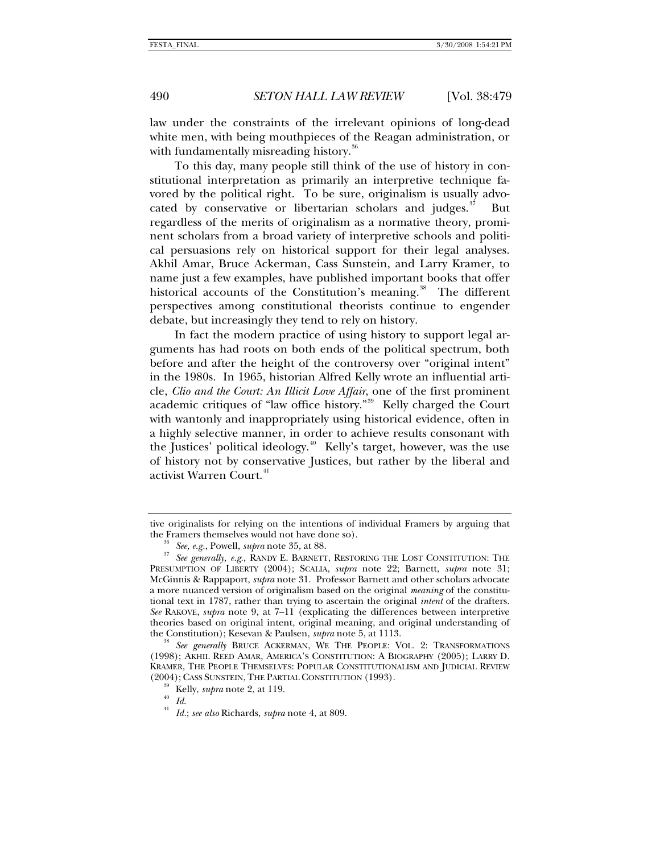law under the constraints of the irrelevant opinions of long-dead white men, with being mouthpieces of the Reagan administration, or with fundamentally misreading history.<sup>[36](#page-11-0)</sup>

To this day, many people still think of the use of history in constitutional interpretation as primarily an interpretive technique favored by the political right. To be sure, originalism is usually advocated by conservative or libertarian scholars and judges. $37$  But regardless of the merits of originalism as a normative theory, prominent scholars from a broad variety of interpretive schools and political persuasions rely on historical support for their legal analyses. Akhil Amar, Bruce Ackerman, Cass Sunstein, and Larry Kramer, to name just a few examples, have published important books that offer historical accounts of the Constitution's meaning.<sup>[38](#page-11-2)</sup> The different perspectives among constitutional theorists continue to engender debate, but increasingly they tend to rely on history.

In fact the modern practice of using history to support legal arguments has had roots on both ends of the political spectrum, both before and after the height of the controversy over "original intent" in the 1980s. In 1965, historian Alfred Kelly wrote an influential article, *Clio and the Court: An Illicit Love Affair*, one of the first prominent academic critiques of "law office history."[39](#page-11-3) Kelly charged the Court with wantonly and inappropriately using historical evidence, often in a highly selective manner, in order to achieve results consonant with the Justices' political ideology.<sup> $40$ </sup> Kelly's target, however, was the use of history not by conservative Justices, but rather by the liberal and activist Warren Court.<sup>[41](#page-11-5)</sup>

<span id="page-11-5"></span><span id="page-11-4"></span><span id="page-11-3"></span><span id="page-11-2"></span>See generally BRUCE ACKERMAN, WE THE PEOPLE: VOL. 2: TRANSFORMATIONS (1998); AKHIL REED AMAR, AMERICA'S CONSTITUTION: A BIOGRAPHY (2005); LARRY D. KRAMER, THE PEOPLE THEMSELVES: POPULAR CONSTITUTIONALISM AND JUDICIAL REVIEW (2004); CASS SUNSTEIN, THE PARTIAL CONSTITUTION (1993). 39 Kelly, *supra* note 2, at 119. 40 *Id*. 41 *Id.*; *see also* Richards, *supra* note 4, at 809.

tive originalists for relying on the intentions of individual Framers by arguing that the Framers themselves would not have done so).

<span id="page-11-1"></span><span id="page-11-0"></span><sup>&</sup>lt;sup>36</sup> See, e.g., Powell, *supra* note 35, at 88. 37<br><sup>37</sup> See generally, e.g., RANDY E. BARNETT, RESTORING THE LOST CONSTITUTION: THE PRESUMPTION OF LIBERTY (2004); SCALIA, *supra* note 22; Barnett, *supra* note 31; McGinnis & Rappaport, *supra* note 31. Professor Barnett and other scholars advocate a more nuanced version of originalism based on the original *meaning* of the constitutional text in 1787, rather than trying to ascertain the original *intent* of the drafters. *See* RAKOVE, *supra* note 9, at 7–11 (explicating the differences between interpretive theories based on original intent, original meaning, and original understanding of the Constitution); Kesevan & Paulsen, *supra* note 5, at 1113.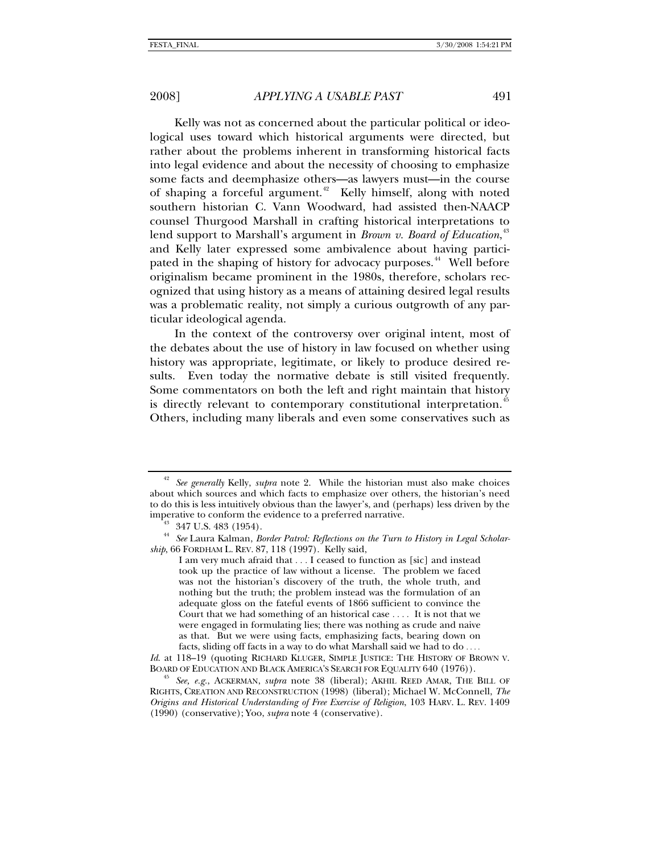Kelly was not as concerned about the particular political or ideological uses toward which historical arguments were directed, but rather about the problems inherent in transforming historical facts into legal evidence and about the necessity of choosing to emphasize some facts and deemphasize others—as lawyers must—in the course of shaping a forceful argument.<sup>[42](#page-12-0)</sup> Kelly himself, along with noted southern historian C. Vann Woodward, had assisted then-NAACP counsel Thurgood Marshall in crafting historical interpretations to lend support to Marshall's argument in *Brown v. Board of Education*, [43](#page-12-1) and Kelly later expressed some ambivalence about having partici-pated in the shaping of history for advocacy purposes.<sup>[44](#page-12-2)</sup> Well before originalism became prominent in the 1980s, therefore, scholars recognized that using history as a means of attaining desired legal results was a problematic reality, not simply a curious outgrowth of any particular ideological agenda.

In the context of the controversy over original intent, most of the debates about the use of history in law focused on whether using history was appropriate, legitimate, or likely to produce desired results. Even today the normative debate is still visited frequently. Some commentators on both the left and right maintain that history is directly relevant to contemporary constitutional interpretation.<sup>[45](#page-12-3)</sup> Others, including many liberals and even some conservatives such as

<span id="page-12-0"></span><sup>42</sup> *See generally* Kelly, *supra* note 2. While the historian must also make choices about which sources and which facts to emphasize over others, the historian's need to do this is less intuitively obvious than the lawyer's, and (perhaps) less driven by the imperative to conform the evidence to a preferred narrative. 43 347 U.S. 483 (1954).

<span id="page-12-2"></span><span id="page-12-1"></span><sup>44</sup> *See* Laura Kalman, *Border Patrol: Reflections on the Turn to History in Legal Scholarship*, 66 FORDHAM L. REV. 87, 118 (1997). Kelly said,

I am very much afraid that . . . I ceased to function as [sic] and instead took up the practice of law without a license. The problem we faced was not the historian's discovery of the truth, the whole truth, and nothing but the truth; the problem instead was the formulation of an adequate gloss on the fateful events of 1866 sufficient to convince the Court that we had something of an historical case . . . . It is not that we were engaged in formulating lies; there was nothing as crude and naive as that. But we were using facts, emphasizing facts, bearing down on facts, sliding off facts in a way to do what Marshall said we had to do . . . .

*Id.* at 118–19 (quoting RICHARD KLUGER, SIMPLE JUSTICE: THE HISTORY OF BROWN V. BOARD OF EDUCATION AND BLACK AMERICA'S SEARCH FOR EQUALITY 640 (1976)).

<span id="page-12-3"></span>See, e.g., ACKERMAN, *supra* note 38 (liberal); AKHIL REED AMAR, THE BILL OF RIGHTS, CREATION AND RECONSTRUCTION (1998) (liberal); Michael W. McConnell, *The Origins and Historical Understanding of Free Exercise of Religion*, 103 HARV. L. REV. 1409 (1990) (conservative); Yoo, *supra* note 4 (conservative).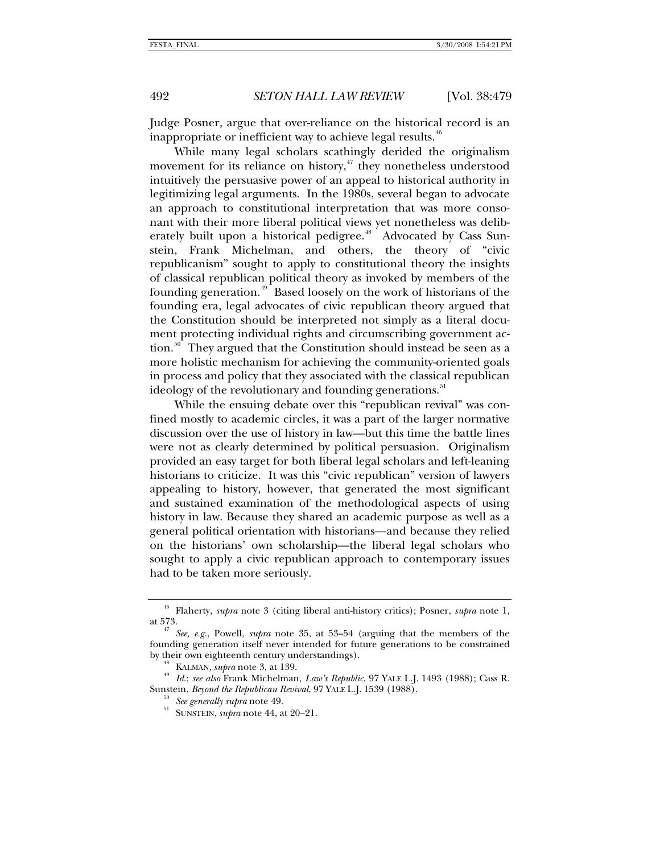Judge Posner, argue that over-reliance on the historical record is an

While many legal scholars scathingly derided the originalism movement for its reliance on history, $47$  they nonetheless understood intuitively the persuasive power of an appeal to historical authority in legitimizing legal arguments. In the 1980s, several began to advocate an approach to constitutional interpretation that was more consonant with their more liberal political views yet nonetheless was delib-erately built upon a historical pedigree.<sup>[48](#page-13-2)</sup> Advocated by Cass Sunstein, Frank Michelman, and others, the theory of "civic republicanism" sought to apply to constitutional theory the insights of classical republican political theory as invoked by members of the founding generation.<sup>[49](#page-13-3)</sup> Based loosely on the work of historians of the founding era, legal advocates of civic republican theory argued that the Constitution should be interpreted not simply as a literal document protecting individual rights and circumscribing government ac-tion.<sup>[50](#page-13-4)</sup> They argued that the Constitution should instead be seen as a more holistic mechanism for achieving the community-oriented goals in process and policy that they associated with the classical republican ideology of the revolutionary and founding generations.<sup>[51](#page-13-5)</sup>

inappropriate or inefficient way to achieve legal results. $46$ 

While the ensuing debate over this "republican revival" was confined mostly to academic circles, it was a part of the larger normative discussion over the use of history in law—but this time the battle lines were not as clearly determined by political persuasion. Originalism provided an easy target for both liberal legal scholars and left-leaning historians to criticize. It was this "civic republican" version of lawyers appealing to history, however, that generated the most significant and sustained examination of the methodological aspects of using history in law. Because they shared an academic purpose as well as a general political orientation with historians—and because they relied on the historians' own scholarship—the liberal legal scholars who sought to apply a civic republican approach to contemporary issues had to be taken more seriously.

<span id="page-13-0"></span><sup>&</sup>lt;sup>46</sup> Flaherty, *supra* note 3 (citing liberal anti-history critics); Posner, *supra* note 1, at 573.

<span id="page-13-1"></span>See, e.g., Powell, *supra* note 35, at 53–54 (arguing that the members of the founding generation itself never intended for future generations to be constrained by their own eighteenth century understandings). 48 KALMAN, *supra* note 3, at 139. 49 *Id*.; *see also* Frank Michelman, *Law's Republic*, 97 YALE L.J. 1493 (1988); Cass R.

<span id="page-13-5"></span><span id="page-13-4"></span><span id="page-13-3"></span><span id="page-13-2"></span>Sunstein, *Beyond the Republican Revival*, 97 YALE L.J. 1539 (1988). 50 *See generally supra* note 49. 51 SUNSTEIN, *supra* note 44, at 20–21.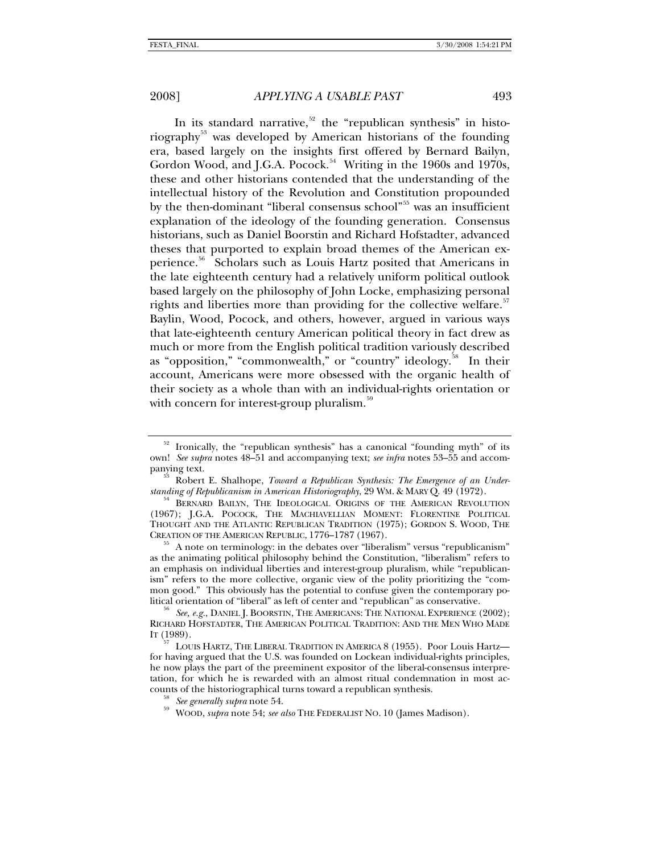In its standard narrative,<sup>[52](#page-14-0)</sup> the "republican synthesis" in histo-riography<sup>[53](#page-14-1)</sup> was developed by American historians of the founding era, based largely on the insights first offered by Bernard Bailyn, Gordon Wood, and J.G.A. Pocock.<sup>[54](#page-14-2)</sup> Writing in the 1960s and 1970s, these and other historians contended that the understanding of the intellectual history of the Revolution and Constitution propounded by the then-dominant "liberal consensus school"<sup>[55](#page-14-3)</sup> was an insufficient explanation of the ideology of the founding generation. Consensus historians, such as Daniel Boorstin and Richard Hofstadter, advanced theses that purported to explain broad themes of the American experience.[56](#page-14-4) Scholars such as Louis Hartz posited that Americans in the late eighteenth century had a relatively uniform political outlook based largely on the philosophy of John Locke, emphasizing personal rights and liberties more than providing for the collective welfare.<sup>[57](#page-14-5)</sup> Baylin, Wood, Pocock, and others, however, argued in various ways that late-eighteenth century American political theory in fact drew as much or more from the English political tradition variously described as "opposition," "commonwealth," or "country" ideology.<sup>[58](#page-14-6)</sup> In their account, Americans were more obsessed with the organic health of their society as a whole than with an individual-rights orientation or with concern for interest-group pluralism.<sup>[59](#page-14-7)</sup>

<span id="page-14-0"></span> $52$  Ironically, the "republican synthesis" has a canonical "founding myth" of its own! *See supra* notes 48–51 and accompanying text; *see infra* notes 53–55 and accom-

<span id="page-14-1"></span>panying text.<br><sup>53</sup> Robert E. Shalhope, *Toward a Republican Synthesis: The Emergence of an Under-*<br>*standing of Republicanism in American Historiography*, 29 WM. & MARY Q. 49 (1972).

<span id="page-14-2"></span><sup>&</sup>lt;sup>54</sup> BERNARD BAILYN, THE IDEOLOGICAL ORIGINS OF THE AMERICAN REVOLUTION (1967); J.G.A. POCOCK, THE MACHIAVELLIAN MOMENT: FLORENTINE POLITICAL THOUGHT AND THE ATLANTIC REPUBLICAN TRADITION (1975); GORDON S. WOOD, THE CREATION OF THE AMERICAN REPUBLIC, 1776–1787 (1967).<br><sup>55</sup> A note on terminology: in the debates over "liberalism" versus "republicanism"

<span id="page-14-3"></span>as the animating political philosophy behind the Constitution, "liberalism" refers to an emphasis on individual liberties and interest-group pluralism, while "republicanism" refers to the more collective, organic view of the polity prioritizing the "common good." This obviously has the potential to confuse given the contemporary po-<br>litical orientation of "liberal" as left of center and "republican" as conservative.

<span id="page-14-4"></span>See, e.g., DANIEL J. BOORSTIN, THE AMERICANS: THE NATIONAL EXPERIENCE (2002); RICHARD HOFSTADTER, THE AMERICAN POLITICAL TRADITION: AND THE MEN WHO MADE IT (1989).

<span id="page-14-6"></span><span id="page-14-5"></span>LOUIS HARTZ, THE LIBERAL TRADITION IN AMERICA 8 (1955). Poor Louis Hartzfor having argued that the U.S. was founded on Lockean individual-rights principles, he now plays the part of the preeminent expositor of the liberal-consensus interpretation, for which he is rewarded with an almost ritual condemnation in most accounts of the historiographical turns toward a republican synthesis. 58 *See generally supra* note 54. 59 WOOD, *supra* note 54; *see also* THE FEDERALIST NO. <sup>10</sup> (James Madison).

<span id="page-14-7"></span>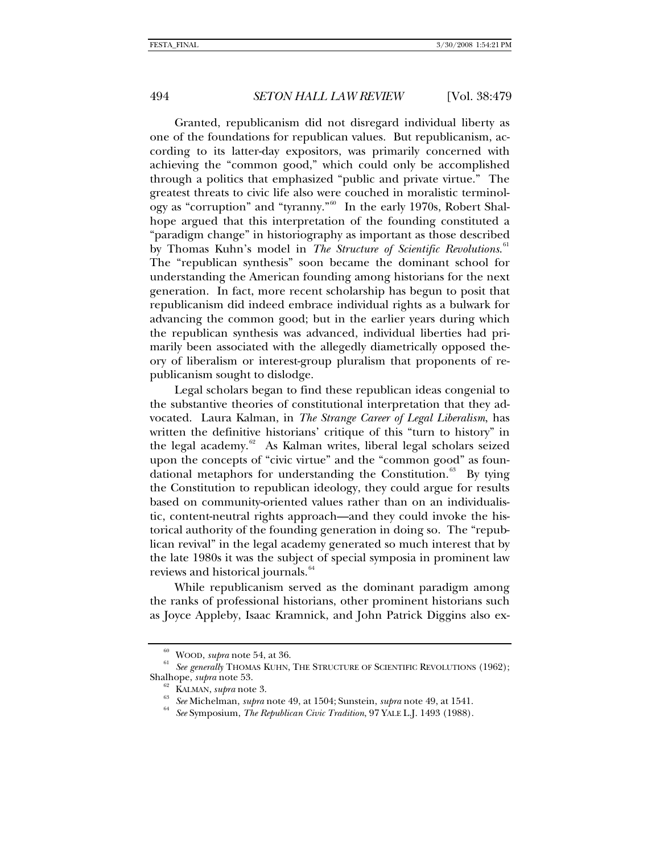Granted, republicanism did not disregard individual liberty as one of the foundations for republican values. But republicanism, according to its latter-day expositors, was primarily concerned with achieving the "common good," which could only be accomplished through a politics that emphasized "public and private virtue." The greatest threats to civic life also were couched in moralistic terminology as "corruption" and "tyranny."[60](#page-15-0) In the early 1970s, Robert Shalhope argued that this interpretation of the founding constituted a "paradigm change" in historiography as important as those described by Thomas Kuhn's model in *The Structure of Scientific Revolutions*. [61](#page-15-1) The "republican synthesis" soon became the dominant school for understanding the American founding among historians for the next generation. In fact, more recent scholarship has begun to posit that republicanism did indeed embrace individual rights as a bulwark for advancing the common good; but in the earlier years during which the republican synthesis was advanced, individual liberties had primarily been associated with the allegedly diametrically opposed theory of liberalism or interest-group pluralism that proponents of republicanism sought to dislodge.

Legal scholars began to find these republican ideas congenial to the substantive theories of constitutional interpretation that they advocated. Laura Kalman, in *The Strange Career of Legal Liberalism*, has written the definitive historians' critique of this "turn to history" in the legal academy.<sup>[62](#page-15-2)</sup> As Kalman writes, liberal legal scholars seized upon the concepts of "civic virtue" and the "common good" as foun-dational metaphors for understanding the Constitution.<sup>[63](#page-15-3)</sup> By tying the Constitution to republican ideology, they could argue for results based on community-oriented values rather than on an individualistic, content-neutral rights approach—and they could invoke the historical authority of the founding generation in doing so. The "republican revival" in the legal academy generated so much interest that by the late 1980s it was the subject of special symposia in prominent law reviews and historical journals.<sup>[64](#page-15-4)</sup>

While republicanism served as the dominant paradigm among the ranks of professional historians, other prominent historians such as Joyce Appleby, Isaac Kramnick, and John Patrick Diggins also ex-

<span id="page-15-4"></span><span id="page-15-3"></span><span id="page-15-2"></span><span id="page-15-1"></span><span id="page-15-0"></span><sup>&</sup>lt;sup>60</sup> WOOD, *supra* note 54, at 36.<br><sup>61</sup> See generally ThOMAS KUHN, THE STRUCTURE OF SCIENTIFIC REVOLUTIONS (1962); Shalhope, *supra* note 53.<br><sup>62</sup> KALMAN, *supra* note 3.<br><sup>63</sup> See Michelman, *supra* note 49, at 1504; Sunstein, *supra* note 49, at 1541.<br><sup>64</sup> See Symposium, *The Republican Civic Tradition*, 97 YALE L.J. 1493 (1988).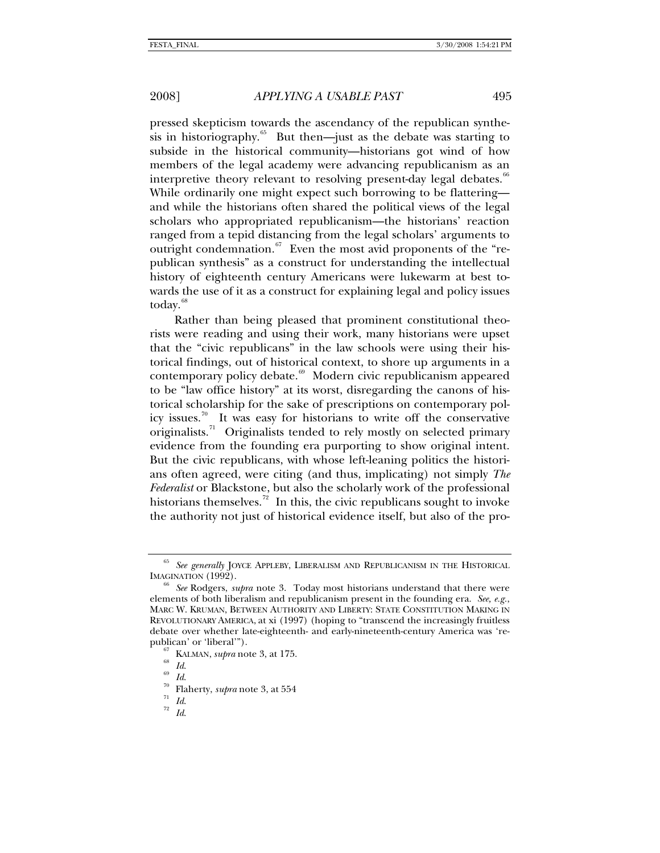pressed skepticism towards the ascendancy of the republican synthe-sis in historiography.<sup>[65](#page-16-0)</sup> But then—just as the debate was starting to subside in the historical community—historians got wind of how members of the legal academy were advancing republicanism as an interpretive theory relevant to resolving present-day legal debates.<sup>[66](#page-16-1)</sup> While ordinarily one might expect such borrowing to be flattering and while the historians often shared the political views of the legal scholars who appropriated republicanism—the historians' reaction ranged from a tepid distancing from the legal scholars' arguments to outright condemnation. $67$  Even the most avid proponents of the "republican synthesis" as a construct for understanding the intellectual history of eighteenth century Americans were lukewarm at best towards the use of it as a construct for explaining legal and policy issues today.<sup>[68](#page-16-3)</sup>

Rather than being pleased that prominent constitutional theorists were reading and using their work, many historians were upset that the "civic republicans" in the law schools were using their historical findings, out of historical context, to shore up arguments in a contemporary policy debate.<sup>[69](#page-16-4)</sup> Modern civic republicanism appeared to be "law office history" at its worst, disregarding the canons of historical scholarship for the sake of prescriptions on contemporary pol-icy issues.<sup>[70](#page-16-5)</sup> It was easy for historians to write off the conservative originalists.<sup>[71](#page-16-6)</sup> Originalists tended to rely mostly on selected primary evidence from the founding era purporting to show original intent. But the civic republicans, with whose left-leaning politics the historians often agreed, were citing (and thus, implicating) not simply *The Federalist* or Blackstone, but also the scholarly work of the professional historians themselves.<sup>[72](#page-16-7)</sup> In this, the civic republicans sought to invoke the authority not just of historical evidence itself, but also of the pro-

<span id="page-16-0"></span><sup>&</sup>lt;sup>65</sup> See generally JOYCE APPLEBY, LIBERALISM AND REPUBLICANISM IN THE HISTORICAL IMAGINATION (1992).

<span id="page-16-2"></span><span id="page-16-1"></span>*See* Rodgers, *supra* note 3. Today most historians understand that there were elements of both liberalism and republicanism present in the founding era. *See, e.g.*, MARC W. KRUMAN, BETWEEN AUTHORITY AND LIBERTY: STATE CONSTITUTION MAKING IN REVOLUTIONARY AMERICA, at xi (1997) (hoping to "transcend the increasingly fruitless debate over whether late-eighteenth- and early-nineteenth-century America was 'republican' or 'liberal'").<br>
<sup>67</sup> KALMAN, *supra* note 3, at 175.<br>
<sup>69</sup> *Id.*<br>
<sup>70</sup> Flaherty, *supra* note 3, at 554<br>
<sup>71</sup> *Id.*<br>
<sup>72</sup> *Id.* 

<span id="page-16-3"></span>

<span id="page-16-7"></span><span id="page-16-6"></span><span id="page-16-5"></span><span id="page-16-4"></span>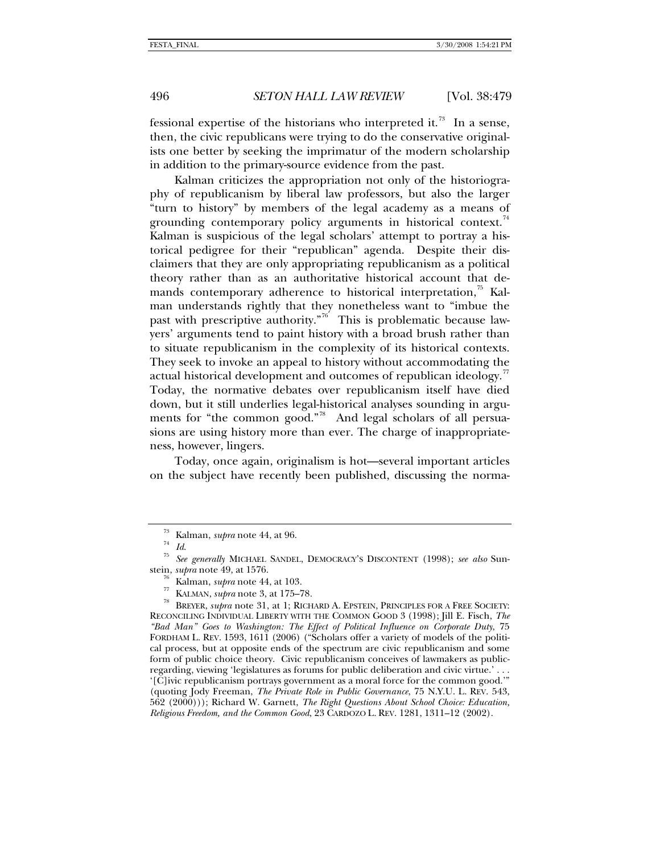fessional expertise of the historians who interpreted it.<sup>[73](#page-17-0)</sup> In a sense, then, the civic republicans were trying to do the conservative originalists one better by seeking the imprimatur of the modern scholarship in addition to the primary-source evidence from the past.

Kalman criticizes the appropriation not only of the historiography of republicanism by liberal law professors, but also the larger "turn to history" by members of the legal academy as a means of grounding contemporary policy arguments in historical context.<sup>[74](#page-17-1)</sup> Kalman is suspicious of the legal scholars' attempt to portray a historical pedigree for their "republican" agenda. Despite their disclaimers that they are only appropriating republicanism as a political theory rather than as an authoritative historical account that de-mands contemporary adherence to historical interpretation,<sup>[75](#page-17-2)</sup> Kalman understands rightly that they nonetheless want to "imbue the past with prescriptive authority."<sup>[76](#page-17-3)</sup> This is problematic because lawyers' arguments tend to paint history with a broad brush rather than to situate republicanism in the complexity of its historical contexts. They seek to invoke an appeal to history without accommodating the actual historical development and outcomes of republican ideology.<sup>[77](#page-17-4)</sup> Today, the normative debates over republicanism itself have died down, but it still underlies legal-historical analyses sounding in argu-ments for "the common good."<sup>[78](#page-17-5)</sup> And legal scholars of all persuasions are using history more than ever. The charge of inappropriateness, however, lingers.

Today, once again, originalism is hot—several important articles on the subject have recently been published, discussing the norma-

<sup>73</sup> Kalman, *supra* note 44, at 96. 74 *Id*. 75 *See generally* MICHAEL SANDEL, DEMOCRACY'S DISCONTENT (1998); *see also* Sun-

<span id="page-17-5"></span><span id="page-17-4"></span><span id="page-17-3"></span><span id="page-17-2"></span><span id="page-17-1"></span><span id="page-17-0"></span>stein, *supra* note 49, at 1576.<br><sup>76</sup> Kalman, *supra* note 44, at 103.<br><sup>77</sup> KALMAN, *supra* note 3, at 175–78.<br><sup>78</sup> BREYER, *supra* note 31, at 1; RICHARD A. EPSTEIN, PRINCIPLES FOR A FREE SOCIETY: RECONCILING INDIVIDUAL LIBERTY WITH THE COMMON GOOD 3 (1998); Jill E. Fisch, *The "Bad Man" Goes to Washington: The Effect of Political Influence on Corporate Duty*, 75 FORDHAM L. REV. 1593, 1611 (2006) ("Scholars offer a variety of models of the political process, but at opposite ends of the spectrum are civic republicanism and some form of public choice theory. Civic republicanism conceives of lawmakers as publicregarding, viewing 'legislatures as forums for public deliberation and civic virtue.' . . . '[C]ivic republicanism portrays government as a moral force for the common good.'" (quoting Jody Freeman, *The Private Role in Public Governance*, 75 N.Y.U. L. REV. 543, 562 (2000))); Richard W. Garnett, *The Right Questions About School Choice: Education, Religious Freedom, and the Common Good*, 23 CARDOZO L. REV. 1281, 1311–12 (2002).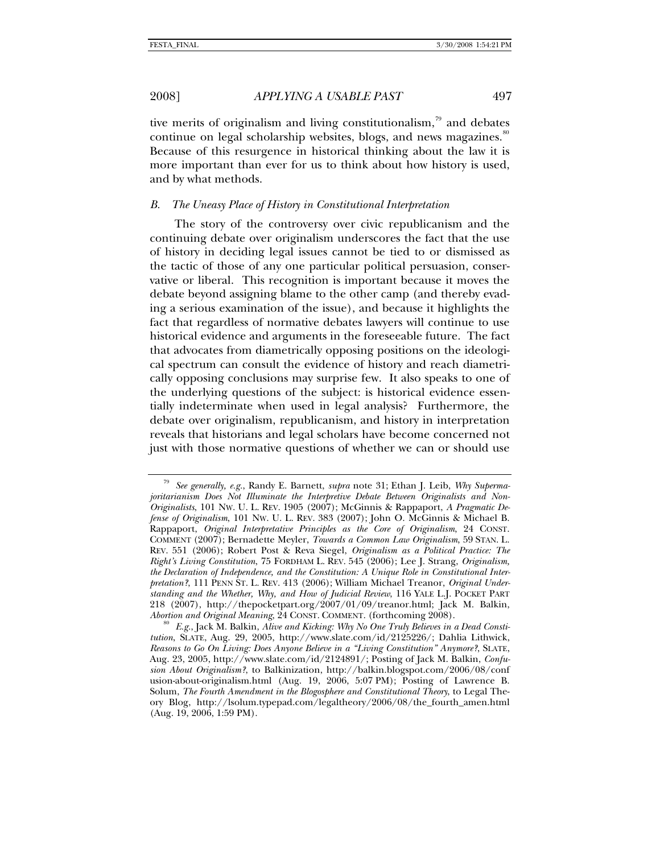<span id="page-18-0"></span>

tive merits of originalism and living constitutionalism, $\frac{79}{2}$  $\frac{79}{2}$  $\frac{79}{2}$  and debates continue on legal scholarship websites, blogs, and news magazines.<sup>[80](#page-18-2)</sup> Because of this resurgence in historical thinking about the law it is more important than ever for us to think about how history is used, and by what methods.

### *B. The Uneasy Place of History in Constitutional Interpretation*

The story of the controversy over civic republicanism and the continuing debate over originalism underscores the fact that the use of history in deciding legal issues cannot be tied to or dismissed as the tactic of those of any one particular political persuasion, conservative or liberal. This recognition is important because it moves the debate beyond assigning blame to the other camp (and thereby evading a serious examination of the issue), and because it highlights the fact that regardless of normative debates lawyers will continue to use historical evidence and arguments in the foreseeable future. The fact that advocates from diametrically opposing positions on the ideological spectrum can consult the evidence of history and reach diametrically opposing conclusions may surprise few. It also speaks to one of the underlying questions of the subject: is historical evidence essentially indeterminate when used in legal analysis? Furthermore, the debate over originalism, republicanism, and history in interpretation reveals that historians and legal scholars have become concerned not just with those normative questions of whether we can or should use

<span id="page-18-1"></span><sup>79</sup> *See generally, e.g.*, Randy E. Barnett, *supra* note 31; Ethan J. Leib, *Why Supermajoritarianism Does Not Illuminate the Interpretive Debate Between Originalists and Non-Originalists*, 101 NW. U. L. REV. 1905 (2007); McGinnis & Rappaport, *A Pragmatic Defense of Originalism*, 101 NW. U. L. REV. 383 (2007); John O. McGinnis & Michael B. Rappaport, *Original Interpretative Principles as the Core of Originalism*, 24 CONST. COMMENT (2007); Bernadette Meyler, *Towards a Common Law Originalism*, 59 STAN. L. REV. 551 (2006); Robert Post & Reva Siegel, *Originalism as a Political Practice: The Right's Living Constitution*, 75 FORDHAM L. REV. 545 (2006); Lee J. Strang, *Originalism, the Declaration of Independence, and the Constitution: A Unique Role in Constitutional Interpretation?*, 111 PENN ST. L. REV. 413 (2006); William Michael Treanor, *Original Understanding and the Whether, Why, and How of Judicial Review*, 116 YALE L.J. POCKET PART 218 (2007), http://thepocketpart.org/2007/01/09/treanor.html; Jack M. Balkin, Abortion and Original Meaning, 24 CONST. COMMENT. (forthcoming 2008).

<span id="page-18-2"></span><sup>&</sup>lt;sup>3</sup> E.g., Jack M. Balkin, *Alive and Kicking: Why No One Truly Believes in a Dead Constitution*, SLATE, Aug. 29, 2005, http://www.slate.com/id/2125226/; Dahlia Lithwick, *Reasons to Go On Living: Does Anyone Believe in a "Living Constitution" Anymore?*, SLATE, Aug. 23, 2005, http://www.slate.com/id/2124891/; Posting of Jack M. Balkin, *Confusion About Originalism?*, to Balkinization, http://balkin.blogspot.com/2006/08/conf usion-about-originalism.html (Aug. 19, 2006, 5:07 PM); Posting of Lawrence B. Solum, *The Fourth Amendment in the Blogosphere and Constitutional Theory*, to Legal Theory Blog, http://lsolum.typepad.com/legaltheory/2006/08/the\_fourth\_amen.html (Aug. 19, 2006, 1:59 PM).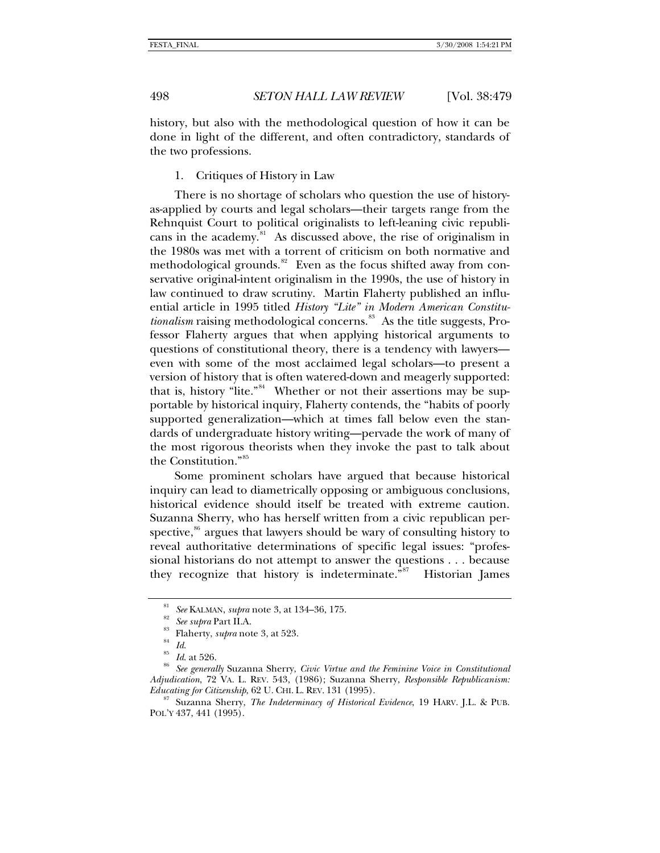<span id="page-19-0"></span>

history, but also with the methodological question of how it can be done in light of the different, and often contradictory, standards of the two professions.

1. Critiques of History in Law

There is no shortage of scholars who question the use of historyas-applied by courts and legal scholars—their targets range from the Rehnquist Court to political originalists to left-leaning civic republicans in the academy. $81$  As discussed above, the rise of originalism in the 1980s was met with a torrent of criticism on both normative and methodological grounds.<sup>[82](#page-19-2)</sup> Even as the focus shifted away from conservative original-intent originalism in the 1990s, the use of history in law continued to draw scrutiny. Martin Flaherty published an influential article in 1995 titled *History "Lite" in Modern American Constitutionalism* raising methodological concerns.<sup>[83](#page-19-3)</sup> As the title suggests, Professor Flaherty argues that when applying historical arguments to questions of constitutional theory, there is a tendency with lawyers even with some of the most acclaimed legal scholars—to present a version of history that is often watered-down and meagerly supported: that is, history "lite."<sup>[84](#page-19-4)</sup> Whether or not their assertions may be supportable by historical inquiry, Flaherty contends, the "habits of poorly supported generalization—which at times fall below even the standards of undergraduate history writing—pervade the work of many of the most rigorous theorists when they invoke the past to talk about the Constitution."[85](#page-19-5)

Some prominent scholars have argued that because historical inquiry can lead to diametrically opposing or ambiguous conclusions, historical evidence should itself be treated with extreme caution. Suzanna Sherry, who has herself written from a civic republican perspective, ${}^{86}$  ${}^{86}$  ${}^{86}$  argues that lawyers should be wary of consulting history to reveal authoritative determinations of specific legal issues: "professional historians do not attempt to answer the questions . . . because they recognize that history is indeterminate."<sup>[87](#page-19-7)</sup> Historian James

<span id="page-19-4"></span><span id="page-19-3"></span><span id="page-19-2"></span><span id="page-19-1"></span><sup>&</sup>lt;sup>81</sup> See KALMAN, supra note 3, at 134–36, 175.<br>
<sup>82</sup> See supra Part II.A.<br>
<sup>83</sup> See supra Part II.A.<br>
<sup>83</sup> Flaherty, *supra* note 3, at 523.<br>
<sup>84</sup> Id. at 526.<br>
<sup>86</sup> See generally Suzanna Sherry, *Civic Virtue and the Femi Adjudication*, 72 VA. L. REV. 543, (1986); Suzanna Sherry, *Responsible Republicanism: Educating for Citizenship*, 62 U. CHI. L. REV. 131 (1995).<br><sup>87</sup> Suzanna Sherry, *The Indeterminacy of Historical Evidence*, 19 HARV. J.L. & PUB.

<span id="page-19-7"></span><span id="page-19-6"></span><span id="page-19-5"></span>POL'Y 437, 441 (1995).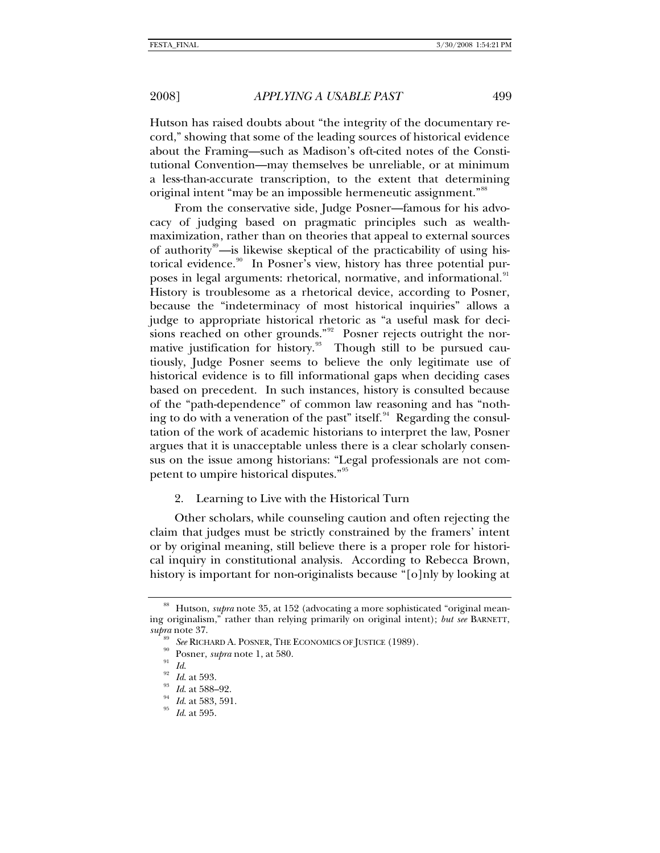<span id="page-20-0"></span>Hutson has raised doubts about "the integrity of the documentary record," showing that some of the leading sources of historical evidence about the Framing—such as Madison's oft-cited notes of the Constitutional Convention—may themselves be unreliable, or at minimum a less-than-accurate transcription, to the extent that determining original intent "may be an impossible hermeneutic assignment."<sup>[88](#page-20-1)</sup>

From the conservative side, Judge Posner—famous for his advocacy of judging based on pragmatic principles such as wealthmaximization, rather than on theories that appeal to external sources of authority<sup>[89](#page-20-2)</sup>—is likewise skeptical of the practicability of using his-torical evidence.<sup>[90](#page-20-3)</sup> In Posner's view, history has three potential pur-poses in legal arguments: rhetorical, normative, and informational.<sup>[91](#page-20-4)</sup> History is troublesome as a rhetorical device, according to Posner, because the "indeterminacy of most historical inquiries" allows a judge to appropriate historical rhetoric as "a useful mask for deci-sions reached on other grounds."<sup>[92](#page-20-5)</sup> Posner rejects outright the normative justification for history. $\frac{9}{3}$  Though still to be pursued cautiously, Judge Posner seems to believe the only legitimate use of historical evidence is to fill informational gaps when deciding cases based on precedent. In such instances, history is consulted because of the "path-dependence" of common law reasoning and has "noth-ing to do with a veneration of the past" itself.<sup>[94](#page-20-7)</sup> Regarding the consultation of the work of academic historians to interpret the law, Posner argues that it is unacceptable unless there is a clear scholarly consensus on the issue among historians: "Legal professionals are not com-petent to umpire historical disputes."<sup>[95](#page-20-8)</sup>

### 2. Learning to Live with the Historical Turn

Other scholars, while counseling caution and often rejecting the claim that judges must be strictly constrained by the framers' intent or by original meaning, still believe there is a proper role for historical inquiry in constitutional analysis. According to Rebecca Brown, history is important for non-originalists because "[o]nly by looking at

<span id="page-20-4"></span><span id="page-20-3"></span><span id="page-20-2"></span><span id="page-20-1"></span><sup>&</sup>lt;sup>88</sup> Hutson, *supra* note 35, at 152 (advocating a more sophisticated "original meaning originalism," rather than relying primarily on original intent); *but see* BARNETT, supra note 37.<br>
<sup>89</sup> See RICHARD A. POSNER, THE ECONOMICS OF JUSTICE (1989).<br>
<sup>90</sup> Posner, *supra* note 1, at 580.<br>
<sup>91</sup> Id. at 593.<br>
<sup>93</sup> Id. at 588–92.<br>
<sup>94</sup> Id. at 583, 591.<br>
Id. at 585, 591.<br>
<sup>95</sup> Id. at 595.

<span id="page-20-7"></span><span id="page-20-6"></span><span id="page-20-5"></span>

<span id="page-20-8"></span>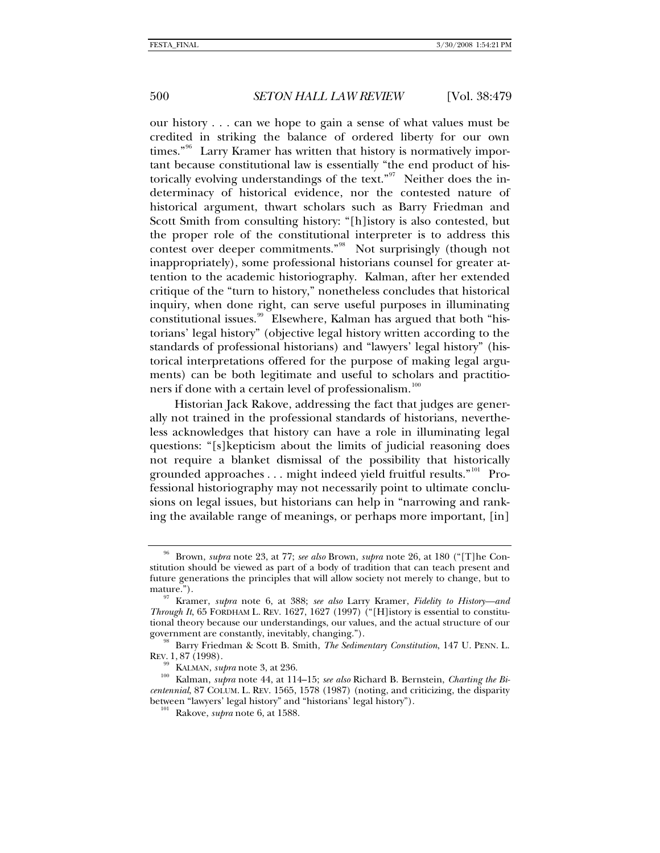our history . . . can we hope to gain a sense of what values must be credited in striking the balance of ordered liberty for our own times."<sup>[96](#page-21-0)</sup> Larry Kramer has written that history is normatively important because constitutional law is essentially "the end product of his-torically evolving understandings of the text."<sup>[97](#page-21-1)</sup> Neither does the indeterminacy of historical evidence, nor the contested nature of historical argument, thwart scholars such as Barry Friedman and Scott Smith from consulting history: "[h]istory is also contested, but the proper role of the constitutional interpreter is to address this contest over deeper commitments."<sup>[98](#page-21-2)</sup> Not surprisingly (though not inappropriately), some professional historians counsel for greater attention to the academic historiography. Kalman, after her extended critique of the "turn to history," nonetheless concludes that historical inquiry, when done right, can serve useful purposes in illuminating constitutional issues.<sup>[99](#page-21-3)</sup> Elsewhere, Kalman has argued that both "historians' legal history" (objective legal history written according to the standards of professional historians) and "lawyers' legal history" (historical interpretations offered for the purpose of making legal arguments) can be both legitimate and useful to scholars and practitio-ners if done with a certain level of professionalism.<sup>[100](#page-21-4)</sup>

Historian Jack Rakove, addressing the fact that judges are generally not trained in the professional standards of historians, nevertheless acknowledges that history can have a role in illuminating legal questions: "[s]kepticism about the limits of judicial reasoning does not require a blanket dismissal of the possibility that historically grounded approaches . . . might indeed yield fruitful results."<sup>[101](#page-21-5)</sup> Professional historiography may not necessarily point to ultimate conclusions on legal issues, but historians can help in "narrowing and ranking the available range of meanings, or perhaps more important, [in]

<span id="page-21-0"></span><sup>96</sup> Brown, *supra* note 23, at 77; *see also* Brown, *supra* note 26, at 180 ("[T]he Constitution should be viewed as part of a body of tradition that can teach present and future generations the principles that will allow society not merely to change, but to mature."). 97 Kramer, *supra* note 6, at 388; *see also* Larry Kramer, *Fidelity to History—and* 

<span id="page-21-1"></span>*Through It*, 65 FORDHAM L. REV. 1627, 1627 (1997) ("[H]istory is essential to constitutional theory because our understandings, our values, and the actual structure of our government are constantly, inevitably, changing.").

<span id="page-21-2"></span><sup>&</sup>lt;sup>98</sup> Barry Friedman & Scott B. Smith, *The Sedimentary Constitution*, 147 U. PENN. L. REV. 1, 87 (1998).

<span id="page-21-5"></span><span id="page-21-4"></span><span id="page-21-3"></span><sup>&</sup>lt;sup>99</sup> KALMAN, *supra* note 3, at 236.<br><sup>100</sup> Kalman, *supra* note 44, at 114–15; *see also* Richard B. Bernstein, *Charting the Bicentennial*, 87 COLUM. L. REV. 1565, 1578 (1987) (noting, and criticizing, the disparity between "lawyers' legal history" and "historians' legal history"). 101 Rakove, *supra* note 6, at 1588.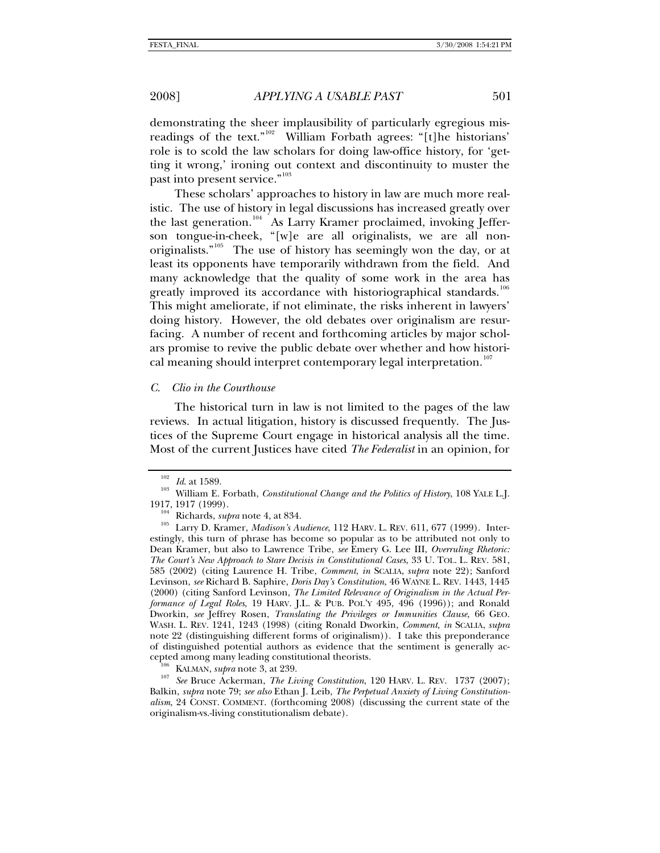<span id="page-22-0"></span>demonstrating the sheer implausibility of particularly egregious mis-readings of the text."<sup>[102](#page-22-1)</sup> William Forbath agrees: "[t]he historians' role is to scold the law scholars for doing law-office history, for 'getting it wrong,' ironing out context and discontinuity to muster the past into present service."<sup>[103](#page-22-2)</sup>

These scholars' approaches to history in law are much more realistic. The use of history in legal discussions has increased greatly over the last generation.<sup>[104](#page-22-3)</sup> As Larry Kramer proclaimed, invoking Jefferson tongue-in-cheek, "[w]e are all originalists, we are all non-originalists."<sup>[105](#page-22-4)</sup> The use of history has seemingly won the day, or at least its opponents have temporarily withdrawn from the field. And many acknowledge that the quality of some work in the area has greatly improved its accordance with historiographical standards.<sup>[106](#page-22-5)</sup> This might ameliorate, if not eliminate, the risks inherent in lawyers' doing history. However, the old debates over originalism are resurfacing. A number of recent and forthcoming articles by major scholars promise to revive the public debate over whether and how histori-cal meaning should interpret contemporary legal interpretation.<sup>[107](#page-22-6)</sup>

### *C. Clio in the Courthouse*

The historical turn in law is not limited to the pages of the law reviews. In actual litigation, history is discussed frequently. The Justices of the Supreme Court engage in historical analysis all the time. Most of the current Justices have cited *The Federalist* in an opinion, for

<span id="page-22-2"></span><span id="page-22-1"></span><sup>&</sup>lt;sup>102</sup> *Id.* at 1589.<br><sup>103</sup> William E. Forbath, *Constitutional Change and the Politics of History*, 108 YALE L.J.<br>1917, 1917 (1999).

<span id="page-22-4"></span><span id="page-22-3"></span><sup>&</sup>lt;sup>104</sup> Richards, *supra* note 4, at 834.<br><sup>105</sup> Larry D. Kramer, *Madison's Audience*, 112 HARV. L. REV. 611, 677 (1999). Interestingly, this turn of phrase has become so popular as to be attributed not only to Dean Kramer, but also to Lawrence Tribe, *see* Emery G. Lee III, *Overruling Rhetoric: The Court's New Approach to Stare Decisis in Constitutional Cases*, 33 U. TOL. L. REV. 581, 585 (2002) (citing Laurence H. Tribe, *Comment*, *in* SCALIA, *supra* note 22); Sanford Levinson, *see* Richard B. Saphire, *Doris Day's Constitution*, 46 WAYNE L. REV. 1443, 1445 (2000) (citing Sanford Levinson, *The Limited Relevance of Originalism in the Actual Performance of Legal Roles*, 19 HARV. J.L. & PUB. POL'Y 495, 496 (1996)); and Ronald Dworkin, *see* Jeffrey Rosen, *Translating the Privileges or Immunities Clause*, 66 GEO. WASH. L. REV. 1241, 1243 (1998) (citing Ronald Dworkin, *Comment*, *in* SCALIA, *supra*  note 22 (distinguishing different forms of originalism)). I take this preponderance of distinguished potential authors as evidence that the sentiment is generally ac-

<span id="page-22-6"></span><span id="page-22-5"></span><sup>&</sup>lt;sup>106</sup> KALMAN, *supra* note 3, at 239. 107 *See* Bruce Ackerman, *The Living Constitution*, 120 HARV. L. REV. 1737 (2007); Balkin, *supra* note 79; *see also* Ethan J. Leib, *The Perpetual Anxiety of Living Constitutionalism*, 24 CONST. COMMENT. (forthcoming 2008) (discussing the current state of the originalism-vs.-living constitutionalism debate).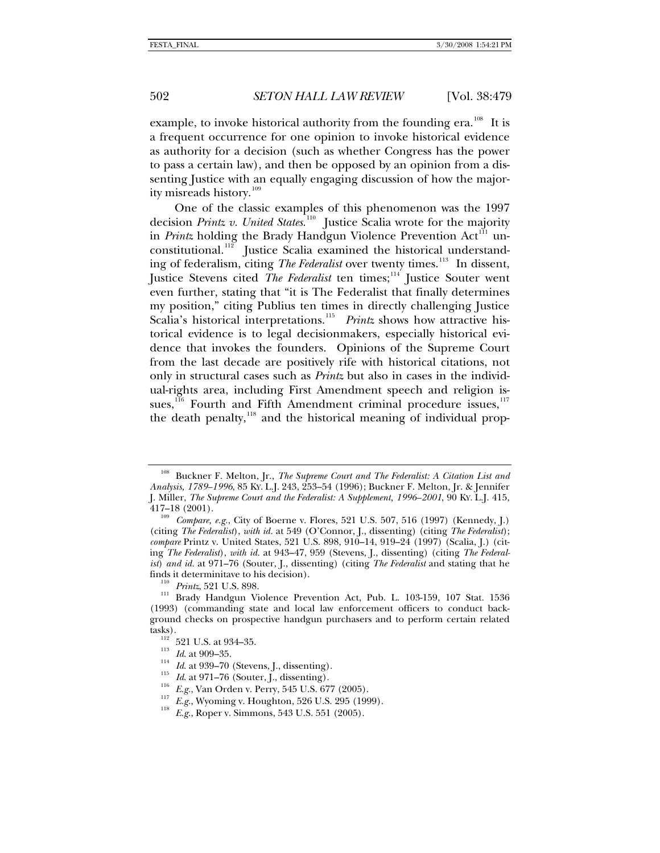example, to invoke historical authority from the founding era.<sup>[108](#page-23-0)</sup> It is a frequent occurrence for one opinion to invoke historical evidence as authority for a decision (such as whether Congress has the power to pass a certain law), and then be opposed by an opinion from a dissenting Justice with an equally engaging discussion of how the major-ity misreads history.<sup>[109](#page-23-1)</sup>

One of the classic examples of this phenomenon was the 1997 decision *Printz v. United States.*<sup>[110](#page-23-2)</sup> Justice Scalia wrote for the majority in *Printz* holding the Brady Handgun Violence Prevention  $Act^{\text{III}}$  un-constitutional.<sup>[112](#page-23-4)</sup> Justice Scalia examined the historical understanding of federalism, citing *The Federalist* over twenty times.<sup>[113](#page-23-5)</sup> In dissent, Justice Stevens cited *The Federalist* ten times;[114](#page-23-6) Justice Souter went even further, stating that "it is The Federalist that finally determines my position," citing Publius ten times in directly challenging Justice Scalia's historical interpretations.<sup>[115](#page-23-7)</sup> Printz shows how attractive historical evidence is to legal decisionmakers, especially historical evidence that invokes the founders. Opinions of the Supreme Court from the last decade are positively rife with historical citations, not only in structural cases such as *Printz* but also in cases in the individual-rights area, including First Amendment speech and religion is-sues,<sup>[116](#page-23-8)</sup> Fourth and Fifth Amendment criminal procedure issues,<sup>[117](#page-23-9)</sup> the death penalty, $^{118}$  $^{118}$  $^{118}$  and the historical meaning of individual prop-

<span id="page-23-0"></span><sup>108</sup> Buckner F. Melton, Jr., *The Supreme Court and The Federalist: A Citation List and Analysis, 1789–1996*, 85 KY. L.J. 243, 253–54 (1996); Buckner F. Melton, Jr. & Jennifer J. Miller, *The Supreme Court and the Federalist: A Supplement, 1996–2001*, 90 KY. L.J. 415,

<span id="page-23-1"></span><sup>&</sup>lt;sup>109</sup> Compare, e.g., City of Boerne v. Flores, 521 U.S. 507, 516 (1997) (Kennedy, J.) (citing *The Federalist*), *with id.* at 549 (O'Connor, J., dissenting) (citing *The Federalist*); *compare* Printz v. United States, 521 U.S. 898, 910–14, 919–24 (1997) (Scalia, J.) (citing *The Federalist*), *with id.* at 943–47, 959 (Stevens, J., dissenting) (citing *The Federalist*) *and id.* at 971–76 (Souter, J., dissenting) (citing *The Federalist* and stating that he

<span id="page-23-4"></span><span id="page-23-3"></span><span id="page-23-2"></span><sup>&</sup>lt;sup>110</sup> *Printz*, 521 U.S. 898. 111 **Brady Handgun Violence Prevention Act, Pub. L. 103-159, 107 Stat. 1536** (1993) (commanding state and local law enforcement officers to conduct background checks on prospective handgun purchasers and to perform certain related tasks).<br>  $^{112}$  521 U.S. at 934–35.<br>  $^{113}$  *Id.* at 909–35.<br>  $^{114}$  *Id.* at 939–70 (Stevens, J., dissenting).<br>  $^{115}$  *Id.* at 971–76 (Souter, J., dissenting).<br>  $^{115}$  *Id.* at 971–76 (Souter, J., dissenting).<br>  $^{1$ 

<span id="page-23-6"></span><span id="page-23-5"></span>

<span id="page-23-8"></span><span id="page-23-7"></span>

<span id="page-23-10"></span><span id="page-23-9"></span>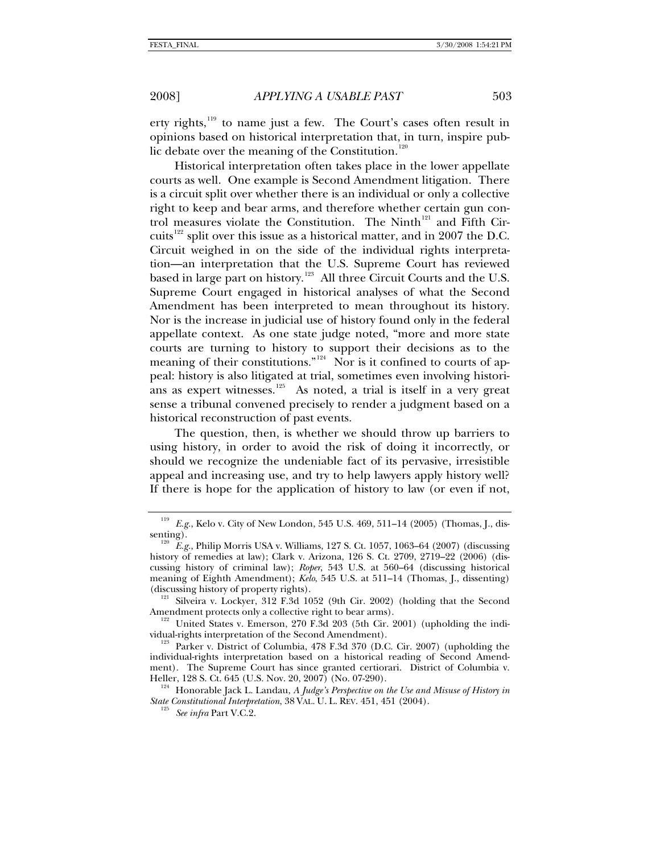erty rights, $119$  to name just a few. The Court's cases often result in opinions based on historical interpretation that, in turn, inspire public debate over the meaning of the Constitution. $120$ 

Historical interpretation often takes place in the lower appellate courts as well. One example is Second Amendment litigation. There is a circuit split over whether there is an individual or only a collective right to keep and bear arms, and therefore whether certain gun con-trol measures violate the Constitution. The Ninth<sup>[121](#page-24-2)</sup> and Fifth Cir-cuits<sup>[122](#page-24-3)</sup> split over this issue as a historical matter, and in 2007 the D.C. Circuit weighed in on the side of the individual rights interpretation—an interpretation that the U.S. Supreme Court has reviewed based in large part on history.<sup>[123](#page-24-4)</sup> All three Circuit Courts and the U.S. Supreme Court engaged in historical analyses of what the Second Amendment has been interpreted to mean throughout its history. Nor is the increase in judicial use of history found only in the federal appellate context. As one state judge noted, "more and more state courts are turning to history to support their decisions as to the meaning of their constitutions."<sup>[124](#page-24-5)</sup> Nor is it confined to courts of appeal: history is also litigated at trial, sometimes even involving historians as expert witnesses. $125$  As noted, a trial is itself in a very great sense a tribunal convened precisely to render a judgment based on a historical reconstruction of past events.

The question, then, is whether we should throw up barriers to using history, in order to avoid the risk of doing it incorrectly, or should we recognize the undeniable fact of its pervasive, irresistible appeal and increasing use, and try to help lawyers apply history well? If there is hope for the application of history to law (or even if not,

<sup>119</sup> *E.g.*, Kelo v. City of New London, 545 U.S. 469, 511–14 (2005) (Thomas, J., dis-

<span id="page-24-1"></span><span id="page-24-0"></span>senting).<br><sup>120</sup> E.g., Philip Morris USA v. Williams, 127 S. Ct. 1057, 1063–64 (2007) (discussing history of remedies at law); Clark v. Arizona, 126 S. Ct. 2709, 2719–22 (2006) (discussing history of criminal law); *Roper*, 543 U.S. at 560–64 (discussing historical meaning of Eighth Amendment); *Kelo*, 545 U.S. at 511–14 (Thomas, J., dissenting)

<span id="page-24-2"></span><sup>(</sup>discussing history of property rights).<br>
<sup>121</sup> Silveira v. Lockyer, 312 F.3d 1052 (9th Cir. 2002) (holding that the Second<br>
Amendment protects only a collective right to bear arms).

<span id="page-24-3"></span><sup>&</sup>lt;sup>122</sup> United States v. Emerson, 270 F.3d 203 (5th Cir. 2001) (upholding the indi-<br>vidual-rights interpretation of the Second Amendment).

<span id="page-24-4"></span> $v_1^{123}$  Parker v. District of Columbia, 478 F.3d 370 (D.C. Cir. 2007) (upholding the individual-rights interpretation based on a historical reading of Second Amendment). The Supreme Court has since granted certiorari. District of Columbia v. Heller, 128 S. Ct. 645 (U.S. Nov. 20, 2007) (No. 07-290).<br><sup>124</sup> Honorable Jack L. Landau, *A Judge's Perspective on the Use and Misuse of History in* 

<span id="page-24-6"></span><span id="page-24-5"></span>*State Constitutional Interpretation*, 38 VAL. U. L. REV. 451, 451 (2004). 125 *See infra* Part V.C.2.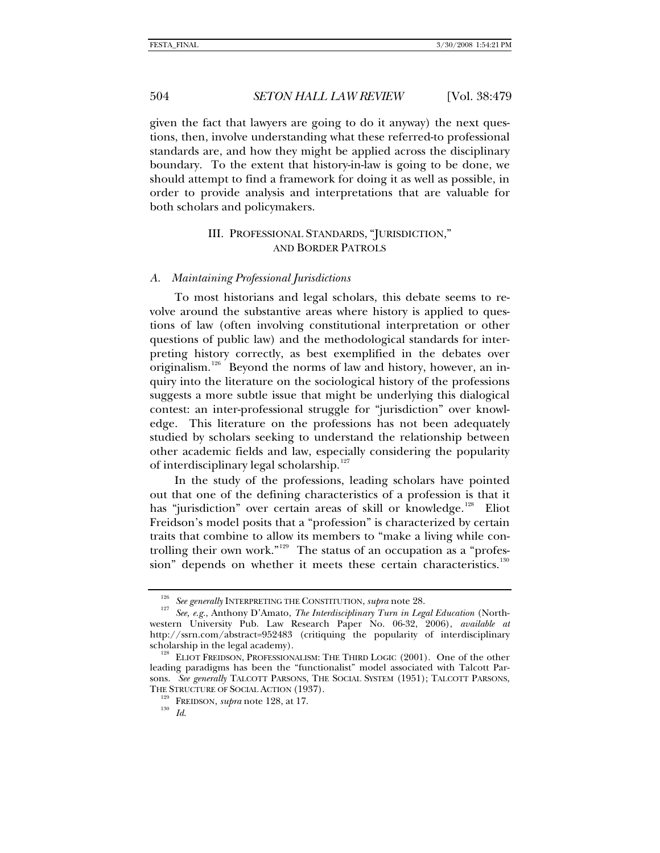<span id="page-25-0"></span>given the fact that lawyers are going to do it anyway) the next questions, then, involve understanding what these referred-to professional standards are, and how they might be applied across the disciplinary boundary. To the extent that history-in-law is going to be done, we should attempt to find a framework for doing it as well as possible, in order to provide analysis and interpretations that are valuable for both scholars and policymakers.

# III. PROFESSIONAL STANDARDS, "JURISDICTION," AND BORDER PATROLS

## *A. Maintaining Professional Jurisdictions*

To most historians and legal scholars, this debate seems to revolve around the substantive areas where history is applied to questions of law (often involving constitutional interpretation or other questions of public law) and the methodological standards for interpreting history correctly, as best exemplified in the debates over originalism.<sup>[126](#page-25-1)</sup> Beyond the norms of law and history, however, an inquiry into the literature on the sociological history of the professions suggests a more subtle issue that might be underlying this dialogical contest: an inter-professional struggle for "jurisdiction" over knowledge. This literature on the professions has not been adequately studied by scholars seeking to understand the relationship between other academic fields and law, especially considering the popularity of interdisciplinary legal scholarship.<sup>[127](#page-25-2)</sup>

In the study of the professions, leading scholars have pointed out that one of the defining characteristics of a profession is that it has "jurisdiction" over certain areas of skill or knowledge.<sup>[128](#page-25-3)</sup> Eliot Freidson's model posits that a "profession" is characterized by certain traits that combine to allow its members to "make a living while controlling their own work."[129](#page-25-4) The status of an occupation as a "profes-sion" depends on whether it meets these certain characteristics.<sup>[130](#page-25-5)</sup>

<span id="page-25-2"></span><span id="page-25-1"></span><sup>&</sup>lt;sup>126</sup> See generally INTERPRETING THE CONSTITUTION, *supra* note 28.<br><sup>127</sup> See, e.g., Anthony D'Amato, *The Interdisciplinary Turn in Legal Education* (Northwestern University Pub. Law Research Paper No. 06-32, 2006), *available at* http://ssrn.com/abstract=952483 (critiquing the popularity of interdisciplinary scholarship in the legal academy).<br><sup>128</sup> ELIOT FREIDSON, PROFESSIONALISM: THE THIRD LOGIC (2001). One of the other

<span id="page-25-5"></span><span id="page-25-4"></span><span id="page-25-3"></span>leading paradigms has been the "functionalist" model associated with Talcott Parsons. *See generally* TALCOTT PARSONS, THE SOCIAL SYSTEM (1951); TALCOTT PARSONS, THE STRUCTURE OF SOCIAL ACTION (1937). 129 FREIDSON, *supra* note 128, at 17. 130 *Id*.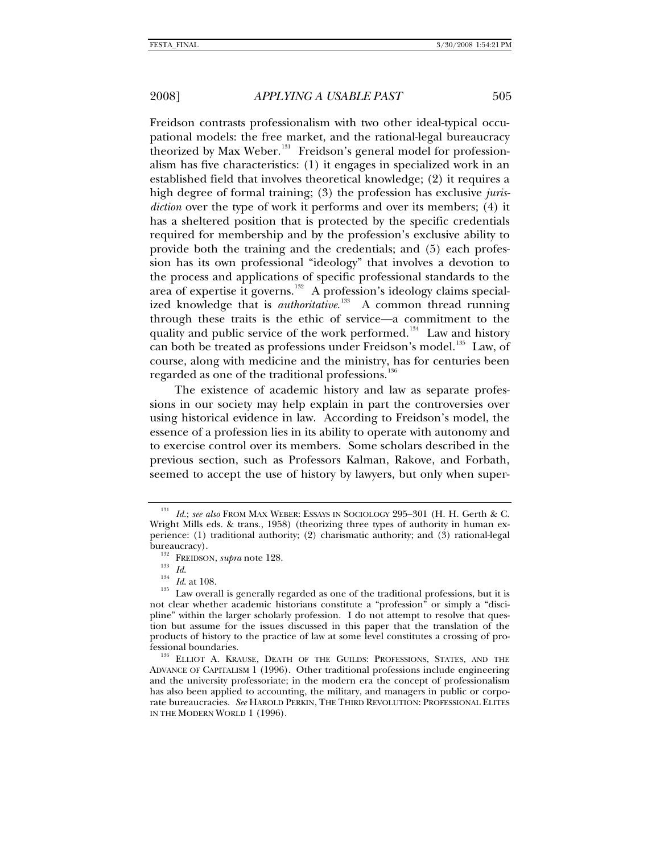Freidson contrasts professionalism with two other ideal-typical occupational models: the free market, and the rational-legal bureaucracy theorized by Max Weber.<sup>[131](#page-26-0)</sup> Freidson's general model for professionalism has five characteristics: (1) it engages in specialized work in an established field that involves theoretical knowledge; (2) it requires a high degree of formal training; (3) the profession has exclusive *jurisdiction* over the type of work it performs and over its members; (4) it has a sheltered position that is protected by the specific credentials required for membership and by the profession's exclusive ability to provide both the training and the credentials; and (5) each profession has its own professional "ideology" that involves a devotion to the process and applications of specific professional standards to the area of expertise it governs.<sup>[132](#page-26-1)</sup> A profession's ideology claims specialized knowledge that is *authoritative*.<sup>[133](#page-26-2)</sup> A common thread running through these traits is the ethic of service—a commitment to the quality and public service of the work performed.<sup>[134](#page-26-3)</sup> Law and history can both be treated as professions under Freidson's model.<sup>[135](#page-26-4)</sup> Law, of course, along with medicine and the ministry, has for centuries been regarded as one of the traditional professions.<sup>1</sup>

The existence of academic history and law as separate professions in our society may help explain in part the controversies over using historical evidence in law. According to Freidson's model, the essence of a profession lies in its ability to operate with autonomy and to exercise control over its members. Some scholars described in the previous section, such as Professors Kalman, Rakove, and Forbath, seemed to accept the use of history by lawyers, but only when super-

<span id="page-26-0"></span><sup>131</sup> *Id*.; *see also* FROM MAX WEBER: ESSAYS IN SOCIOLOGY 295–301 (H. H. Gerth & C. Wright Mills eds. & trans., 1958) (theorizing three types of authority in human experience: (1) traditional authority; (2) charismatic authority; and (3) rational-legal bureaucracy).<br><sup>132</sup> FREIDSON, *supra* note 128.<br><sup>133</sup> *Id.* 144 *Id.* at 108.<br><sup>135</sup> Law overall is generally regarded as one of the traditional professions, but it is

<span id="page-26-4"></span><span id="page-26-3"></span><span id="page-26-2"></span><span id="page-26-1"></span>not clear whether academic historians constitute a "profession" or simply a "discipline" within the larger scholarly profession. I do not attempt to resolve that question but assume for the issues discussed in this paper that the translation of the products of history to the practice of law at some level constitutes a crossing of professional boundaries. 136 ELLIOT A. KRAUSE, DEATH OF THE GUILDS: PROFESSIONS, STATES, AND THE

<span id="page-26-5"></span>ADVANCE OF CAPITALISM 1 (1996). Other traditional professions include engineering and the university professoriate; in the modern era the concept of professionalism has also been applied to accounting, the military, and managers in public or corporate bureaucracies. *See* HAROLD PERKIN, THE THIRD REVOLUTION: PROFESSIONAL ELITES IN THE MODERN WORLD 1 (1996).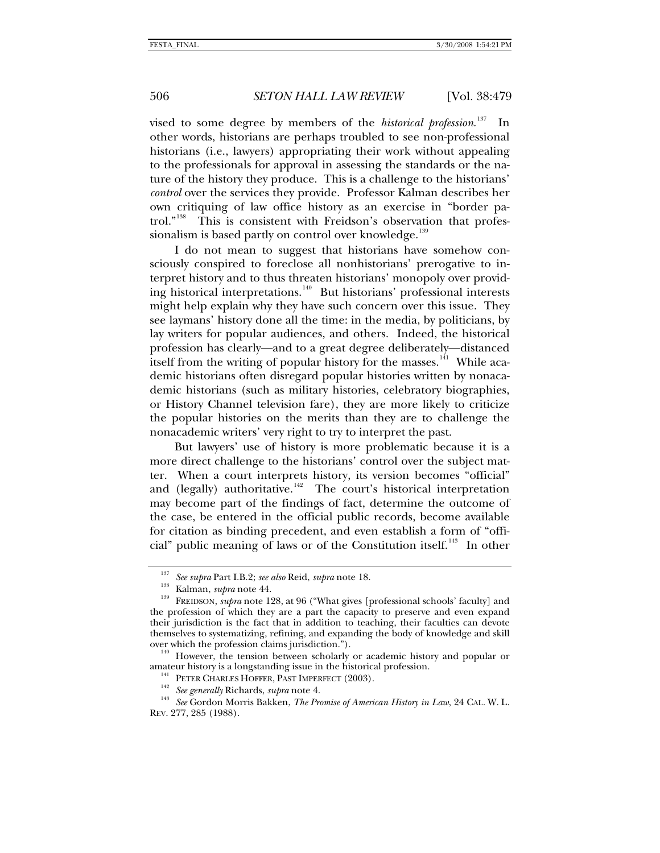vised to some degree by members of the *historical profession*. I<sub>n</sub> other words, historians are perhaps troubled to see non-professional historians (i.e., lawyers) appropriating their work without appealing to the professionals for approval in assessing the standards or the nature of the history they produce. This is a challenge to the historians' *control* over the services they provide. Professor Kalman describes her own critiquing of law office history as an exercise in "border patrol."[138](#page-27-1) This is consistent with Freidson's observation that profes-sionalism is based partly on control over knowledge.<sup>[139](#page-27-2)</sup>

I do not mean to suggest that historians have somehow consciously conspired to foreclose all nonhistorians' prerogative to interpret history and to thus threaten historians' monopoly over provid-ing historical interpretations.<sup>[140](#page-27-3)</sup> But historians' professional interests might help explain why they have such concern over this issue. They see laymans' history done all the time: in the media, by politicians, by lay writers for popular audiences, and others. Indeed, the historical profession has clearly—and to a great degree deliberately—distanced itself from the writing of popular history for the masses.<sup>[141](#page-27-4)</sup> While academic historians often disregard popular histories written by nonacademic historians (such as military histories, celebratory biographies, or History Channel television fare), they are more likely to criticize the popular histories on the merits than they are to challenge the nonacademic writers' very right to try to interpret the past.

But lawyers' use of history is more problematic because it is a more direct challenge to the historians' control over the subject matter. When a court interprets history, its version becomes "official" and (legally) authoritative.<sup>[142](#page-27-5)</sup> The court's historical interpretation may become part of the findings of fact, determine the outcome of the case, be entered in the official public records, become available for citation as binding precedent, and even establish a form of "offi-cial" public meaning of laws or of the Constitution itself.<sup>[143](#page-27-6)</sup> In other

<span id="page-27-2"></span><span id="page-27-1"></span><span id="page-27-0"></span><sup>137</sup> *See supra* Part I.B.2; *see also* Reid, *supra* note 18. 138 Kalman, *supra* note 44. 139 FREIDSON, *supra* note 128, at 96 ("What gives [professional schools' faculty] and the profession of which they are a part the capacity to preserve and even expand their jurisdiction is the fact that in addition to teaching, their faculties can devote themselves to systematizing, refining, and expanding the body of knowledge and skill

<span id="page-27-3"></span>over which the profession claims jurisdiction.").<br><sup>140</sup> However, the tension between scholarly or academic history and popular or<br>amateur history is a longstanding issue in the historical profession.

<span id="page-27-6"></span><span id="page-27-5"></span><span id="page-27-4"></span><sup>&</sup>lt;sup>141</sup> PETER CHARLES HOFFER, PAST IMPERFECT (2003).<br><sup>142</sup> See generally Richards, *supra* note 4.<br><sup>143</sup> See Gordon Morris Bakken, *The Promise of American History in Law*, 24 CAL. W. L. REV. 277, 285 (1988).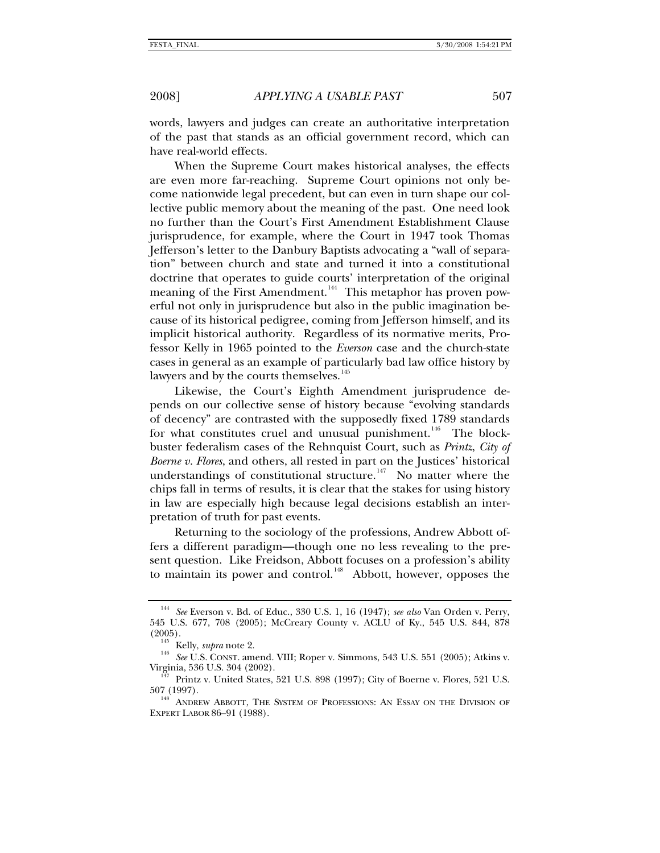words, lawyers and judges can create an authoritative interpretation of the past that stands as an official government record, which can have real-world effects.

When the Supreme Court makes historical analyses, the effects are even more far-reaching. Supreme Court opinions not only become nationwide legal precedent, but can even in turn shape our collective public memory about the meaning of the past. One need look no further than the Court's First Amendment Establishment Clause jurisprudence, for example, where the Court in 1947 took Thomas Jefferson's letter to the Danbury Baptists advocating a "wall of separation" between church and state and turned it into a constitutional doctrine that operates to guide courts' interpretation of the original meaning of the First Amendment.<sup>[144](#page-28-0)</sup> This metaphor has proven powerful not only in jurisprudence but also in the public imagination because of its historical pedigree, coming from Jefferson himself, and its implicit historical authority. Regardless of its normative merits, Professor Kelly in 1965 pointed to the *Everson* case and the church-state cases in general as an example of particularly bad law office history by lawyers and by the courts themselves.<sup>[145](#page-28-1)</sup>

Likewise, the Court's Eighth Amendment jurisprudence depends on our collective sense of history because "evolving standards of decency" are contrasted with the supposedly fixed 1789 standards for what constitutes cruel and unusual punishment.<sup>[146](#page-28-2)</sup> The blockbuster federalism cases of the Rehnquist Court, such as *Printz*, *City of Boerne v. Flores*, and others, all rested in part on the Justices' historical understandings of constitutional structure.<sup>[147](#page-28-3)</sup> No matter where the chips fall in terms of results, it is clear that the stakes for using history in law are especially high because legal decisions establish an interpretation of truth for past events.

Returning to the sociology of the professions, Andrew Abbott offers a different paradigm—though one no less revealing to the present question. Like Freidson, Abbott focuses on a profession's ability to maintain its power and control.<sup>[148](#page-28-4)</sup> Abbott, however, opposes the

<span id="page-28-0"></span><sup>144</sup> *See* Everson v. Bd. of Educ., 330 U.S. 1, 16 (1947); *see also* Van Orden v. Perry, 545 U.S. 677, 708 (2005); McCreary County v. ACLU of Ky., 545 U.S. 844, 878

<span id="page-28-2"></span><span id="page-28-1"></span><sup>&</sup>lt;sup>145</sup> Kelly, *supra* note 2.<br><sup>146</sup> *See* U.S. CONST. amend. VIII; Roper v. Simmons, 543 U.S. 551 (2005); Atkins v.<br>Virginia, 536 U.S. 304 (2002).

<span id="page-28-3"></span>Printz v. United States, 521 U.S. 898 (1997); City of Boerne v. Flores, 521 U.S. 507 (1997).<br><sup>148</sup> ANDREW ABBOTT, THE SYSTEM OF PROFESSIONS: AN ESSAY ON THE DIVISION OF

<span id="page-28-4"></span>EXPERT LABOR 86–91 (1988).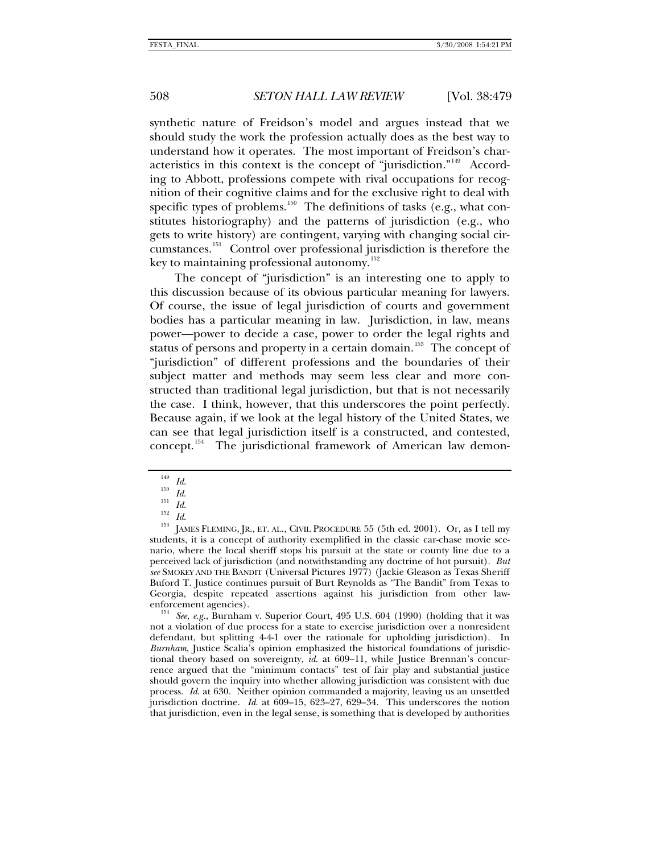synthetic nature of Freidson's model and argues instead that we should study the work the profession actually does as the best way to understand how it operates. The most important of Freidson's characteristics in this context is the concept of "jurisdiction."[149](#page-29-0) According to Abbott, professions compete with rival occupations for recognition of their cognitive claims and for the exclusive right to deal with specific types of problems.<sup>[150](#page-29-1)</sup> The definitions of tasks (e.g., what constitutes historiography) and the patterns of jurisdiction (e.g., who gets to write history) are contingent, varying with changing social circumstances.[151](#page-29-2) Control over professional jurisdiction is therefore the key to maintaining professional autonomy. $152$ 

The concept of "jurisdiction" is an interesting one to apply to this discussion because of its obvious particular meaning for lawyers. Of course, the issue of legal jurisdiction of courts and government bodies has a particular meaning in law. Jurisdiction, in law, means power—power to decide a case, power to order the legal rights and status of persons and property in a certain domain.<sup>[153](#page-29-4)</sup> The concept of "jurisdiction" of different professions and the boundaries of their subject matter and methods may seem less clear and more constructed than traditional legal jurisdiction, but that is not necessarily the case. I think, however, that this underscores the point perfectly. Because again, if we look at the legal history of the United States, we can see that legal jurisdiction itself is a constructed, and contested, concept.<sup>[154](#page-29-5)</sup> The jurisdictional framework of American law demon-

<span id="page-29-5"></span>not a violation of due process for a state to exercise jurisdiction over a nonresident defendant, but splitting 4-4-1 over the rationale for upholding jurisdiction). In *Burnham*, Justice Scalia's opinion emphasized the historical foundations of jurisdictional theory based on sovereignty, *id*. at 609–11, while Justice Brennan's concurrence argued that the "minimum contacts" test of fair play and substantial justice should govern the inquiry into whether allowing jurisdiction was consistent with due process. *Id*. at 630. Neither opinion commanded a majority, leaving us an unsettled jurisdiction doctrine. *Id*. at 609–15, 623–27, 629–34. This underscores the notion that jurisdiction, even in the legal sense, is something that is developed by authorities

<span id="page-29-4"></span>

<span id="page-29-3"></span><span id="page-29-2"></span><span id="page-29-1"></span><span id="page-29-0"></span><sup>&</sup>lt;sup>149</sup> *Id.*<br><sup>150</sup> *Id.*<br><sup>151</sup> *Id.*<br><sup>152</sup> *Id.*<br><sup>153</sup> Id. 152<sup>3</sup> Id.<br><sup>153</sup> IAMES FLEMING, JR., ET. AL., CIVIL PROCEDURE 55 (5th ed. 2001). Or, as I tell my students, it is a concept of authority exemplified in the classic car-chase movie scenario, where the local sheriff stops his pursuit at the state or county line due to a perceived lack of jurisdiction (and notwithstanding any doctrine of hot pursuit). *But see* SMOKEY AND THE BANDIT (Universal Pictures 1977) (Jackie Gleason as Texas Sheriff Buford T. Justice continues pursuit of Burt Reynolds as "The Bandit" from Texas to Georgia, despite repeated assertions against his jurisdiction from other lawenforcement agencies).<br><sup>154</sup> See, e.g., Burnham v. Superior Court, 495 U.S. 604 (1990) (holding that it was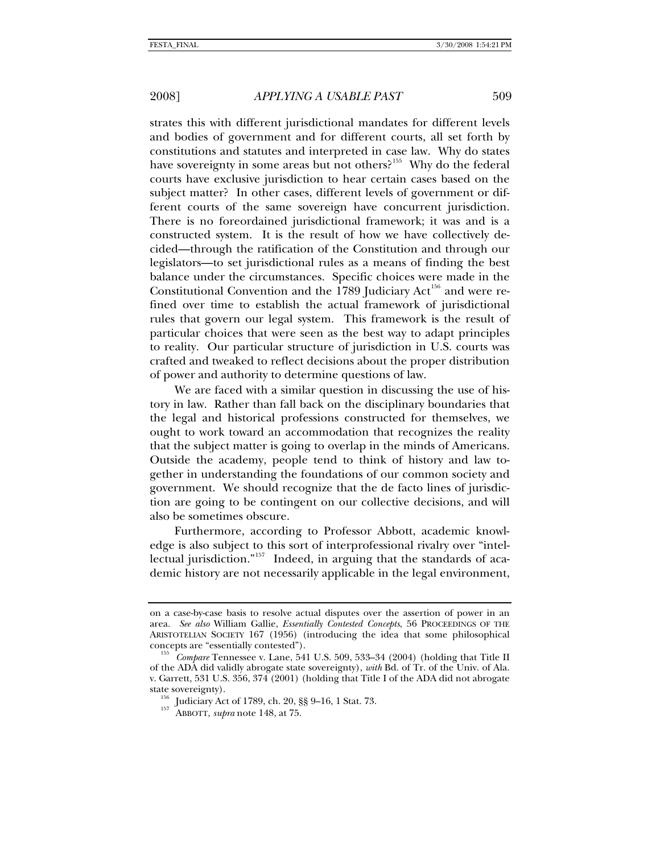strates this with different jurisdictional mandates for different levels and bodies of government and for different courts, all set forth by constitutions and statutes and interpreted in case law. Why do states have sovereignty in some areas but not others?<sup>[155](#page-30-0)</sup> Why do the federal courts have exclusive jurisdiction to hear certain cases based on the subject matter? In other cases, different levels of government or different courts of the same sovereign have concurrent jurisdiction. There is no foreordained jurisdictional framework; it was and is a constructed system. It is the result of how we have collectively decided—through the ratification of the Constitution and through our legislators—to set jurisdictional rules as a means of finding the best balance under the circumstances. Specific choices were made in the Constitutional Convention and the  $1789$  Judiciary Act<sup>[156](#page-30-1)</sup> and were refined over time to establish the actual framework of jurisdictional rules that govern our legal system. This framework is the result of particular choices that were seen as the best way to adapt principles to reality. Our particular structure of jurisdiction in U.S. courts was crafted and tweaked to reflect decisions about the proper distribution of power and authority to determine questions of law.

We are faced with a similar question in discussing the use of history in law. Rather than fall back on the disciplinary boundaries that the legal and historical professions constructed for themselves, we ought to work toward an accommodation that recognizes the reality that the subject matter is going to overlap in the minds of Americans. Outside the academy, people tend to think of history and law together in understanding the foundations of our common society and government. We should recognize that the de facto lines of jurisdiction are going to be contingent on our collective decisions, and will also be sometimes obscure.

Furthermore, according to Professor Abbott, academic knowledge is also subject to this sort of interprofessional rivalry over "intel-lectual jurisdiction."<sup>[157](#page-30-2)</sup> Indeed, in arguing that the standards of academic history are not necessarily applicable in the legal environment,

on a case-by-case basis to resolve actual disputes over the assertion of power in an area. *See also* William Gallie, *Essentially Contested Concepts*, 56 PROCEEDINGS OF THE ARISTOTELIAN SOCIETY 167 (1956) (introducing the idea that some philosophical

<span id="page-30-2"></span><span id="page-30-1"></span><span id="page-30-0"></span><sup>&</sup>lt;sup>155</sup> Compare Tennessee v. Lane, 541 U.S. 509, 533–34 (2004) (holding that Title II of the ADA did validly abrogate state sovereignty), *with* Bd. of Tr. of the Univ. of Ala. v. Garrett, 531 U.S. 356, 374 (2001) (holding that Title I of the ADA did not abrogate

<sup>&</sup>lt;sup>156</sup> Judiciary Act of 1789, ch. 20, §§ 9–16, 1 Stat. 73.<br><sup>157</sup> ABBOTT, *supra* note 148, at 75.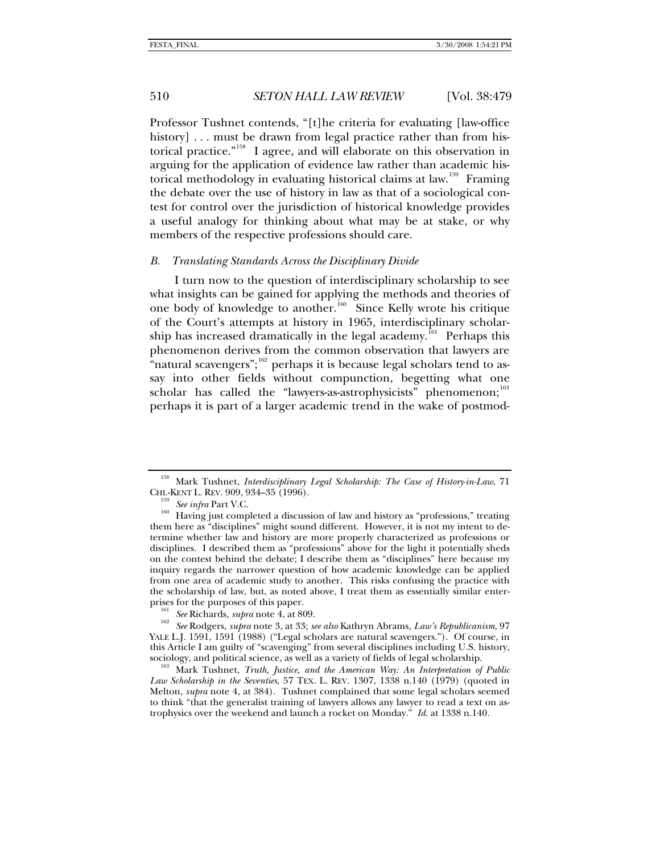<span id="page-31-0"></span>Professor Tushnet contends, "[t]he criteria for evaluating [law-office history] . . . must be drawn from legal practice rather than from historical practice."[158](#page-31-1) I agree, and will elaborate on this observation in arguing for the application of evidence law rather than academic his-torical methodology in evaluating historical claims at law.<sup>[159](#page-31-2)</sup> Framing the debate over the use of history in law as that of a sociological contest for control over the jurisdiction of historical knowledge provides a useful analogy for thinking about what may be at stake, or why members of the respective professions should care.

### *B. Translating Standards Across the Disciplinary Divide*

I turn now to the question of interdisciplinary scholarship to see what insights can be gained for applying the methods and theories of one body of knowledge to another.<sup>[160](#page-31-3)</sup> Since Kelly wrote his critique of the Court's attempts at history in 1965, interdisciplinary scholar-ship has increased dramatically in the legal academy.<sup>[161](#page-31-4)</sup> Perhaps this phenomenon derives from the common observation that lawyers are "natural scavengers"; $162$  perhaps it is because legal scholars tend to assay into other fields without compunction, begetting what one scholar has called the "lawyers-as-astrophysicists" phenomenon;<sup>[163](#page-31-6)</sup> perhaps it is part of a larger academic trend in the wake of postmod-

<span id="page-31-1"></span><sup>&</sup>lt;sup>158</sup> Mark Tushnet, *Interdisciplinary Legal Scholarship: The Case of History-in-Law*, 71 CHI.-KENT L. REV. 909, 934–35 (1996).

<span id="page-31-3"></span><span id="page-31-2"></span><sup>&</sup>lt;sup>159</sup> See infra Part V.C.<br><sup>160</sup> Having just completed a discussion of law and history as "professions," treating them here as "disciplines" might sound different. However, it is not my intent to determine whether law and history are more properly characterized as professions or disciplines. I described them as "professions" above for the light it potentially sheds on the contest behind the debate; I describe them as "disciplines" here because my inquiry regards the narrower question of how academic knowledge can be applied from one area of academic study to another. This risks confusing the practice with the scholarship of law, but, as noted above, I treat them as essentially similar enter-<br>prises for the purposes of this paper.

<span id="page-31-5"></span><span id="page-31-4"></span>prises for the purposes of this paper. 161 *See* Richards, *supra* note 4, at 809. 162 *See* Rodgers, *supra* note 3, at 33; *see also* Kathryn Abrams, *Law's Republicanism*, 97 YALE L.J. 1591, 1591 (1988) ("Legal scholars are natural scavengers."). Of course, in this Article I am guilty of "scavenging" from several disciplines including U.S. history,

<span id="page-31-6"></span>sociology, and political science, as well as a variety of fields of legal scholarship. 163 Mark Tushnet, *Truth, Justice, and the American Way: An Interpretation of Public Law Scholarship in the Seventies*, 57 TEX. L. REV. 1307, 1338 n.140 (1979) (quoted in Melton, *supra* note 4, at 384). Tushnet complained that some legal scholars seemed to think "that the generalist training of lawyers allows any lawyer to read a text on astrophysics over the weekend and launch a rocket on Monday."*Id.* at 1338 n.140.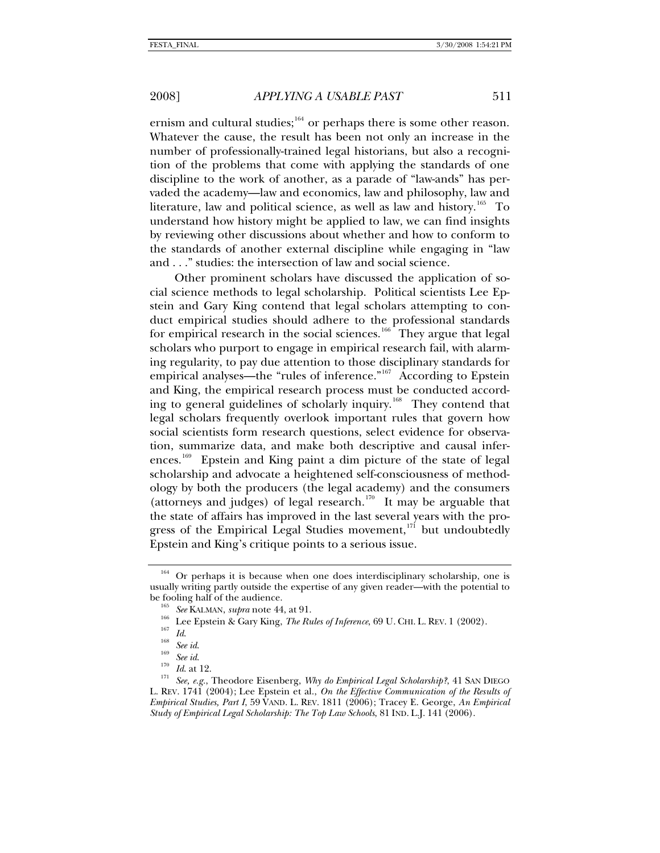ernism and cultural studies;  $164$  or perhaps there is some other reason. Whatever the cause, the result has been not only an increase in the number of professionally-trained legal historians, but also a recognition of the problems that come with applying the standards of one discipline to the work of another, as a parade of "law-ands" has pervaded the academy—law and economics, law and philosophy, law and literature, law and political science, as well as law and history.<sup>[165](#page-32-1)</sup> To understand how history might be applied to law, we can find insights by reviewing other discussions about whether and how to conform to the standards of another external discipline while engaging in "law and . . ." studies: the intersection of law and social science.

Other prominent scholars have discussed the application of social science methods to legal scholarship. Political scientists Lee Epstein and Gary King contend that legal scholars attempting to conduct empirical studies should adhere to the professional standards for empirical research in the social sciences.<sup>[166](#page-32-2)</sup> They argue that legal scholars who purport to engage in empirical research fail, with alarming regularity, to pay due attention to those disciplinary standards for empirical analyses—the "rules of inference."<sup>[167](#page-32-3)</sup> According to Epstein and King, the empirical research process must be conducted accord-ing to general guidelines of scholarly inquiry.<sup>[168](#page-32-4)</sup> They contend that legal scholars frequently overlook important rules that govern how social scientists form research questions, select evidence for observation, summarize data, and make both descriptive and causal infer-ences.<sup>[169](#page-32-5)</sup> Epstein and King paint a dim picture of the state of legal scholarship and advocate a heightened self-consciousness of methodology by both the producers (the legal academy) and the consumers (attorneys and judges) of legal research.<sup>[170](#page-32-6)</sup> It may be arguable that the state of affairs has improved in the last several years with the pro-gress of the Empirical Legal Studies movement,<sup>[171](#page-32-7)</sup> but undoubtedly Epstein and King's critique points to a serious issue.

<span id="page-32-0"></span>Or perhaps it is because when one does interdisciplinary scholarship, one is usually writing partly outside the expertise of any given reader—with the potential to

<span id="page-32-7"></span><span id="page-32-6"></span>

<span id="page-32-5"></span><span id="page-32-4"></span><span id="page-32-3"></span><span id="page-32-2"></span><span id="page-32-1"></span>be fooling half of the audience.<br>
<sup>165</sup> See KALMAN, *supra* note 44, at 91.<br>
<sup>166</sup> Lee Epstein & Gary King, *The Rules of Inference*, 69 U. CHI. L. REV. 1 (2002).<br>
<sup>167</sup> *Id.*<br>
<sup>168</sup> See id.<br>
<sup>169</sup> See id.<br>
<sup>170</sup> *Id.* at L. REV. 1741 (2004); Lee Epstein et al., *On the Effective Communication of the Results of Empirical Studies, Part I*, 59 VAND. L. REV. 1811 (2006); Tracey E. George, *An Empirical Study of Empirical Legal Scholarship: The Top Law Schools*, 81 IND. L.J. 141 (2006).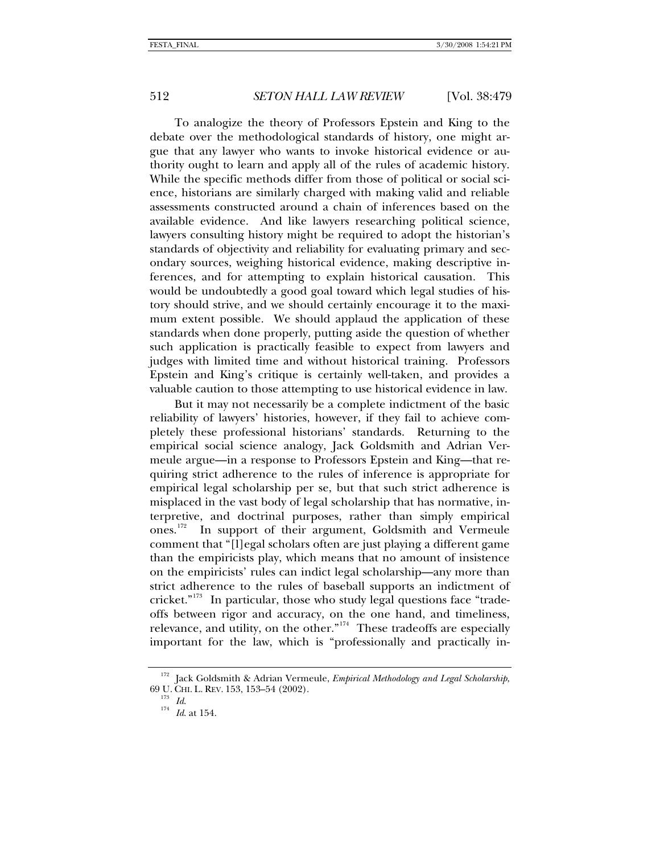To analogize the theory of Professors Epstein and King to the debate over the methodological standards of history, one might argue that any lawyer who wants to invoke historical evidence or authority ought to learn and apply all of the rules of academic history. While the specific methods differ from those of political or social science, historians are similarly charged with making valid and reliable assessments constructed around a chain of inferences based on the available evidence. And like lawyers researching political science, lawyers consulting history might be required to adopt the historian's standards of objectivity and reliability for evaluating primary and secondary sources, weighing historical evidence, making descriptive inferences, and for attempting to explain historical causation. This would be undoubtedly a good goal toward which legal studies of history should strive, and we should certainly encourage it to the maximum extent possible. We should applaud the application of these standards when done properly, putting aside the question of whether such application is practically feasible to expect from lawyers and judges with limited time and without historical training. Professors Epstein and King's critique is certainly well-taken, and provides a valuable caution to those attempting to use historical evidence in law.

But it may not necessarily be a complete indictment of the basic reliability of lawyers' histories, however, if they fail to achieve completely these professional historians' standards. Returning to the empirical social science analogy, Jack Goldsmith and Adrian Vermeule argue—in a response to Professors Epstein and King—that requiring strict adherence to the rules of inference is appropriate for empirical legal scholarship per se, but that such strict adherence is misplaced in the vast body of legal scholarship that has normative, interpretive, and doctrinal purposes, rather than simply empirical ones.<sup>[172](#page-33-0)</sup> In support of their argument, Goldsmith and Vermeule comment that "[l]egal scholars often are just playing a different game than the empiricists play, which means that no amount of insistence on the empiricists' rules can indict legal scholarship—any more than strict adherence to the rules of baseball supports an indictment of cricket."[173](#page-33-1) In particular, those who study legal questions face "tradeoffs between rigor and accuracy, on the one hand, and timeliness, relevance, and utility, on the other."[174](#page-33-2) These tradeoffs are especially important for the law, which is "professionally and practically in-

<span id="page-33-2"></span><span id="page-33-1"></span><span id="page-33-0"></span><sup>&</sup>lt;sup>172</sup> Jack Goldsmith & Adrian Vermeule, *Empirical Methodology and Legal Scholarship*, 69 U. CHI. L. REV. 153, 153–54 (2002). 173 *Id*. 174 *Id*. at 154.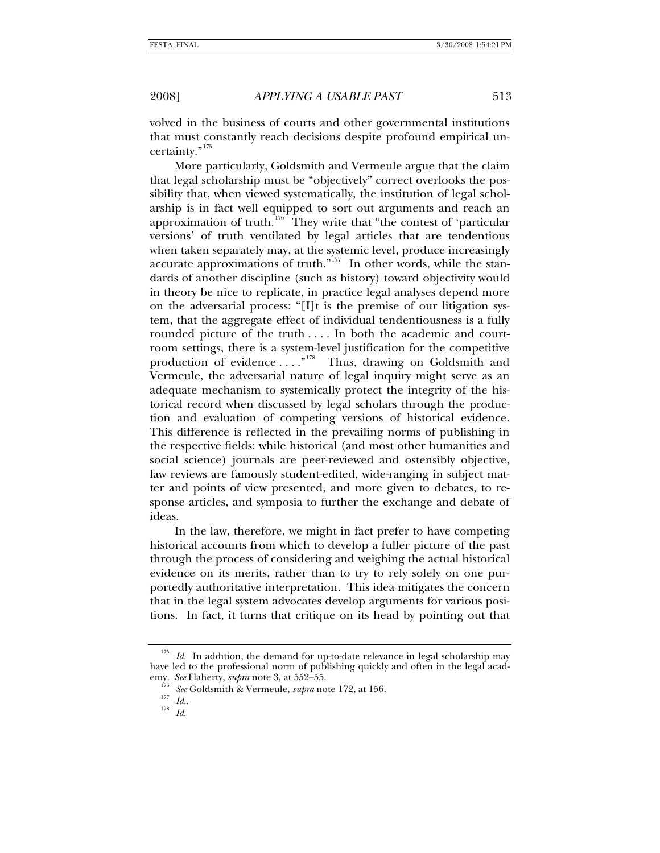volved in the business of courts and other governmental institutions that must constantly reach decisions despite profound empirical uncertainty."[175](#page-34-0)

More particularly, Goldsmith and Vermeule argue that the claim that legal scholarship must be "objectively" correct overlooks the possibility that, when viewed systematically, the institution of legal scholarship is in fact well equipped to sort out arguments and reach an approximation of truth.<sup>[176](#page-34-1)</sup> They write that "the contest of 'particular versions' of truth ventilated by legal articles that are tendentious when taken separately may, at the systemic level, produce increasingly accurate approximations of truth."<sup>[177](#page-34-2)</sup> In other words, while the standards of another discipline (such as history) toward objectivity would in theory be nice to replicate, in practice legal analyses depend more on the adversarial process: "[I]t is the premise of our litigation system, that the aggregate effect of individual tendentiousness is a fully rounded picture of the truth .... In both the academic and courtroom settings, there is a system-level justification for the competitive production of evidence ...."<sup>[178](#page-34-3)</sup> Thus, drawing on Goldsmith and Vermeule, the adversarial nature of legal inquiry might serve as an adequate mechanism to systemically protect the integrity of the historical record when discussed by legal scholars through the production and evaluation of competing versions of historical evidence. This difference is reflected in the prevailing norms of publishing in the respective fields: while historical (and most other humanities and social science) journals are peer-reviewed and ostensibly objective, law reviews are famously student-edited, wide-ranging in subject matter and points of view presented, and more given to debates, to response articles, and symposia to further the exchange and debate of ideas.

In the law, therefore, we might in fact prefer to have competing historical accounts from which to develop a fuller picture of the past through the process of considering and weighing the actual historical evidence on its merits, rather than to try to rely solely on one purportedly authoritative interpretation. This idea mitigates the concern that in the legal system advocates develop arguments for various positions. In fact, it turns that critique on its head by pointing out that

<span id="page-34-3"></span><span id="page-34-2"></span><span id="page-34-1"></span><span id="page-34-0"></span>Id. In addition, the demand for up-to-date relevance in legal scholarship may have led to the professional norm of publishing quickly and often in the legal academy. *See* Flaherty, *supra* note 3, at 552–55.<br><sup>176</sup> *See* Goldsmith & Vermeule, *supra* note 172, at 156.<br><sup>178</sup> *Id.* 178 *Id.*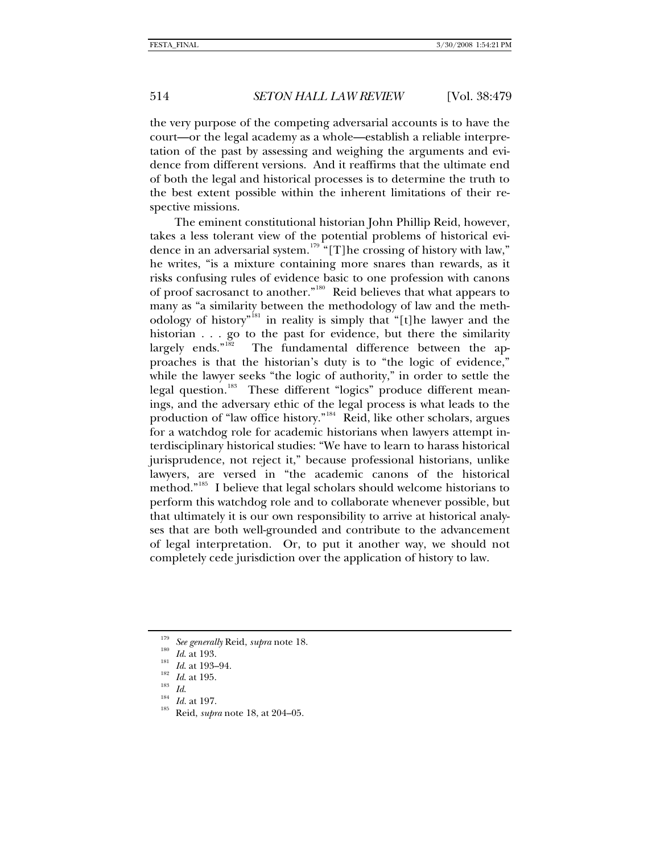the very purpose of the competing adversarial accounts is to have the court—or the legal academy as a whole—establish a reliable interpretation of the past by assessing and weighing the arguments and evidence from different versions. And it reaffirms that the ultimate end of both the legal and historical processes is to determine the truth to the best extent possible within the inherent limitations of their respective missions.

The eminent constitutional historian John Phillip Reid, however, takes a less tolerant view of the potential problems of historical evi-dence in an adversarial system.<sup>[179](#page-35-0)</sup> "[T]he crossing of history with law," he writes, "is a mixture containing more snares than rewards, as it risks confusing rules of evidence basic to one profession with canons of proof sacrosanct to another."[180](#page-35-1) Reid believes that what appears to many as "a similarity between the methodology of law and the meth-odology of history<sup>"<sup>[181](#page-35-2)</sup> in reality is simply that "[t]he lawyer and the</sup> historian . . . go to the past for evidence, but there the similarity largely ends."<sup>182</sup> The fundamental difference between the ap-The fundamental difference between the approaches is that the historian's duty is to "the logic of evidence," while the lawyer seeks "the logic of authority," in order to settle the legal question.<sup>[183](#page-35-4)</sup> These different "logics" produce different meanings, and the adversary ethic of the legal process is what leads to the production of "law office history."[184](#page-35-5) Reid, like other scholars, argues for a watchdog role for academic historians when lawyers attempt interdisciplinary historical studies: "We have to learn to harass historical jurisprudence, not reject it," because professional historians, unlike lawyers, are versed in "the academic canons of the historical method."[185](#page-35-6) I believe that legal scholars should welcome historians to perform this watchdog role and to collaborate whenever possible, but that ultimately it is our own responsibility to arrive at historical analyses that are both well-grounded and contribute to the advancement of legal interpretation. Or, to put it another way, we should not completely cede jurisdiction over the application of history to law.

- <span id="page-35-4"></span>
- <span id="page-35-6"></span><span id="page-35-5"></span>
- 

<span id="page-35-0"></span><sup>&</sup>lt;sup>179</sup> See generally Reid, *supra* note 18.<br><sup>180</sup> *Id.* at 193.<br><sup>181</sup> *Id.* at 195.<br><sup>183</sup> *Id. Id.* at 197.<br><sup>185</sup> Reid, *supra* note 18, at 204–05.

<span id="page-35-3"></span><span id="page-35-2"></span><span id="page-35-1"></span>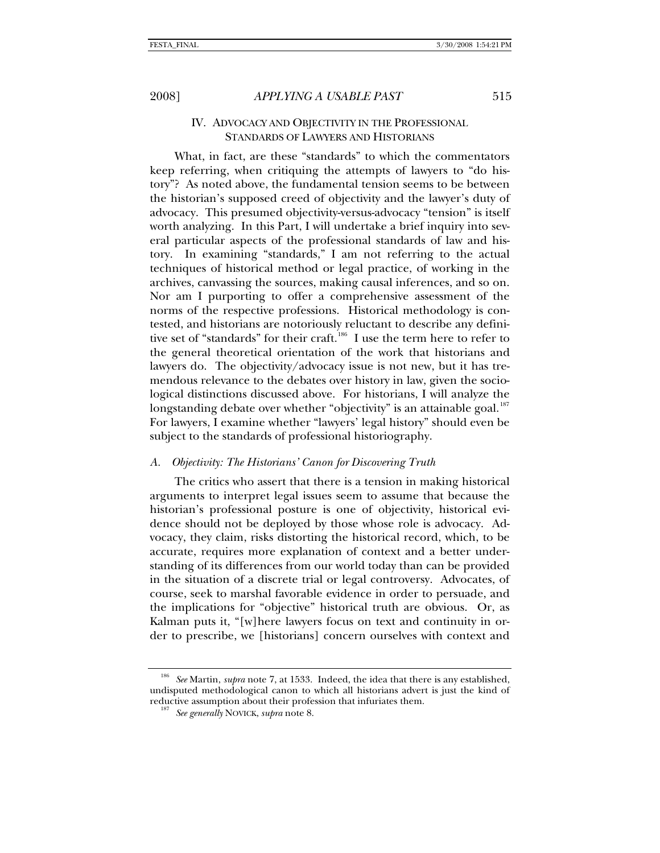# IV. ADVOCACY AND OBJECTIVITY IN THE PROFESSIONAL STANDARDS OF LAWYERS AND HISTORIANS

What, in fact, are these "standards" to which the commentators keep referring, when critiquing the attempts of lawyers to "do history"? As noted above, the fundamental tension seems to be between the historian's supposed creed of objectivity and the lawyer's duty of advocacy. This presumed objectivity-versus-advocacy "tension" is itself worth analyzing. In this Part, I will undertake a brief inquiry into several particular aspects of the professional standards of law and history. In examining "standards," I am not referring to the actual techniques of historical method or legal practice, of working in the archives, canvassing the sources, making causal inferences, and so on. Nor am I purporting to offer a comprehensive assessment of the norms of the respective professions. Historical methodology is contested, and historians are notoriously reluctant to describe any defini-tive set of "standards" for their craft.<sup>[186](#page-36-0)</sup> I use the term here to refer to the general theoretical orientation of the work that historians and lawyers do. The objectivity/advocacy issue is not new, but it has tremendous relevance to the debates over history in law, given the sociological distinctions discussed above. For historians, I will analyze the longstanding debate over whether "objectivity" is an attainable goal.<sup>[187](#page-36-1)</sup> For lawyers, I examine whether "lawyers' legal history" should even be subject to the standards of professional historiography.

## *A. Objectivity: The Historians' Canon for Discovering Truth*

The critics who assert that there is a tension in making historical arguments to interpret legal issues seem to assume that because the historian's professional posture is one of objectivity, historical evidence should not be deployed by those whose role is advocacy. Advocacy, they claim, risks distorting the historical record, which, to be accurate, requires more explanation of context and a better understanding of its differences from our world today than can be provided in the situation of a discrete trial or legal controversy. Advocates, of course, seek to marshal favorable evidence in order to persuade, and the implications for "objective" historical truth are obvious. Or, as Kalman puts it, "[w]here lawyers focus on text and continuity in order to prescribe, we [historians] concern ourselves with context and

<span id="page-36-1"></span><span id="page-36-0"></span><sup>186</sup> *See* Martin, *supra* note 7, at 1533. Indeed, the idea that there is any established, undisputed methodological canon to which all historians advert is just the kind of reductive assumption about their profession that infuriates them. 187 *See generally* NOVICK, *supra* note 8.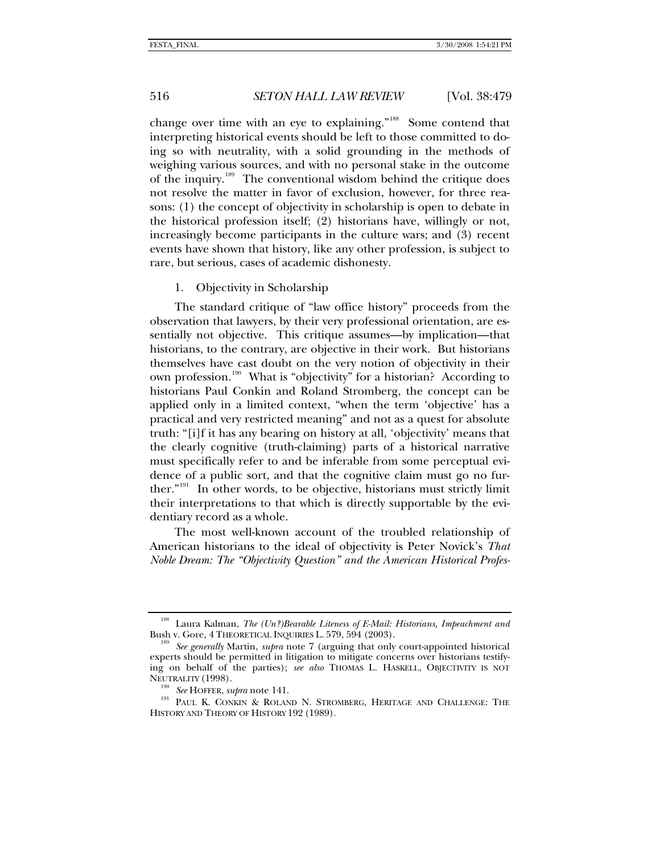change over time with an eye to explaining."<sup>[188](#page-37-0)</sup> Some contend that interpreting historical events should be left to those committed to doing so with neutrality, with a solid grounding in the methods of weighing various sources, and with no personal stake in the outcome of the inquiry.<sup>[189](#page-37-1)</sup> The conventional wisdom behind the critique does not resolve the matter in favor of exclusion, however, for three reasons: (1) the concept of objectivity in scholarship is open to debate in the historical profession itself; (2) historians have, willingly or not, increasingly become participants in the culture wars; and (3) recent events have shown that history, like any other profession, is subject to rare, but serious, cases of academic dishonesty.

## 1. Objectivity in Scholarship

The standard critique of "law office history" proceeds from the observation that lawyers, by their very professional orientation, are essentially not objective. This critique assumes—by implication—that historians, to the contrary, are objective in their work. But historians themselves have cast doubt on the very notion of objectivity in their own profession.<sup>[190](#page-37-2)</sup> What is "objectivity" for a historian? According to historians Paul Conkin and Roland Stromberg, the concept can be applied only in a limited context, "when the term 'objective' has a practical and very restricted meaning" and not as a quest for absolute truth: "[i]f it has any bearing on history at all, 'objectivity' means that the clearly cognitive (truth-claiming) parts of a historical narrative must specifically refer to and be inferable from some perceptual evidence of a public sort, and that the cognitive claim must go no further."[191](#page-37-3) In other words, to be objective, historians must strictly limit their interpretations to that which is directly supportable by the evidentiary record as a whole.

The most well-known account of the troubled relationship of American historians to the ideal of objectivity is Peter Novick's *That Noble Dream: The "Objectivity Question" and the American Historical Profes-*

<span id="page-37-0"></span><sup>&</sup>lt;sup>188</sup> Laura Kalman, *The (Un?)Bearable Liteness of E-Mail: Historians, Impeachment and* Bush v. Gore, 4 THEORETICAL INQUIRIES L. 579, 594 (2003).

<span id="page-37-1"></span>See generally Martin, *supra* note 7 (arguing that only court-appointed historical experts should be permitted in litigation to mitigate concerns over historians testifying on behalf of the parties); *see also* THOMAS L. HASKELL, OBJECTIVITY IS NOT

<span id="page-37-3"></span><span id="page-37-2"></span>NEUTRALITY (1998).<br><sup>190</sup> See HOFFER, *supra* note 141.<br><sup>191</sup> PAUL K. CONKIN & ROLAND N. STROMBERG, HERITAGE AND CHALLENGE: THE HISTORY AND THEORY OF HISTORY 192 (1989).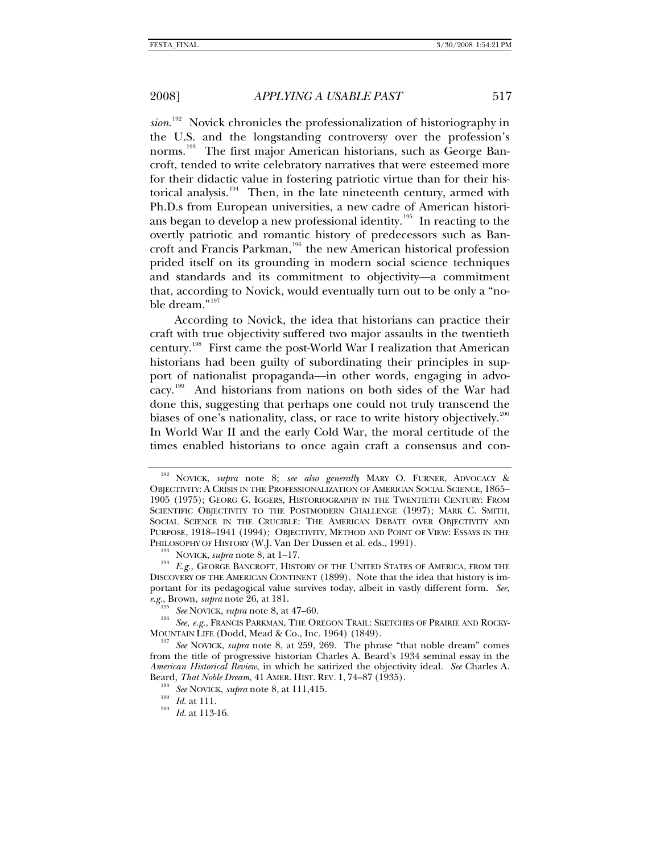sion.<sup>[192](#page-38-0)</sup> Novick chronicles the professionalization of historiography in the U.S. and the longstanding controversy over the profession's norms.<sup>[193](#page-38-1)</sup> The first major American historians, such as George Bancroft, tended to write celebratory narratives that were esteemed more for their didactic value in fostering patriotic virtue than for their his-torical analysis.<sup>[194](#page-38-2)</sup> Then, in the late nineteenth century, armed with Ph.D.s from European universities, a new cadre of American historians began to develop a new professional identity.[195](#page-38-3) In reacting to the overtly patriotic and romantic history of predecessors such as Ban-croft and Francis Parkman,<sup>[196](#page-38-4)</sup> the new American historical profession prided itself on its grounding in modern social science techniques and standards and its commitment to objectivity—a commitment that, according to Novick, would eventually turn out to be only a "noble dream."[197](#page-38-5)

According to Novick, the idea that historians can practice their craft with true objectivity suffered two major assaults in the twentieth century.[198](#page-38-6) First came the post-World War I realization that American historians had been guilty of subordinating their principles in support of nationalist propaganda—in other words, engaging in advocacy.[199](#page-38-7) And historians from nations on both sides of the War had done this, suggesting that perhaps one could not truly transcend the biases of one's nationality, class, or race to write history objectively.<sup>[200](#page-38-8)</sup> In World War II and the early Cold War, the moral certitude of the times enabled historians to once again craft a consensus and con-

<span id="page-38-0"></span><sup>192</sup> NOVICK, *supra* note 8; *see also generally* MARY O. FURNER, ADVOCACY & OBJECTIVITY: A CRISIS IN THE PROFESSIONALIZATION OF AMERICAN SOCIAL SCIENCE, 1865– 1905 (1975); GEORG G. IGGERS, HISTORIOGRAPHY IN THE TWENTIETH CENTURY: FROM SCIENTIFIC OBJECTIVITY TO THE POSTMODERN CHALLENGE (1997); MARK C. SMITH, SOCIAL SCIENCE IN THE CRUCIBLE: THE AMERICAN DEBATE OVER OBJECTIVITY AND PURPOSE, 1918–1941 (1994); OBJECTIVITY, METHOD AND POINT OF VIEW: ESSAYS IN THE PHILOSOPHY OF HISTORY (W.J. Van Der Dussen et al. eds., 1991).

<span id="page-38-2"></span><span id="page-38-1"></span><sup>&</sup>lt;sup>193</sup> NOVICK, *supra* note 8, at 1–17.<br><sup>194</sup> E.g., GEORGE BANCROFT, HISTORY OF THE UNITED STATES OF AMERICA, FROM THE DISCOVERY OF THE AMERICAN CONTINENT (1899). Note that the idea that history is important for its pedagogical value survives today, albeit in vastly different form. *See,* 

<span id="page-38-4"></span><span id="page-38-3"></span>*e.g.*, Brown, *supra* note 26, at 181.<br><sup>195</sup> See NOVICK, *supra* note 8, at 47–60.<br><sup>196</sup> See, e.g., FRANCIS PARKMAN, THE OREGON TRAIL: SKETCHES OF PRAIRIE AND ROCKY-<br>MOUNTAIN LIFE (Dodd, Mead & Co., Inc. 1964) (1849).

<span id="page-38-7"></span><span id="page-38-6"></span><span id="page-38-5"></span>See NOVICK, *supra* note 8, at 259, 269. The phrase "that noble dream" comes from the title of progressive historian Charles A. Beard's 1934 seminal essay in the *American Historical Review*, in which he satirized the objectivity ideal. *See* Charles A. Beard, *That Noble Dream*, 41 AMER. HIST. REV. 1, 74–87 (1935). 198 *See* NOVICK, *supra* note 8, at 111,415. 199 *Id*. at 111. 200 *Id*. at 113-16.

<span id="page-38-8"></span>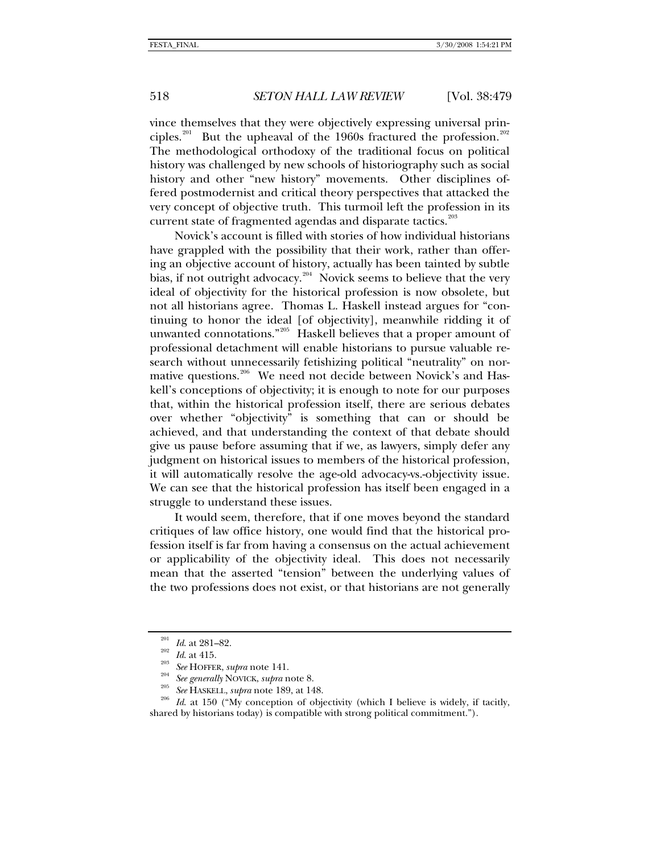vince themselves that they were objectively expressing universal prin-ciples.<sup>[201](#page-39-0)</sup> But the upheaval of the 1960s fractured the profession.<sup>[202](#page-39-1)</sup> The methodological orthodoxy of the traditional focus on political history was challenged by new schools of historiography such as social history and other "new history" movements. Other disciplines offered postmodernist and critical theory perspectives that attacked the very concept of objective truth. This turmoil left the profession in its current state of fragmented agendas and disparate tactics.<sup>[203](#page-39-2)</sup>

Novick's account is filled with stories of how individual historians have grappled with the possibility that their work, rather than offering an objective account of history, actually has been tainted by subtle bias, if not outright advocacy.<sup>[204](#page-39-3)</sup> Novick seems to believe that the very ideal of objectivity for the historical profession is now obsolete, but not all historians agree. Thomas L. Haskell instead argues for "continuing to honor the ideal [of objectivity], meanwhile ridding it of unwanted connotations."<sup>[205](#page-39-4)</sup> Haskell believes that a proper amount of professional detachment will enable historians to pursue valuable research without unnecessarily fetishizing political "neutrality" on nor-mative questions.<sup>[206](#page-39-5)</sup> We need not decide between Novick's and Haskell's conceptions of objectivity; it is enough to note for our purposes that, within the historical profession itself, there are serious debates over whether "objectivity" is something that can or should be achieved, and that understanding the context of that debate should give us pause before assuming that if we, as lawyers, simply defer any judgment on historical issues to members of the historical profession, it will automatically resolve the age-old advocacy-vs.-objectivity issue. We can see that the historical profession has itself been engaged in a struggle to understand these issues.

It would seem, therefore, that if one moves beyond the standard critiques of law office history, one would find that the historical profession itself is far from having a consensus on the actual achievement or applicability of the objectivity ideal. This does not necessarily mean that the asserted "tension" between the underlying values of the two professions does not exist, or that historians are not generally

<span id="page-39-5"></span>

<span id="page-39-4"></span><span id="page-39-3"></span><span id="page-39-2"></span><span id="page-39-1"></span><span id="page-39-0"></span><sup>&</sup>lt;sup>201</sup> *Id.* at 281–82.<br><sup>202</sup> *Id.* at 415.<br><sup>203</sup> *See* HOFFER, *supra* note 141.<br><sup>204</sup> *See generally* NOVICK, *supra* note 8.<br><sup>205</sup> *See* HASKELL, *supra* note 189, at 148.<br><sup>206</sup> *Id.* at 150 ("My conception of objectivi shared by historians today) is compatible with strong political commitment.").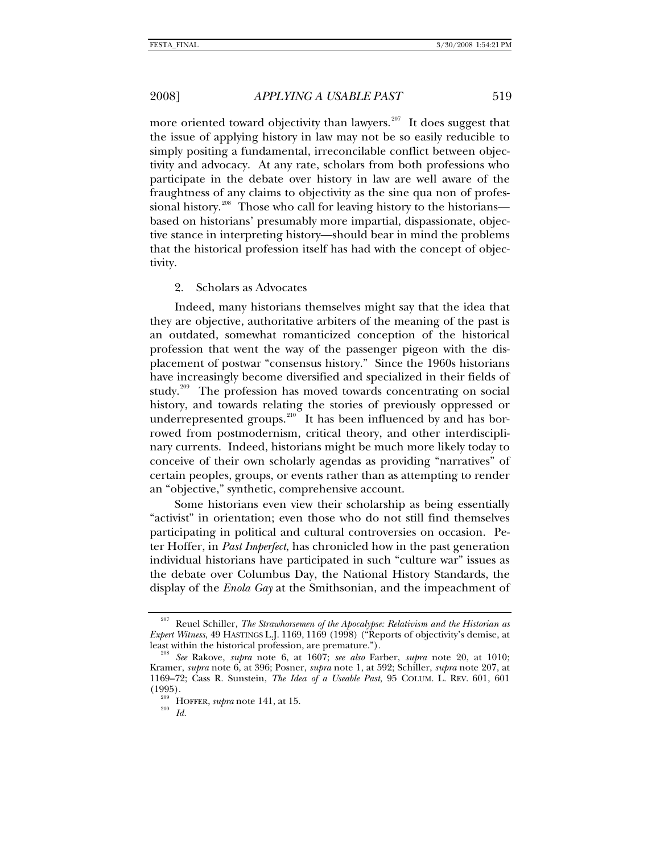more oriented toward objectivity than lawyers.<sup>[207](#page-40-0)</sup> It does suggest that the issue of applying history in law may not be so easily reducible to simply positing a fundamental, irreconcilable conflict between objectivity and advocacy. At any rate, scholars from both professions who participate in the debate over history in law are well aware of the fraughtness of any claims to objectivity as the sine qua non of profes-sional history.<sup>[208](#page-40-1)</sup> Those who call for leaving history to the historians based on historians' presumably more impartial, dispassionate, objective stance in interpreting history—should bear in mind the problems that the historical profession itself has had with the concept of objectivity.

### 2. Scholars as Advocates

Indeed, many historians themselves might say that the idea that they are objective, authoritative arbiters of the meaning of the past is an outdated, somewhat romanticized conception of the historical profession that went the way of the passenger pigeon with the displacement of postwar "consensus history." Since the 1960s historians have increasingly become diversified and specialized in their fields of study.<sup>[209](#page-40-2)</sup> The profession has moved towards concentrating on social history, and towards relating the stories of previously oppressed or underrepresented groups.<sup>[210](#page-40-3)</sup> It has been influenced by and has borrowed from postmodernism, critical theory, and other interdisciplinary currents. Indeed, historians might be much more likely today to conceive of their own scholarly agendas as providing "narratives" of certain peoples, groups, or events rather than as attempting to render an "objective," synthetic, comprehensive account.

Some historians even view their scholarship as being essentially "activist" in orientation; even those who do not still find themselves participating in political and cultural controversies on occasion. Peter Hoffer, in *Past Imperfect*, has chronicled how in the past generation individual historians have participated in such "culture war" issues as the debate over Columbus Day, the National History Standards, the display of the *Enola Gay* at the Smithsonian, and the impeachment of

<span id="page-40-0"></span>Reuel Schiller, *The Strawhorsemen of the Apocalypse: Relativism and the Historian as Expert Witness*, 49 HASTINGS L.J. 1169, 1169 (1998) ("Reports of objectivity's demise, at

<span id="page-40-2"></span><span id="page-40-1"></span>least within the historical profession, are premature."). 208 *See* Rakove, *supra* note 6, at 1607; *see also* Farber, *supra* note 20, at 1010; Kramer, *supra* note 6, at 396; Posner, *supra* note 1, at 592; Schiller, *supra* note 207, at 1169–72; Cass R. Sunstein, *The Idea of a Useable Past*, 95 COLUM. L. REV. 601, 601 (1995). 209 HOFFER, *supra* note 141, at 15. 210 *Id.*

<span id="page-40-3"></span>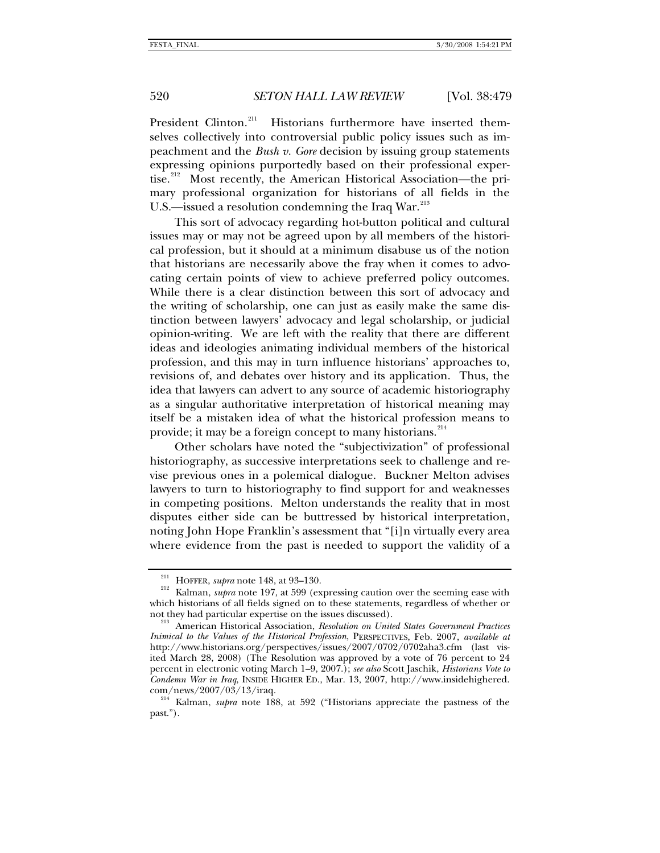President Clinton.<sup>[211](#page-41-0)</sup> Historians furthermore have inserted themselves collectively into controversial public policy issues such as impeachment and the *Bush v. Gore* decision by issuing group statements expressing opinions purportedly based on their professional exper-tise.<sup>[212](#page-41-1)</sup> Most recently, the American Historical Association—the primary professional organization for historians of all fields in the U.S.—issued a resolution condemning the Iraq War.<sup>[213](#page-41-2)</sup>

This sort of advocacy regarding hot-button political and cultural issues may or may not be agreed upon by all members of the historical profession, but it should at a minimum disabuse us of the notion that historians are necessarily above the fray when it comes to advocating certain points of view to achieve preferred policy outcomes. While there is a clear distinction between this sort of advocacy and the writing of scholarship, one can just as easily make the same distinction between lawyers' advocacy and legal scholarship, or judicial opinion-writing. We are left with the reality that there are different ideas and ideologies animating individual members of the historical profession, and this may in turn influence historians' approaches to, revisions of, and debates over history and its application. Thus, the idea that lawyers can advert to any source of academic historiography as a singular authoritative interpretation of historical meaning may itself be a mistaken idea of what the historical profession means to provide; it may be a foreign concept to many historians.<sup>[214](#page-41-3)</sup>

Other scholars have noted the "subjectivization" of professional historiography, as successive interpretations seek to challenge and revise previous ones in a polemical dialogue. Buckner Melton advises lawyers to turn to historiography to find support for and weaknesses in competing positions. Melton understands the reality that in most disputes either side can be buttressed by historical interpretation, noting John Hope Franklin's assessment that "[i]n virtually every area where evidence from the past is needed to support the validity of a

<span id="page-41-1"></span><span id="page-41-0"></span><sup>&</sup>lt;sup>211</sup> HOFFER, *supra* note 148, at 93–130.<br><sup>212</sup> Kalman, *supra* note 197, at 599 (expressing caution over the seeming ease with which historians of all fields signed on to these statements, regardless of whether or not they had particular expertise on the issues discussed).

<span id="page-41-2"></span><sup>&</sup>lt;sup>213</sup> American Historical Association, *Resolution on United States Government Practices Inimical to the Values of the Historical Profession*, PERSPECTIVES, Feb. 2007, *available at* http://www.historians.org/perspectives/issues/2007/0702/0702aha3.cfm (last visited March 28, 2008) (The Resolution was approved by a vote of 76 percent to 24 percent in electronic voting March 1–9, 2007.); *see also* Scott Jaschik, *Historians Vote to Condemn War in Iraq*, INSIDE HIGHER ED., Mar. 13, 2007, http://www.insidehighered. com/news/2007/03/13/iraq. 214 Kalman, *supra* note 188, at 592 ("Historians appreciate the pastness of the

<span id="page-41-3"></span>past.").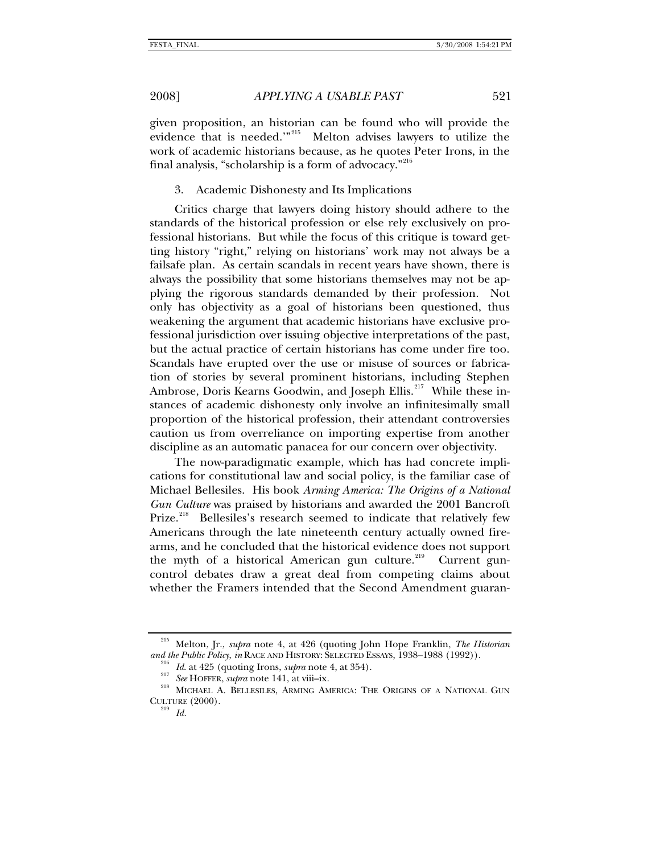given proposition, an historian can be found who will provide the evidence that is needed.'"[215](#page-42-0) Melton advises lawyers to utilize the work of academic historians because, as he quotes Peter Irons, in the final analysis, "scholarship is a form of advocacy."[216](#page-42-1)

### 3. Academic Dishonesty and Its Implications

Critics charge that lawyers doing history should adhere to the standards of the historical profession or else rely exclusively on professional historians. But while the focus of this critique is toward getting history "right," relying on historians' work may not always be a failsafe plan. As certain scandals in recent years have shown, there is always the possibility that some historians themselves may not be applying the rigorous standards demanded by their profession. Not only has objectivity as a goal of historians been questioned, thus weakening the argument that academic historians have exclusive professional jurisdiction over issuing objective interpretations of the past, but the actual practice of certain historians has come under fire too. Scandals have erupted over the use or misuse of sources or fabrication of stories by several prominent historians, including Stephen Ambrose, Doris Kearns Goodwin, and Joseph Ellis.<sup>[217](#page-42-2)</sup> While these instances of academic dishonesty only involve an infinitesimally small proportion of the historical profession, their attendant controversies caution us from overreliance on importing expertise from another discipline as an automatic panacea for our concern over objectivity.

The now-paradigmatic example, which has had concrete implications for constitutional law and social policy, is the familiar case of Michael Bellesiles. His book *Arming America: The Origins of a National Gun Culture* was praised by historians and awarded the 2001 Bancroft Prize.<sup>[218](#page-42-3)</sup> Bellesiles's research seemed to indicate that relatively few Americans through the late nineteenth century actually owned firearms, and he concluded that the historical evidence does not support the myth of a historical American gun culture.<sup>[219](#page-42-4)</sup> Current guncontrol debates draw a great deal from competing claims about whether the Framers intended that the Second Amendment guaran-

<span id="page-42-1"></span><span id="page-42-0"></span><sup>215</sup> Melton, Jr., *supra* note 4, at 426 (quoting John Hope Franklin, *The Historian*  and the Public Policy, in RACE AND HISTORY: SELECTED ESSAYS, 1938–1988 (1992)).<br><sup>216</sup> Id. at 425 (quoting Irons, *supra* note 4, at 354).<br><sup>217</sup> See HOFFER, *supra* note 141, at viii–ix.<br><sup>218</sup> MICHAEL A. BELLESILES, ARMING

<span id="page-42-4"></span><span id="page-42-3"></span><span id="page-42-2"></span>CULTURE  $(2000)$ .<br><sup>219</sup> *Id.*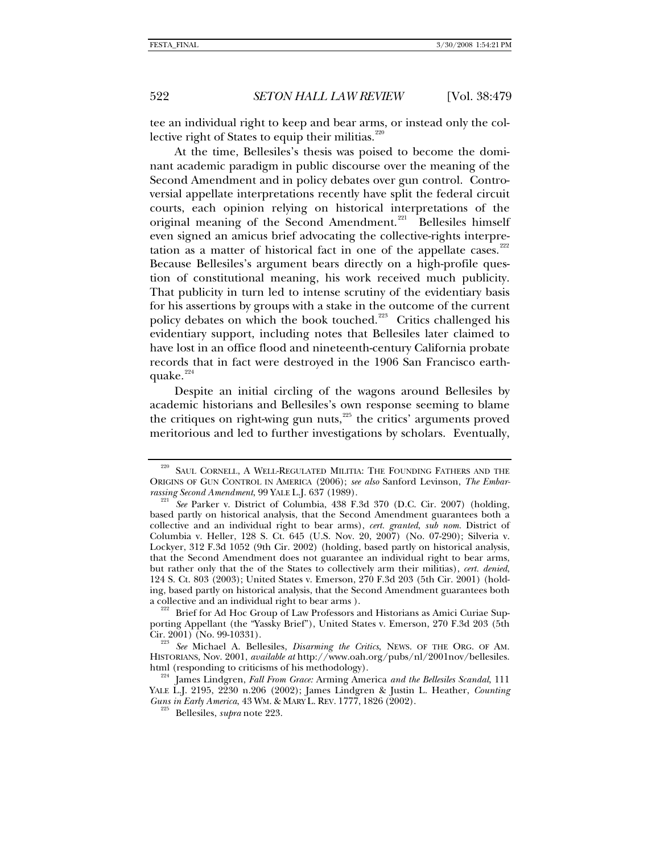tee an individual right to keep and bear arms, or instead only the col-lective right of States to equip their militias.<sup>[220](#page-43-0)</sup>

At the time, Bellesiles's thesis was poised to become the dominant academic paradigm in public discourse over the meaning of the Second Amendment and in policy debates over gun control. Controversial appellate interpretations recently have split the federal circuit courts, each opinion relying on historical interpretations of the original meaning of the Second Amendment.<sup>[221](#page-43-1)</sup> Bellesiles himself even signed an amicus brief advocating the collective-rights interpretation as a matter of historical fact in one of the appellate cases. $222$ Because Bellesiles's argument bears directly on a high-profile question of constitutional meaning, his work received much publicity. That publicity in turn led to intense scrutiny of the evidentiary basis for his assertions by groups with a stake in the outcome of the current policy debates on which the book touched.<sup>[223](#page-43-3)</sup> Critics challenged his evidentiary support, including notes that Bellesiles later claimed to have lost in an office flood and nineteenth-century California probate records that in fact were destroyed in the 1906 San Francisco earthquake. $224$ 

Despite an initial circling of the wagons around Bellesiles by academic historians and Bellesiles's own response seeming to blame the critiques on right-wing gun nuts,<sup>[225](#page-43-5)</sup> the critics' arguments proved meritorious and led to further investigations by scholars. Eventually,

<span id="page-43-0"></span><sup>&</sup>lt;sup>220</sup> SAUL CORNELL, A WELL-REGULATED MILITIA: THE FOUNDING FATHERS AND THE ORIGINS OF GUN CONTROL IN AMERICA (2006); *see also* Sanford Levinson, *The Embar-*

<span id="page-43-1"></span><sup>&</sup>lt;sup>221</sup> See Parker v. District of Columbia, 438 F.3d 370 (D.C. Cir. 2007) (holding, based partly on historical analysis, that the Second Amendment guarantees both a collective and an individual right to bear arms), *cert. granted*, *sub nom.* District of Columbia v. Heller, 128 S. Ct. 645 (U.S. Nov. 20, 2007) (No. 07-290); Silveria v. Lockyer, 312 F.3d 1052 (9th Cir. 2002) (holding, based partly on historical analysis, that the Second Amendment does not guarantee an individual right to bear arms, but rather only that the of the States to collectively arm their militias), *cert. denied*, 124 S. Ct. 803 (2003); United States v. Emerson, 270 F.3d 203 (5th Cir. 2001) (holding, based partly on historical analysis, that the Second Amendment guarantees both

<span id="page-43-2"></span>a collective and an individual right to bear arms ).<br><sup>222</sup> Brief for Ad Hoc Group of Law Professors and Historians as Amici Curiae Supporting Appellant (the "Yassky Brief"), United States v. Emerson, 270 F.3d 203 (5th Cir. 2001) (No. 99-10331).

<span id="page-43-3"></span>See Michael A. Bellesiles, *Disarming the Critics*, NEWS. OF THE ORG. OF AM. HISTORIANS, Nov. 2001, *available at* http://www.oah.org/pubs/nl/2001nov/bellesiles. html (responding to criticisms of his methodology). 224 James Lindgren, *Fall From Grace:* Arming America *and the Bellesiles Scandal*, 111

<span id="page-43-5"></span><span id="page-43-4"></span>YALE L.J. 2195, 2230 n.206 (2002); James Lindgren & Justin L. Heather, *Counting Guns in Early America*, 43 WM. & MARY L. REV. 1777, <sup>1826</sup> (2002). 225 Bellesiles, *supra* note 223.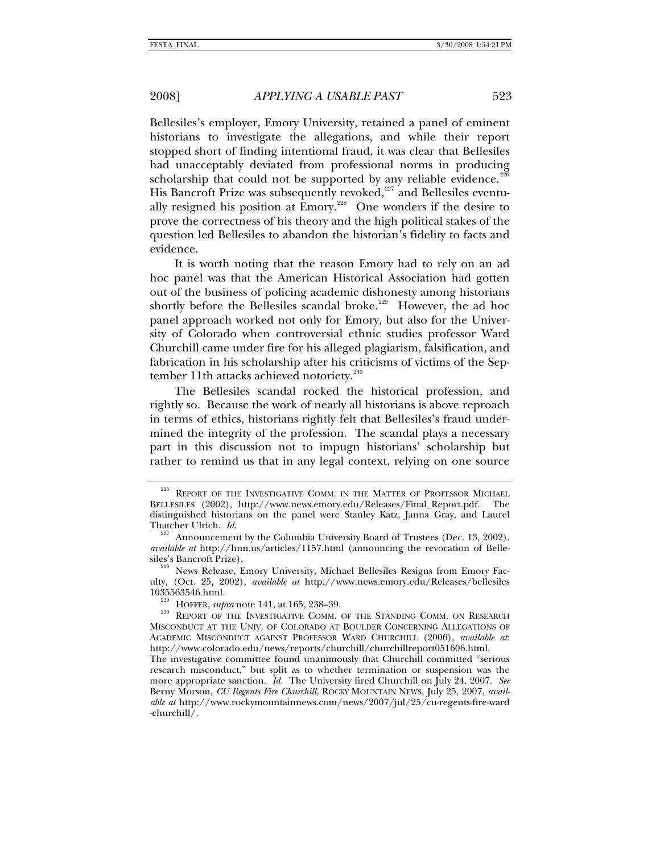Bellesiles's employer, Emory University, retained a panel of eminent historians to investigate the allegations, and while their report stopped short of finding intentional fraud, it was clear that Bellesiles had unacceptably deviated from professional norms in producing scholarship that could not be supported by any reliable evidence.<sup>[226](#page-44-0)</sup> His Bancroft Prize was subsequently revoked,<sup>[227](#page-44-1)</sup> and Bellesiles eventu-ally resigned his position at Emory.<sup>[228](#page-44-2)</sup> One wonders if the desire to prove the correctness of his theory and the high political stakes of the question led Bellesiles to abandon the historian's fidelity to facts and evidence.

It is worth noting that the reason Emory had to rely on an ad hoc panel was that the American Historical Association had gotten out of the business of policing academic dishonesty among historians shortly before the Bellesiles scandal broke.<sup>[229](#page-44-3)</sup> However, the ad hoc panel approach worked not only for Emory, but also for the University of Colorado when controversial ethnic studies professor Ward Churchill came under fire for his alleged plagiarism, falsification, and fabrication in his scholarship after his criticisms of victims of the Sep-tember 11th attacks achieved notoriety.<sup>[230](#page-44-4)</sup>

The Bellesiles scandal rocked the historical profession, and rightly so. Because the work of nearly all historians is above reproach in terms of ethics, historians rightly felt that Bellesiles's fraud undermined the integrity of the profession. The scandal plays a necessary part in this discussion not to impugn historians' scholarship but rather to remind us that in any legal context, relying on one source

<span id="page-44-0"></span><sup>&</sup>lt;sup>226</sup> REPORT OF THE INVESTIGATIVE COMM. IN THE MATTER OF PROFESSOR MICHAEL BELLESILES (2002), http://www.news.emory.edu/Releases/Final\_Report.pdf. The distinguished historians on the panel were Stanley Katz, Janna Gray, and Laurel Thatcher Ulrich. *Id.* 227 Announcement by the Columbia University Board of Trustees (Dec. 13, 2002),

<span id="page-44-1"></span>*available at* http://hnn.us/articles/1157.html (announcing the revocation of Bellesiles's Bancroft Prize).<br><sup>228</sup> News Release, Emory University, Michael Bellesiles Resigns from Emory Fac-

<span id="page-44-2"></span>ulty, (Oct. 25, 2002), *available at* http://www.news.emory.edu/Releases/bellesiles

<span id="page-44-4"></span><span id="page-44-3"></span><sup>&</sup>lt;sup>229</sup> HOFFER, *supra* note 141, at 165, 238–39.<br><sup>230</sup> REPORT OF THE INVESTIGATIVE COMM. OF THE STANDING COMM. ON RESEARCH MISCONDUCT AT THE UNIV. OF COLORADO AT BOULDER CONCERNING ALLEGATIONS OF ACADEMIC MISCONDUCT AGAINST PROFESSOR WARD CHURCHILL (2006), *available at*: http://www.colorado.edu/news/reports/churchill/churchillreport051606.html.

The investigative committee found unanimously that Churchill committed "serious research misconduct," but split as to whether termination or suspension was the more appropriate sanction. *Id.* The University fired Churchill on July 24, 2007. *See* Berny Morson, *CU Regents Fire Churchill*, ROCKY MOUNTAIN NEWS, July 25, 2007, *available at* http://www.rockymountainnews.com/news/2007/jul/25/cu-regents-fire-ward -churchill/.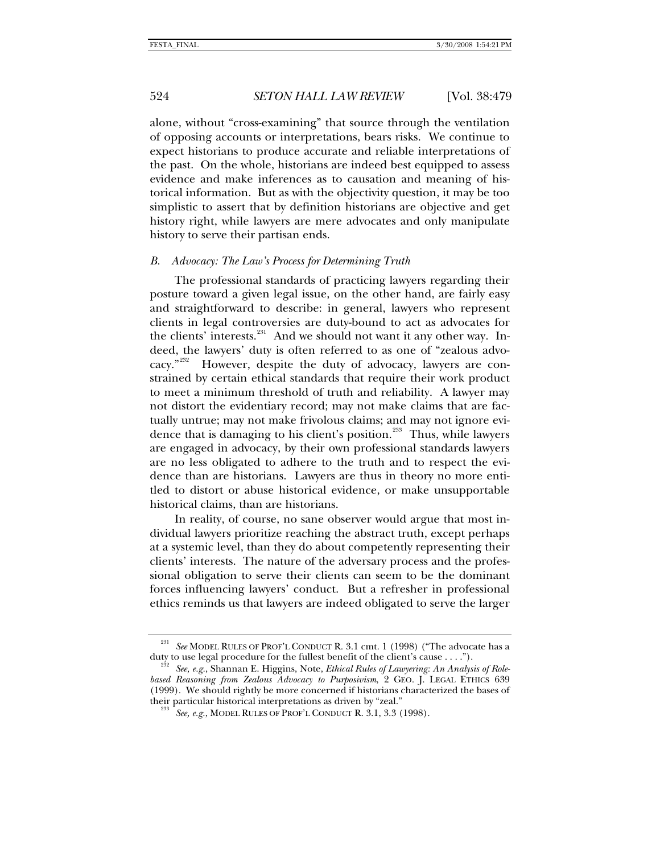alone, without "cross-examining" that source through the ventilation of opposing accounts or interpretations, bears risks. We continue to expect historians to produce accurate and reliable interpretations of the past. On the whole, historians are indeed best equipped to assess evidence and make inferences as to causation and meaning of historical information. But as with the objectivity question, it may be too simplistic to assert that by definition historians are objective and get history right, while lawyers are mere advocates and only manipulate history to serve their partisan ends.

### *B. Advocacy: The Law's Process for Determining Truth*

The professional standards of practicing lawyers regarding their posture toward a given legal issue, on the other hand, are fairly easy and straightforward to describe: in general, lawyers who represent clients in legal controversies are duty-bound to act as advocates for the clients' interests. $^{231}$  $^{231}$  $^{231}$  And we should not want it any other way. Indeed, the lawyers' duty is often referred to as one of "zealous advo-cacy."<sup>[232](#page-45-1)</sup> However, despite the duty of advocacy, lawyers are constrained by certain ethical standards that require their work product to meet a minimum threshold of truth and reliability. A lawyer may not distort the evidentiary record; may not make claims that are factually untrue; may not make frivolous claims; and may not ignore evi-dence that is damaging to his client's position.<sup>[233](#page-45-2)</sup> Thus, while lawyers are engaged in advocacy, by their own professional standards lawyers are no less obligated to adhere to the truth and to respect the evidence than are historians. Lawyers are thus in theory no more entitled to distort or abuse historical evidence, or make unsupportable historical claims, than are historians.

In reality, of course, no sane observer would argue that most individual lawyers prioritize reaching the abstract truth, except perhaps at a systemic level, than they do about competently representing their clients' interests. The nature of the adversary process and the professional obligation to serve their clients can seem to be the dominant forces influencing lawyers' conduct. But a refresher in professional ethics reminds us that lawyers are indeed obligated to serve the larger

<span id="page-45-0"></span><sup>&</sup>lt;sup>231</sup> See MODEL RULES OF PROF'L CONDUCT R. 3.1 cmt. 1 (1998) ("The advocate has a duty to use legal procedure for the fullest benefit of the client's cause . . . .").

<span id="page-45-2"></span><span id="page-45-1"></span>See, e.g., Shannan E. Higgins, Note, *Ethical Rules of Lawyering: An Analysis of Rolebased Reasoning from Zealous Advocacy to Purposivism*, 2 GEO. J. LEGAL ETHICS 639 (1999).We should rightly be more concerned if historians characterized the bases of their particular historical interpretations as driven by "zeal." 233 *See, e.g.*, MODEL RULES OF PROF'L CONDUCT R. 3.1, 3.3 (1998).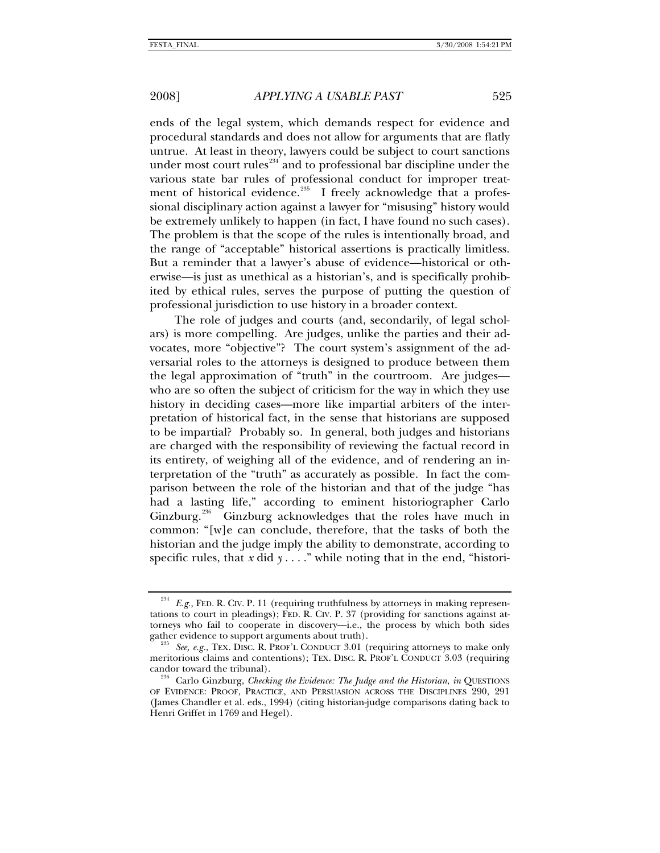ends of the legal system, which demands respect for evidence and procedural standards and does not allow for arguments that are flatly untrue. At least in theory, lawyers could be subject to court sanctions under most court rules $^{234}$  $^{234}$  $^{234}$  and to professional bar discipline under the various state bar rules of professional conduct for improper treat-ment of historical evidence.<sup>[235](#page-46-1)</sup> I freely acknowledge that a professional disciplinary action against a lawyer for "misusing" history would be extremely unlikely to happen (in fact, I have found no such cases). The problem is that the scope of the rules is intentionally broad, and the range of "acceptable" historical assertions is practically limitless. But a reminder that a lawyer's abuse of evidence—historical or otherwise—is just as unethical as a historian's, and is specifically prohibited by ethical rules, serves the purpose of putting the question of professional jurisdiction to use history in a broader context.

The role of judges and courts (and, secondarily, of legal scholars) is more compelling. Are judges, unlike the parties and their advocates, more "objective"? The court system's assignment of the adversarial roles to the attorneys is designed to produce between them the legal approximation of "truth" in the courtroom. Are judges who are so often the subject of criticism for the way in which they use history in deciding cases—more like impartial arbiters of the interpretation of historical fact, in the sense that historians are supposed to be impartial? Probably so. In general, both judges and historians are charged with the responsibility of reviewing the factual record in its entirety, of weighing all of the evidence, and of rendering an interpretation of the "truth" as accurately as possible. In fact the comparison between the role of the historian and that of the judge "has had a lasting life," according to eminent historiographer Carlo Ginzburg.<sup>[236](#page-46-2)</sup> Ginzburg acknowledges that the roles have much in common: "[w]e can conclude, therefore, that the tasks of both the historian and the judge imply the ability to demonstrate, according to specific rules, that *x* did *y* . . . ." while noting that in the end, "histori-

<span id="page-46-0"></span>E.g., FED. R. CIV. P. 11 (requiring truthfulness by attorneys in making representations to court in pleadings); FED. R. CIV. P. 37 (providing for sanctions against attorneys who fail to cooperate in discovery—i.e., the process by which both sides gather evidence to support arguments about truth).<br><sup>235</sup> See, e.g., TEX. DISC. R. PROF'L CONDUCT 3.01 (requiring attorneys to make only

<span id="page-46-1"></span>meritorious claims and contentions); TEX. DISC. R. PROF'L CONDUCT 3.03 (requiring candor toward the tribunal).

<span id="page-46-2"></span>Carlo Ginzburg, *Checking the Evidence: The Judge and the Historian, in* QUESTIONS OF EVIDENCE: PROOF, PRACTICE, AND PERSUASION ACROSS THE DISCIPLINES 290, 291 (James Chandler et al. eds., 1994) (citing historian-judge comparisons dating back to Henri Griffet in 1769 and Hegel).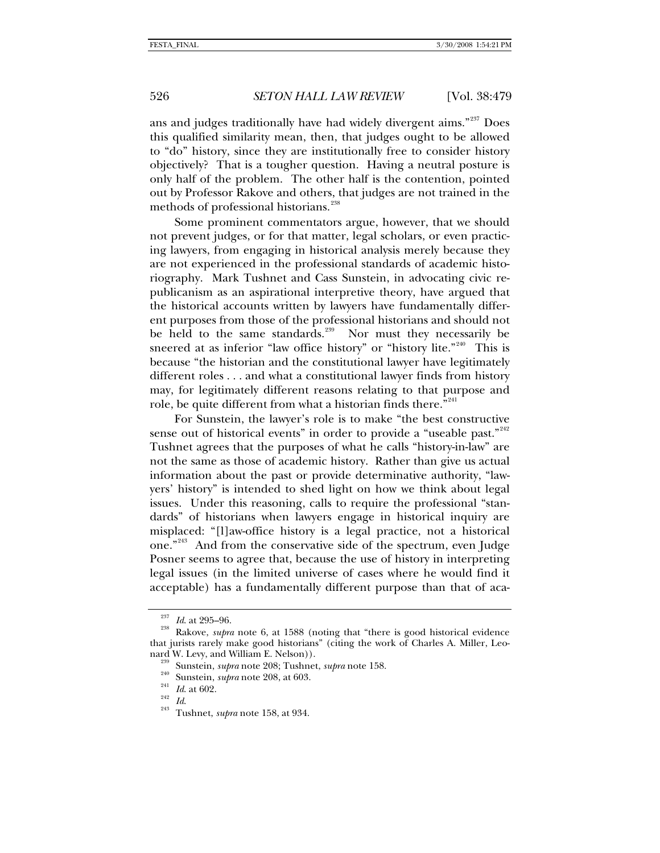ans and judges traditionally have had widely divergent aims."<sup>[237](#page-47-0)</sup> Does this qualified similarity mean, then, that judges ought to be allowed to "do" history, since they are institutionally free to consider history objectively? That is a tougher question. Having a neutral posture is only half of the problem. The other half is the contention, pointed out by Professor Rakove and others, that judges are not trained in the methods of professional historians.<sup>[238](#page-47-1)</sup>

Some prominent commentators argue, however, that we should not prevent judges, or for that matter, legal scholars, or even practicing lawyers, from engaging in historical analysis merely because they are not experienced in the professional standards of academic historiography. Mark Tushnet and Cass Sunstein, in advocating civic republicanism as an aspirational interpretive theory, have argued that the historical accounts written by lawyers have fundamentally different purposes from those of the professional historians and should not be held to the same standards. $239$  Nor must they necessarily be sneered at as inferior "law office history" or "history lite."<sup>[240](#page-47-3)</sup> This is because "the historian and the constitutional lawyer have legitimately different roles . . . and what a constitutional lawyer finds from history may, for legitimately different reasons relating to that purpose and role, be quite different from what a historian finds there."<sup>[241](#page-47-4)</sup>

For Sunstein, the lawyer's role is to make "the best constructive sense out of historical events" in order to provide a "useable past."<sup>[242](#page-47-5)</sup> Tushnet agrees that the purposes of what he calls "history-in-law" are not the same as those of academic history. Rather than give us actual information about the past or provide determinative authority, "lawyers' history" is intended to shed light on how we think about legal issues. Under this reasoning, calls to require the professional "standards" of historians when lawyers engage in historical inquiry are misplaced: "[l]aw-office history is a legal practice, not a historical one."<sup>[243](#page-47-6)</sup> And from the conservative side of the spectrum, even Judge Posner seems to agree that, because the use of history in interpreting legal issues (in the limited universe of cases where he would find it acceptable) has a fundamentally different purpose than that of aca-

<span id="page-47-2"></span><span id="page-47-1"></span><span id="page-47-0"></span><sup>&</sup>lt;sup>237</sup> *Id.* at 295–96.<br><sup>238</sup> Rakove, *supra* note 6, at 1588 (noting that "there is good historical evidence that jurists rarely make good historians" (citing the work of Charles A. Miller, Leo-

<sup>&</sup>lt;sup>239</sup> Sunstein, *supra* note 208; Tushnet, *supra* note 158.<br>
<sup>240</sup> Sunstein, *supra* note 208, at 603.<br>
<sup>242</sup> Id. at 602.<br>
<sup>242</sup> Id.<br>
Tushnet, *supra* note 158, at 934.

<span id="page-47-5"></span><span id="page-47-4"></span><span id="page-47-3"></span>

<span id="page-47-6"></span>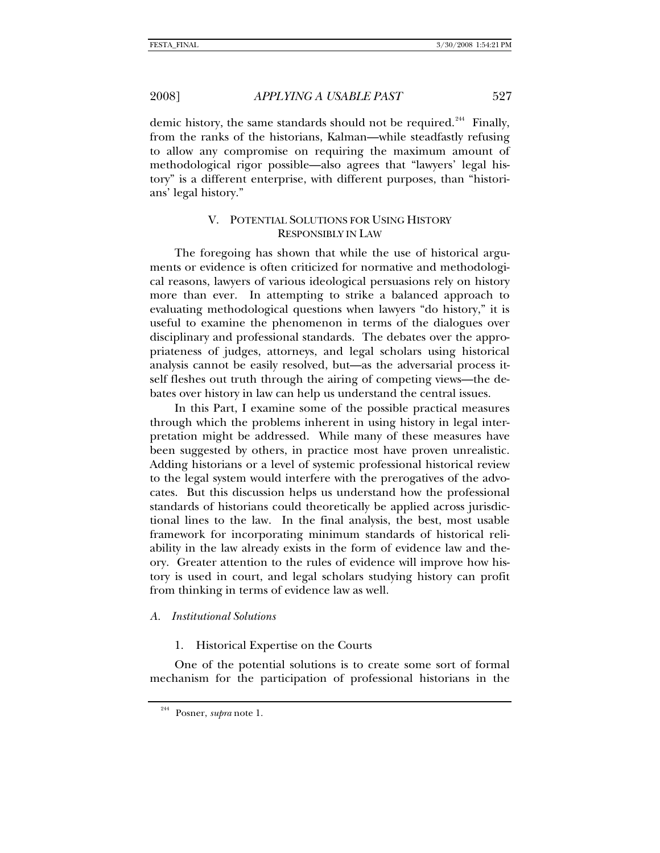demic history, the same standards should not be required.<sup>[244](#page-48-0)</sup> Finally, from the ranks of the historians, Kalman—while steadfastly refusing to allow any compromise on requiring the maximum amount of methodological rigor possible—also agrees that "lawyers' legal history" is a different enterprise, with different purposes, than "historians' legal history."

# V. POTENTIAL SOLUTIONS FOR USING HISTORY RESPONSIBLY IN LAW

The foregoing has shown that while the use of historical arguments or evidence is often criticized for normative and methodological reasons, lawyers of various ideological persuasions rely on history more than ever. In attempting to strike a balanced approach to evaluating methodological questions when lawyers "do history," it is useful to examine the phenomenon in terms of the dialogues over disciplinary and professional standards. The debates over the appropriateness of judges, attorneys, and legal scholars using historical analysis cannot be easily resolved, but—as the adversarial process itself fleshes out truth through the airing of competing views—the debates over history in law can help us understand the central issues.

In this Part, I examine some of the possible practical measures through which the problems inherent in using history in legal interpretation might be addressed. While many of these measures have been suggested by others, in practice most have proven unrealistic. Adding historians or a level of systemic professional historical review to the legal system would interfere with the prerogatives of the advocates. But this discussion helps us understand how the professional standards of historians could theoretically be applied across jurisdictional lines to the law. In the final analysis, the best, most usable framework for incorporating minimum standards of historical reliability in the law already exists in the form of evidence law and theory. Greater attention to the rules of evidence will improve how history is used in court, and legal scholars studying history can profit from thinking in terms of evidence law as well.

## *A. Institutional Solutions*

1. Historical Expertise on the Courts

<span id="page-48-0"></span>One of the potential solutions is to create some sort of formal mechanism for the participation of professional historians in the

<sup>244</sup> Posner, *supra* note 1.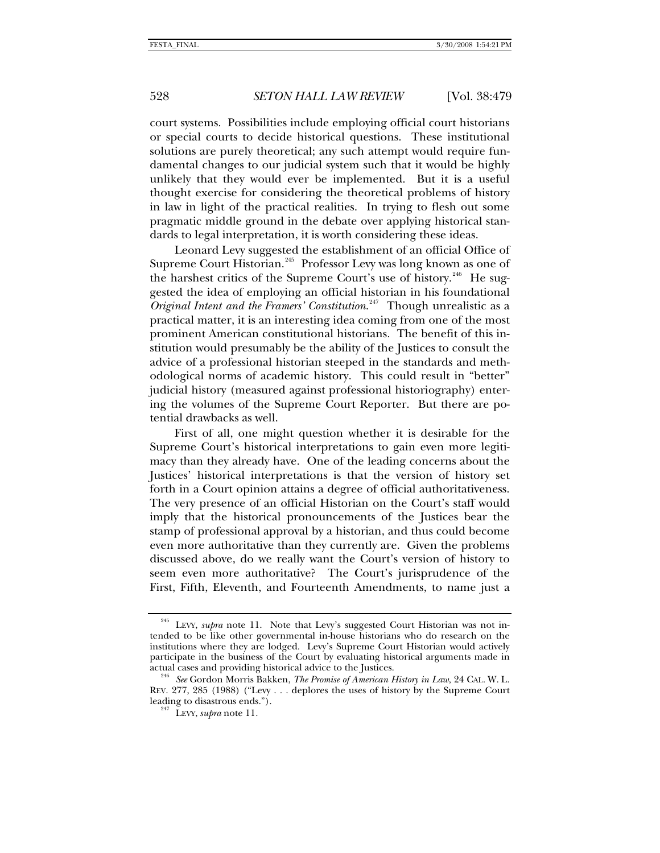court systems. Possibilities include employing official court historians or special courts to decide historical questions. These institutional solutions are purely theoretical; any such attempt would require fundamental changes to our judicial system such that it would be highly unlikely that they would ever be implemented. But it is a useful thought exercise for considering the theoretical problems of history in law in light of the practical realities. In trying to flesh out some pragmatic middle ground in the debate over applying historical standards to legal interpretation, it is worth considering these ideas.

Leonard Levy suggested the establishment of an official Office of Supreme Court Historian.<sup>[245](#page-49-0)</sup> Professor Levy was long known as one of the harshest critics of the Supreme Court's use of history.<sup>[246](#page-49-1)</sup> He suggested the idea of employing an official historian in his foundational *Original Intent and the Framers' Constitution*. [247](#page-49-2) Though unrealistic as a practical matter, it is an interesting idea coming from one of the most prominent American constitutional historians. The benefit of this institution would presumably be the ability of the Justices to consult the advice of a professional historian steeped in the standards and methodological norms of academic history. This could result in "better" judicial history (measured against professional historiography) entering the volumes of the Supreme Court Reporter. But there are potential drawbacks as well.

First of all, one might question whether it is desirable for the Supreme Court's historical interpretations to gain even more legitimacy than they already have. One of the leading concerns about the Justices' historical interpretations is that the version of history set forth in a Court opinion attains a degree of official authoritativeness. The very presence of an official Historian on the Court's staff would imply that the historical pronouncements of the Justices bear the stamp of professional approval by a historian, and thus could become even more authoritative than they currently are. Given the problems discussed above, do we really want the Court's version of history to seem even more authoritative? The Court's jurisprudence of the First, Fifth, Eleventh, and Fourteenth Amendments, to name just a

<span id="page-49-0"></span><sup>&</sup>lt;sup>245</sup> LEVY, *supra* note 11. Note that Levy's suggested Court Historian was not intended to be like other governmental in-house historians who do research on the institutions where they are lodged. Levy's Supreme Court Historian would actively participate in the business of the Court by evaluating historical arguments made in actual cases and providing historical advice to the Justices. 246 *See* Gordon Morris Bakken, *The Promise of American History in Law*, 24 CAL. W. L.

<span id="page-49-2"></span><span id="page-49-1"></span>REV. 277, 285 (1988) ("Levy . . . deplores the uses of history by the Supreme Court leading to disastrous ends."). 247 LEVY, *supra* note 11*.*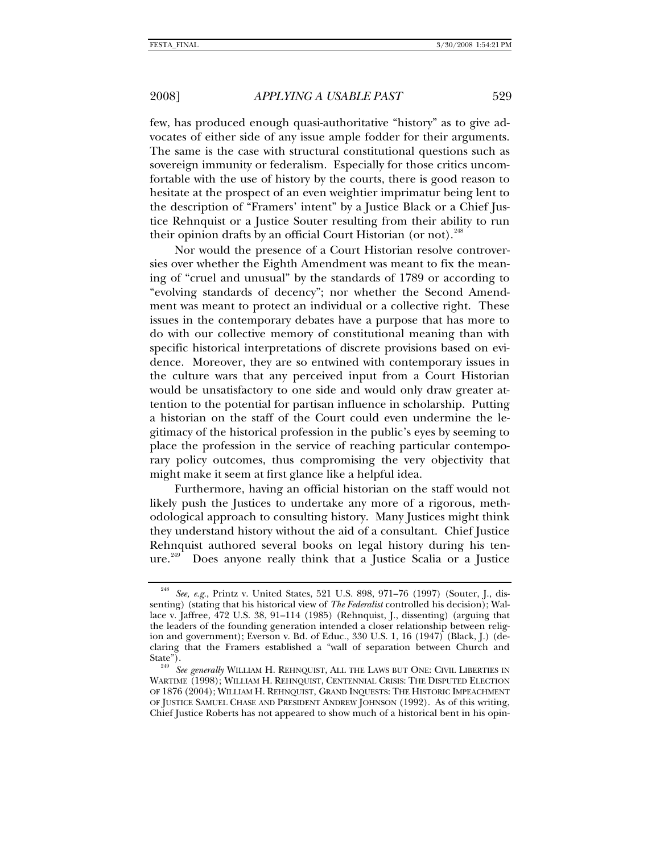few, has produced enough quasi-authoritative "history" as to give advocates of either side of any issue ample fodder for their arguments. The same is the case with structural constitutional questions such as sovereign immunity or federalism. Especially for those critics uncomfortable with the use of history by the courts, there is good reason to hesitate at the prospect of an even weightier imprimatur being lent to the description of "Framers' intent" by a Justice Black or a Chief Justice Rehnquist or a Justice Souter resulting from their ability to run their opinion drafts by an official Court Historian (or not).<sup>[248](#page-50-0)</sup>

Nor would the presence of a Court Historian resolve controversies over whether the Eighth Amendment was meant to fix the meaning of "cruel and unusual" by the standards of 1789 or according to "evolving standards of decency"; nor whether the Second Amendment was meant to protect an individual or a collective right. These issues in the contemporary debates have a purpose that has more to do with our collective memory of constitutional meaning than with specific historical interpretations of discrete provisions based on evidence. Moreover, they are so entwined with contemporary issues in the culture wars that any perceived input from a Court Historian would be unsatisfactory to one side and would only draw greater attention to the potential for partisan influence in scholarship. Putting a historian on the staff of the Court could even undermine the legitimacy of the historical profession in the public's eyes by seeming to place the profession in the service of reaching particular contemporary policy outcomes, thus compromising the very objectivity that might make it seem at first glance like a helpful idea.

Furthermore, having an official historian on the staff would not likely push the Justices to undertake any more of a rigorous, methodological approach to consulting history. Many Justices might think they understand history without the aid of a consultant. Chief Justice Rehnquist authored several books on legal history during his ten- $ure.<sup>249</sup>$  $ure.<sup>249</sup>$  $ure.<sup>249</sup>$  Does anyone really think that a Justice Scalia or a Justice

<span id="page-50-0"></span><sup>248</sup> *See, e.g.*, Printz v. United States, 521 U.S. 898, 971–76 (1997) (Souter, J., dissenting) (stating that his historical view of *The Federalist* controlled his decision); Wallace v. Jaffree, 472 U.S. 38, 91–114 (1985) (Rehnquist, J., dissenting) (arguing that the leaders of the founding generation intended a closer relationship between religion and government); Everson v. Bd. of Educ., 330 U.S. 1, 16 (1947) (Black, J.) (declaring that the Framers established a "wall of separation between Church and

<span id="page-50-1"></span>State"). 249 *See generally* WILLIAM H. REHNQUIST, ALL THE LAWS BUT ONE: CIVIL LIBERTIES IN WARTIME (1998); WILLIAM H. REHNQUIST, CENTENNIAL CRISIS: THE DISPUTED ELECTION OF 1876 (2004); WILLIAM H. REHNQUIST, GRAND INQUESTS: THE HISTORIC IMPEACHMENT OF JUSTICE SAMUEL CHASE AND PRESIDENT ANDREW JOHNSON (1992). As of this writing, Chief Justice Roberts has not appeared to show much of a historical bent in his opin-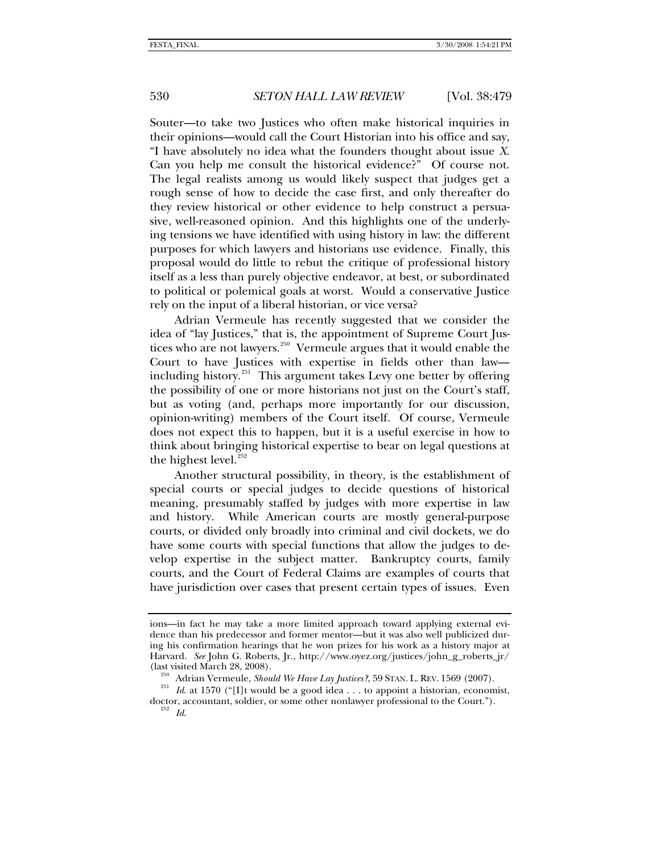Souter—to take two Justices who often make historical inquiries in their opinions—would call the Court Historian into his office and say, "I have absolutely no idea what the founders thought about issue *X*. Can you help me consult the historical evidence?" Of course not. The legal realists among us would likely suspect that judges get a rough sense of how to decide the case first, and only thereafter do they review historical or other evidence to help construct a persuasive, well-reasoned opinion. And this highlights one of the underlying tensions we have identified with using history in law: the different purposes for which lawyers and historians use evidence. Finally, this proposal would do little to rebut the critique of professional history itself as a less than purely objective endeavor, at best, or subordinated to political or polemical goals at worst. Would a conservative Justice rely on the input of a liberal historian, or vice versa?

Adrian Vermeule has recently suggested that we consider the idea of "lay Justices," that is, the appointment of Supreme Court Jus-tices who are not lawyers.<sup>[250](#page-51-0)</sup> Vermeule argues that it would enable the Court to have Justices with expertise in fields other than law including history. $251$  This argument takes Levy one better by offering the possibility of one or more historians not just on the Court's staff, but as voting (and, perhaps more importantly for our discussion, opinion-writing) members of the Court itself. Of course, Vermeule does not expect this to happen, but it is a useful exercise in how to think about bringing historical expertise to bear on legal questions at the highest level. $252$ 

Another structural possibility, in theory, is the establishment of special courts or special judges to decide questions of historical meaning, presumably staffed by judges with more expertise in law and history. While American courts are mostly general-purpose courts, or divided only broadly into criminal and civil dockets, we do have some courts with special functions that allow the judges to develop expertise in the subject matter. Bankruptcy courts, family courts, and the Court of Federal Claims are examples of courts that have jurisdiction over cases that present certain types of issues. Even

ions—in fact he may take a more limited approach toward applying external evidence than his predecessor and former mentor—but it was also well publicized during his confirmation hearings that he won prizes for his work as a history major at Harvard. *See* John G. Roberts, Jr., http://www.oyez.org/justices/john\_g\_roberts\_jr/ (last visited March 28, 2008). 250 Adrian Vermeule, *Should We Have Lay Justices?*, 59 STAN. L. REV. 1569 (2007). 251 *Id*. at 1570 ("[I]t would be a good idea . . . to appoint a historian, economist,

<span id="page-51-2"></span><span id="page-51-1"></span><span id="page-51-0"></span>doctor, accountant, soldier, or some other nonlawyer professional to the Court."). 252 *Id*.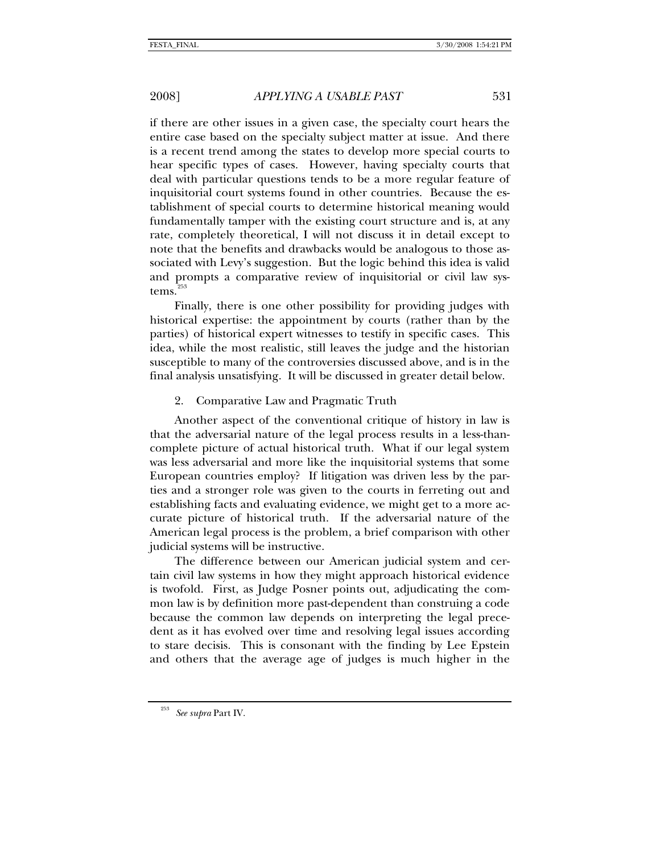if there are other issues in a given case, the specialty court hears the entire case based on the specialty subject matter at issue. And there is a recent trend among the states to develop more special courts to hear specific types of cases. However, having specialty courts that deal with particular questions tends to be a more regular feature of inquisitorial court systems found in other countries. Because the establishment of special courts to determine historical meaning would fundamentally tamper with the existing court structure and is, at any rate, completely theoretical, I will not discuss it in detail except to note that the benefits and drawbacks would be analogous to those associated with Levy's suggestion. But the logic behind this idea is valid and prompts a comparative review of inquisitorial or civil law sys $tems.<sup>2</sup>$ 

Finally, there is one other possibility for providing judges with historical expertise: the appointment by courts (rather than by the parties) of historical expert witnesses to testify in specific cases. This idea, while the most realistic, still leaves the judge and the historian susceptible to many of the controversies discussed above, and is in the final analysis unsatisfying. It will be discussed in greater detail below.

## 2. Comparative Law and Pragmatic Truth

Another aspect of the conventional critique of history in law is that the adversarial nature of the legal process results in a less-thancomplete picture of actual historical truth. What if our legal system was less adversarial and more like the inquisitorial systems that some European countries employ? If litigation was driven less by the parties and a stronger role was given to the courts in ferreting out and establishing facts and evaluating evidence, we might get to a more accurate picture of historical truth. If the adversarial nature of the American legal process is the problem, a brief comparison with other judicial systems will be instructive.

The difference between our American judicial system and certain civil law systems in how they might approach historical evidence is twofold. First, as Judge Posner points out, adjudicating the common law is by definition more past-dependent than construing a code because the common law depends on interpreting the legal precedent as it has evolved over time and resolving legal issues according to stare decisis. This is consonant with the finding by Lee Epstein and others that the average age of judges is much higher in the

<span id="page-52-0"></span><sup>253</sup> *See supra* Part IV.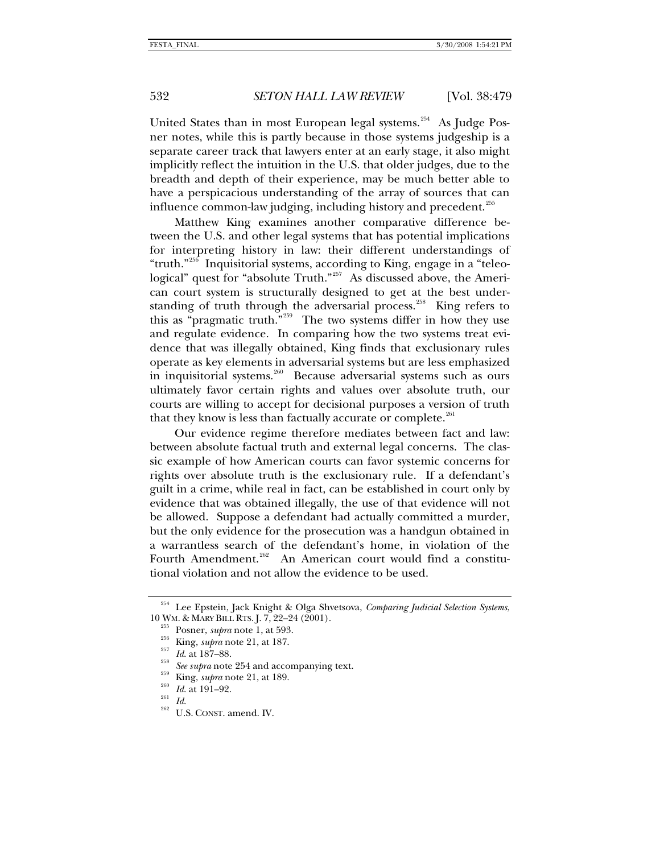United States than in most European legal systems.<sup>[254](#page-53-0)</sup> As Judge Posner notes, while this is partly because in those systems judgeship is a separate career track that lawyers enter at an early stage, it also might implicitly reflect the intuition in the U.S. that older judges, due to the breadth and depth of their experience, may be much better able to have a perspicacious understanding of the array of sources that can influence common-law judging, including history and precedent.<sup>[255](#page-53-1)</sup>

Matthew King examines another comparative difference between the U.S. and other legal systems that has potential implications for interpreting history in law: their different understandings of "truth."[256](#page-53-2) Inquisitorial systems, according to King, engage in a "teleo-logical" quest for "absolute Truth."<sup>[257](#page-53-3)</sup> As discussed above, the American court system is structurally designed to get at the best under-standing of truth through the adversarial process.<sup>[258](#page-53-4)</sup> King refers to this as "pragmatic truth. $\frac{1}{100}$ "<sup>[259](#page-53-5)</sup> The two systems differ in how they use and regulate evidence. In comparing how the two systems treat evidence that was illegally obtained, King finds that exclusionary rules operate as key elements in adversarial systems but are less emphasized in inquisitorial systems.<sup>[260](#page-53-6)</sup> Because adversarial systems such as ours ultimately favor certain rights and values over absolute truth, our courts are willing to accept for decisional purposes a version of truth that they know is less than factually accurate or complete.<sup>[261](#page-53-7)</sup>

Our evidence regime therefore mediates between fact and law: between absolute factual truth and external legal concerns. The classic example of how American courts can favor systemic concerns for rights over absolute truth is the exclusionary rule. If a defendant's guilt in a crime, while real in fact, can be established in court only by evidence that was obtained illegally, the use of that evidence will not be allowed. Suppose a defendant had actually committed a murder, but the only evidence for the prosecution was a handgun obtained in a warrantless search of the defendant's home, in violation of the Fourth Amendment.<sup>[262](#page-53-8)</sup> An American court would find a constitutional violation and not allow the evidence to be used.

<span id="page-53-3"></span><span id="page-53-2"></span><span id="page-53-1"></span><span id="page-53-0"></span><sup>&</sup>lt;sup>254</sup> Lee Epstein, Jack Knight & Olga Shvetsova, *Comparing Judicial Selection Systems*, 10 WM. & MARY BILL RTS. J. 7, 22–24 (2001).

<span id="page-53-4"></span>

<sup>&</sup>lt;sup>255</sup> Posner, *supra* note 1, at 593.<br><sup>256</sup> King, *supra* note 21, at 187.<br><sup>257</sup> Id. at 187–88.<br><sup>258</sup> See supra note 254 and accompanying text.<br><sup>259</sup> King, *supra* note 21, at 189.<br>Id. at 191–92.<br>Id. 2<sup>62</sup> U.S. CONST. ame

<span id="page-53-6"></span><span id="page-53-5"></span>

<span id="page-53-8"></span><span id="page-53-7"></span>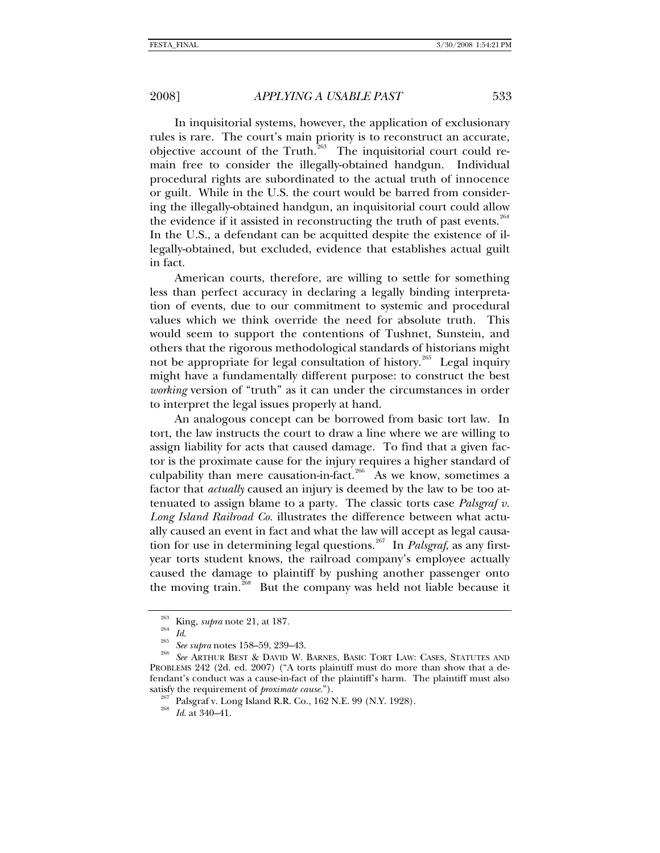In inquisitorial systems, however, the application of exclusionary rules is rare. The court's main priority is to reconstruct an accurate, objective account of the Truth. $^{263}$  $^{263}$  $^{263}$  The inquisitorial court could remain free to consider the illegally-obtained handgun. Individual procedural rights are subordinated to the actual truth of innocence or guilt. While in the U.S. the court would be barred from considering the illegally-obtained handgun, an inquisitorial court could allow the evidence if it assisted in reconstructing the truth of past events. $264$ In the U.S., a defendant can be acquitted despite the existence of illegally-obtained, but excluded, evidence that establishes actual guilt in fact.

American courts, therefore, are willing to settle for something less than perfect accuracy in declaring a legally binding interpretation of events, due to our commitment to systemic and procedural values which we think override the need for absolute truth. This would seem to support the contentions of Tushnet, Sunstein, and others that the rigorous methodological standards of historians might not be appropriate for legal consultation of history.<sup>[265](#page-54-2)</sup> Legal inquiry might have a fundamentally different purpose: to construct the best *working* version of "truth" as it can under the circumstances in order to interpret the legal issues properly at hand.

An analogous concept can be borrowed from basic tort law. In tort, the law instructs the court to draw a line where we are willing to assign liability for acts that caused damage. To find that a given factor is the proximate cause for the injury requires a higher standard of culpability than mere causation-in-fact.<sup>[266](#page-54-3)</sup> As we know, sometimes a factor that *actually* caused an injury is deemed by the law to be too attenuated to assign blame to a party. The classic torts case *Palsgraf v. Long Island Railroad Co.* illustrates the difference between what actually caused an event in fact and what the law will accept as legal causa-tion for use in determining legal questions.<sup>[267](#page-54-4)</sup> In *Palsgraf*, as any firstyear torts student knows, the railroad company's employee actually caused the damage to plaintiff by pushing another passenger onto the moving train.<sup>[268](#page-54-5)</sup> But the company was held not liable because it

<span id="page-54-2"></span><span id="page-54-1"></span><span id="page-54-0"></span><sup>&</sup>lt;sup>263</sup> King, *supra* note 21, at 187.<br><sup>265</sup> Id. See supra notes 158–59, 239–43.<br><sup>266</sup> See ARTHUR BEST & DAVID W. BARNES, BASIC TORT LAW: CASES, STATUTES AND PROBLEMS 242 (2d. ed. 2007) ("A torts plaintiff must do more than show that a defendant's conduct was a cause-in-fact of the plaintiff's harm. The plaintiff must also

<span id="page-54-5"></span><span id="page-54-4"></span><span id="page-54-3"></span>satisfy the requirement of *proximate cause.*").<br><sup>267</sup> Palsgraf v. Long Island R.R. Co., 162 N.E. 99 (N.Y. 1928).<br><sup>268</sup> Id. at 340–41.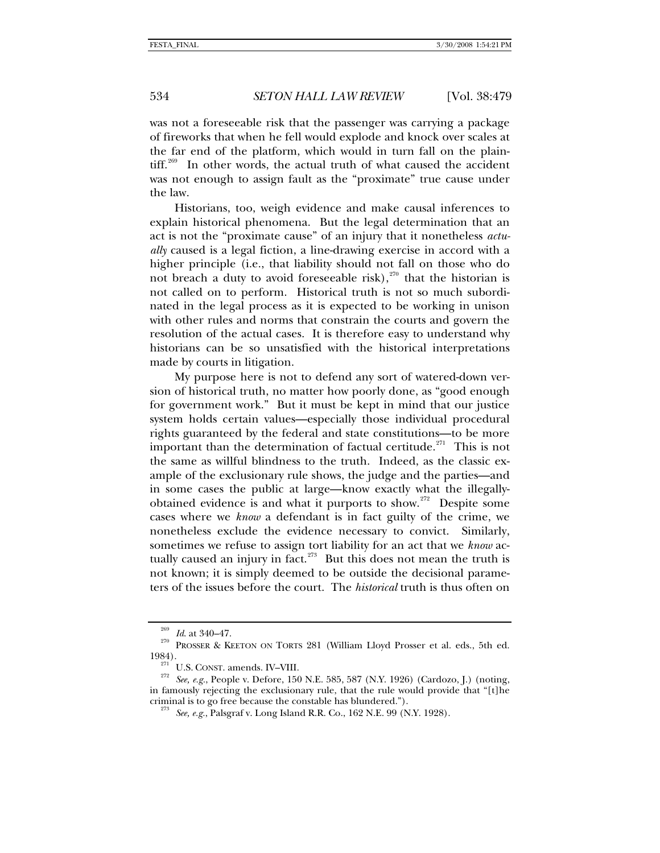was not a foreseeable risk that the passenger was carrying a package of fireworks that when he fell would explode and knock over scales at the far end of the platform, which would in turn fall on the plain- $\text{diff.}^{269}$  $\text{diff.}^{269}$  $\text{diff.}^{269}$  In other words, the actual truth of what caused the accident was not enough to assign fault as the "proximate" true cause under the law.

Historians, too, weigh evidence and make causal inferences to explain historical phenomena. But the legal determination that an act is not the "proximate cause" of an injury that it nonetheless *actually* caused is a legal fiction, a line-drawing exercise in accord with a higher principle (i.e., that liability should not fall on those who do not breach a duty to avoid foreseeable risk), $270$  that the historian is not called on to perform. Historical truth is not so much subordinated in the legal process as it is expected to be working in unison with other rules and norms that constrain the courts and govern the resolution of the actual cases. It is therefore easy to understand why historians can be so unsatisfied with the historical interpretations made by courts in litigation.

My purpose here is not to defend any sort of watered-down version of historical truth, no matter how poorly done, as "good enough for government work." But it must be kept in mind that our justice system holds certain values—especially those individual procedural rights guaranteed by the federal and state constitutions—to be more important than the determination of factual certitude.<sup>[271](#page-55-2)</sup> This is not the same as willful blindness to the truth. Indeed, as the classic example of the exclusionary rule shows, the judge and the parties—and in some cases the public at large—know exactly what the illegally-obtained evidence is and what it purports to show.<sup>[272](#page-55-3)</sup> Despite some cases where we *know* a defendant is in fact guilty of the crime, we nonetheless exclude the evidence necessary to convict. Similarly, sometimes we refuse to assign tort liability for an act that we *know* ac-tually caused an injury in fact.<sup>[273](#page-55-4)</sup> But this does not mean the truth is not known; it is simply deemed to be outside the decisional parameters of the issues before the court. The *historical* truth is thus often on

<span id="page-55-1"></span><span id="page-55-0"></span><sup>&</sup>lt;sup>269</sup> Id. at 340–47.<br><sup>270</sup> PROSSER & KEETON ON TORTS 281 (William Lloyd Prosser et al. eds., 5th ed. 1984).

<span id="page-55-4"></span><span id="page-55-3"></span><span id="page-55-2"></span><sup>&</sup>lt;sup>271</sup> U.S. CONST. amends. IV–VIII.<br><sup>272</sup> *See, e.g.*, People v. Defore, 150 N.E. 585, 587 (N.Y. 1926) (Cardozo, J.) (noting, in famously rejecting the exclusionary rule, that the rule would provide that "[t]he criminal is to go free because the constable has blundered."). 273 *See, e.g.*, Palsgraf v. Long Island R.R. Co., 162 N.E. 99 (N.Y. 1928).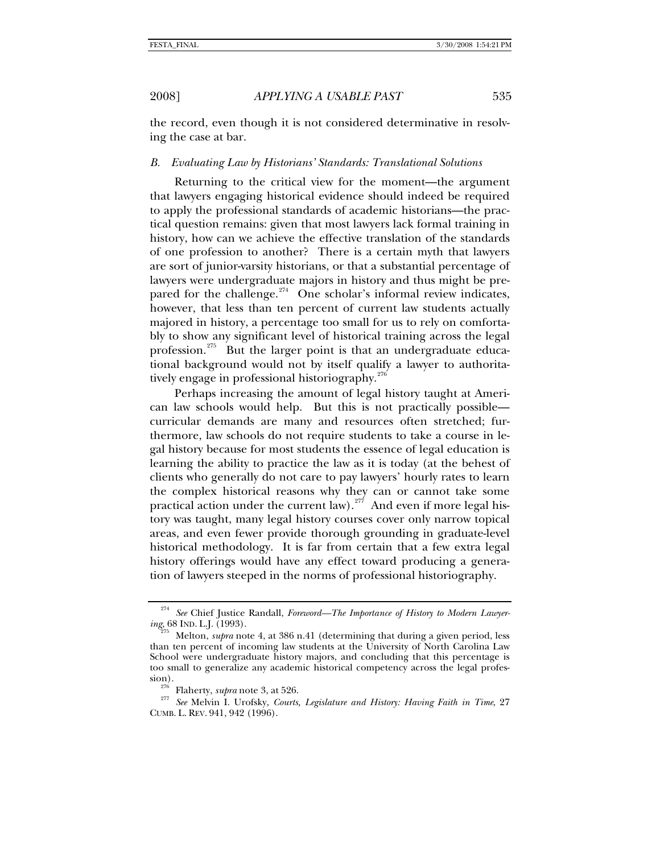the record, even though it is not considered determinative in resolving the case at bar.

### *B. Evaluating Law by Historians' Standards: Translational Solutions*

Returning to the critical view for the moment—the argument that lawyers engaging historical evidence should indeed be required to apply the professional standards of academic historians—the practical question remains: given that most lawyers lack formal training in history, how can we achieve the effective translation of the standards of one profession to another? There is a certain myth that lawyers are sort of junior-varsity historians, or that a substantial percentage of lawyers were undergraduate majors in history and thus might be pre-pared for the challenge.<sup>[274](#page-56-0)</sup> One scholar's informal review indicates, however, that less than ten percent of current law students actually majored in history, a percentage too small for us to rely on comfortably to show any significant level of historical training across the legal profession.<sup>[275](#page-56-1)</sup> But the larger point is that an undergraduate educational background would not by itself qualify a lawyer to authorita-tively engage in professional historiography.<sup>[276](#page-56-2)</sup>

Perhaps increasing the amount of legal history taught at American law schools would help. But this is not practically possible curricular demands are many and resources often stretched; furthermore, law schools do not require students to take a course in legal history because for most students the essence of legal education is learning the ability to practice the law as it is today (at the behest of clients who generally do not care to pay lawyers' hourly rates to learn the complex historical reasons why they can or cannot take some practical action under the current law).<sup>[277](#page-56-3)</sup> And even if more legal history was taught, many legal history courses cover only narrow topical areas, and even fewer provide thorough grounding in graduate-level historical methodology. It is far from certain that a few extra legal history offerings would have any effect toward producing a generation of lawyers steeped in the norms of professional historiography.

<span id="page-56-0"></span><sup>274</sup> *See* Chief Justice Randall, *Foreword—The Importance of History to Modern Lawyering*, 68 IND. L.J. (1993). 275 Melton, *supra* note 4, at 386 n.41 (determining that during a given period, less

<span id="page-56-1"></span>than ten percent of incoming law students at the University of North Carolina Law School were undergraduate history majors, and concluding that this percentage is too small to generalize any academic historical competency across the legal profes-

<span id="page-56-3"></span><span id="page-56-2"></span>sion). 276 Flaherty, *supra* note 3, at 526. 277 *See* Melvin I. Urofsky, *Courts, Legislature and History: Having Faith in Time*, 27 CUMB. L. REV. 941, 942 (1996).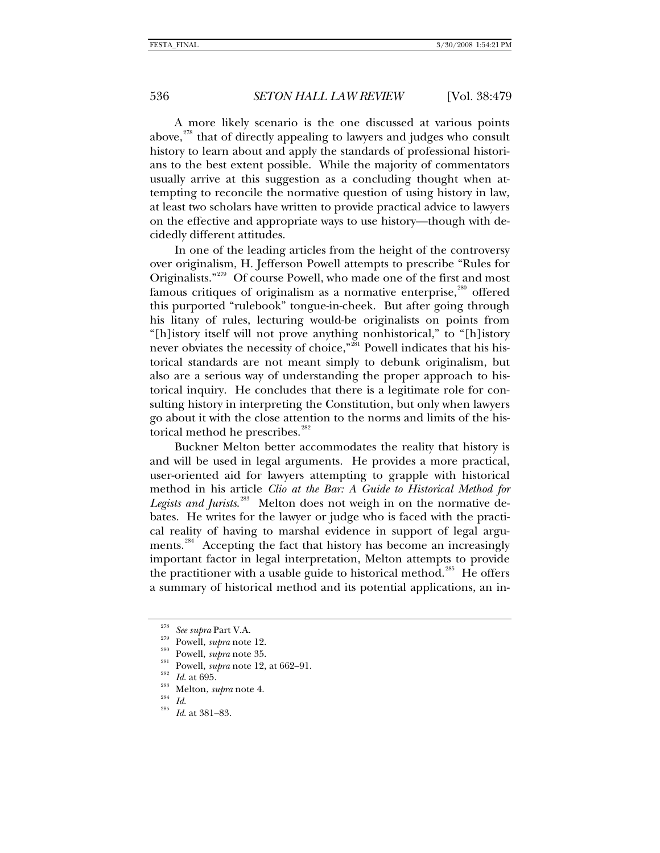A more likely scenario is the one discussed at various points above, $278$  that of directly appealing to lawyers and judges who consult history to learn about and apply the standards of professional historians to the best extent possible. While the majority of commentators usually arrive at this suggestion as a concluding thought when attempting to reconcile the normative question of using history in law, at least two scholars have written to provide practical advice to lawyers on the effective and appropriate ways to use history—though with decidedly different attitudes.

In one of the leading articles from the height of the controversy over originalism, H. Jefferson Powell attempts to prescribe "Rules for Originalists."<sup>[279](#page-57-1)</sup> Of course Powell, who made one of the first and most famous critiques of originalism as a normative enterprise, $^{280}$  $^{280}$  $^{280}$  offered this purported "rulebook" tongue-in-cheek. But after going through his litany of rules, lecturing would-be originalists on points from "[h]istory itself will not prove anything nonhistorical," to "[h]istory never obviates the necessity of choice,"<sup>[281](#page-57-3)</sup> Powell indicates that his historical standards are not meant simply to debunk originalism, but also are a serious way of understanding the proper approach to historical inquiry. He concludes that there is a legitimate role for consulting history in interpreting the Constitution, but only when lawyers go about it with the close attention to the norms and limits of the his-torical method he prescribes.<sup>[282](#page-57-4)</sup>

Buckner Melton better accommodates the reality that history is and will be used in legal arguments. He provides a more practical, user-oriented aid for lawyers attempting to grapple with historical method in his article *Clio at the Bar: A Guide to Historical Method for*  Legists and Jurists.<sup>[283](#page-57-5)</sup> Melton does not weigh in on the normative debates. He writes for the lawyer or judge who is faced with the practical reality of having to marshal evidence in support of legal argu-ments.<sup>[284](#page-57-6)</sup> Accepting the fact that history has become an increasingly important factor in legal interpretation, Melton attempts to provide the practitioner with a usable guide to historical method.<sup>[285](#page-57-7)</sup> He offers a summary of historical method and its potential applications, an in-

<span id="page-57-0"></span>

<span id="page-57-1"></span>

<span id="page-57-3"></span><span id="page-57-2"></span>

<sup>&</sup>lt;sup>278</sup> See supra Part V.A.<br><sup>279</sup> Powell, *supra* note 12.<br><sup>280</sup> Powell, *supra* note 35.<br><sup>281</sup> Powell, *supra* note 12, at 662–91.<br><sup>282</sup> Id. at 695.<br><sup>283</sup> Melton, *supra* note 4.<br>Id. Id. at 381–83.

<span id="page-57-4"></span>

<span id="page-57-6"></span><span id="page-57-5"></span>

<span id="page-57-7"></span>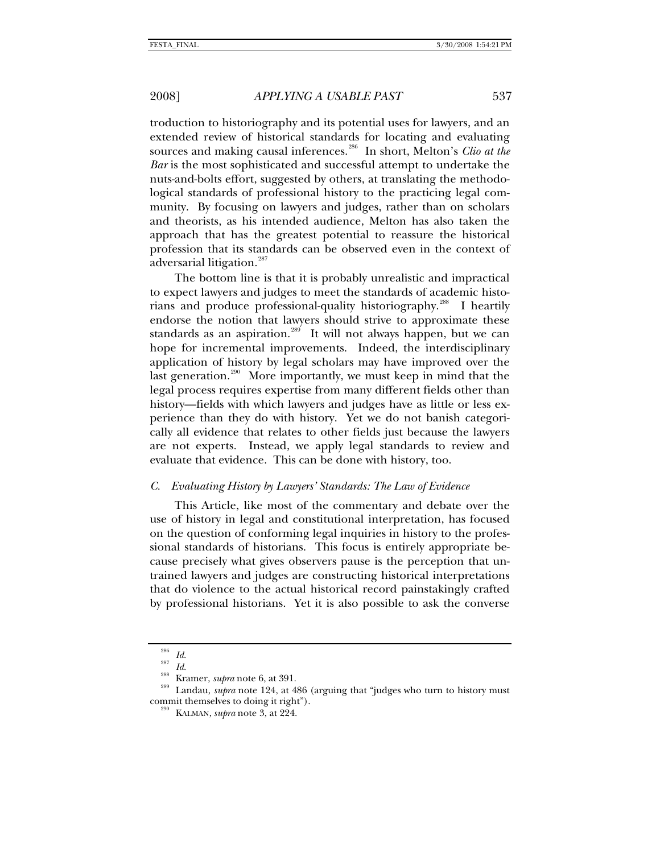troduction to historiography and its potential uses for lawyers, and an extended review of historical standards for locating and evaluating sources and making causal inferences.<sup>[286](#page-58-0)</sup> In short, Melton's *Clio at the Bar* is the most sophisticated and successful attempt to undertake the nuts-and-bolts effort, suggested by others, at translating the methodological standards of professional history to the practicing legal community. By focusing on lawyers and judges, rather than on scholars and theorists, as his intended audience, Melton has also taken the approach that has the greatest potential to reassure the historical profession that its standards can be observed even in the context of adversarial litigation.<sup>[287](#page-58-1)</sup>

The bottom line is that it is probably unrealistic and impractical to expect lawyers and judges to meet the standards of academic histo-rians and produce professional-quality historiography.<sup>[288](#page-58-2)</sup> I heartily endorse the notion that lawyers should strive to approximate these standards as an aspiration. $^{289}$  $^{289}$  $^{289}$  It will not always happen, but we can hope for incremental improvements. Indeed, the interdisciplinary application of history by legal scholars may have improved over the last generation.<sup>[290](#page-58-4)</sup> More importantly, we must keep in mind that the legal process requires expertise from many different fields other than history—fields with which lawyers and judges have as little or less experience than they do with history. Yet we do not banish categorically all evidence that relates to other fields just because the lawyers are not experts. Instead, we apply legal standards to review and evaluate that evidence. This can be done with history, too.

### *C. Evaluating History by Lawyers' Standards: The Law of Evidence*

This Article, like most of the commentary and debate over the use of history in legal and constitutional interpretation, has focused on the question of conforming legal inquiries in history to the professional standards of historians. This focus is entirely appropriate because precisely what gives observers pause is the perception that untrained lawyers and judges are constructing historical interpretations that do violence to the actual historical record painstakingly crafted by professional historians. Yet it is also possible to ask the converse

<span id="page-58-4"></span><span id="page-58-3"></span><span id="page-58-2"></span><span id="page-58-1"></span><span id="page-58-0"></span><sup>286</sup> *Id*. 287 *Id*. 288 Kramer, *supra* note 6, at 391. 289 Landau, *supra* note 124, at 486 (arguing that "judges who turn to history must commit themselves to doing it right"). 290 KALMAN, *supra* note 3, at 224.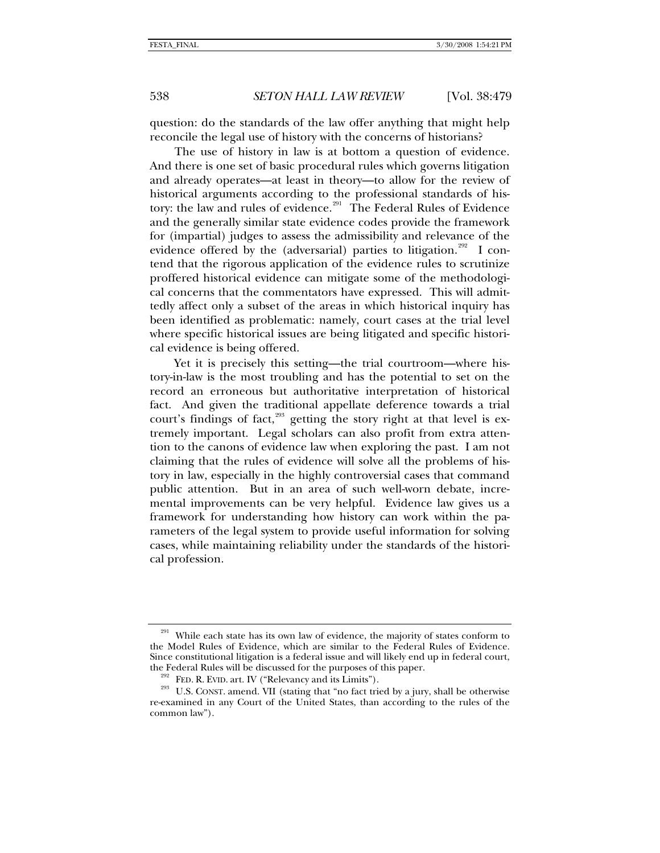question: do the standards of the law offer anything that might help reconcile the legal use of history with the concerns of historians?

The use of history in law is at bottom a question of evidence. And there is one set of basic procedural rules which governs litigation and already operates—at least in theory—to allow for the review of historical arguments according to the professional standards of his-tory: the law and rules of evidence.<sup>[291](#page-59-0)</sup> The Federal Rules of Evidence and the generally similar state evidence codes provide the framework for (impartial) judges to assess the admissibility and relevance of the evidence offered by the (adversarial) parties to litigation.<sup>[292](#page-59-1)</sup> I contend that the rigorous application of the evidence rules to scrutinize proffered historical evidence can mitigate some of the methodological concerns that the commentators have expressed. This will admittedly affect only a subset of the areas in which historical inquiry has been identified as problematic: namely, court cases at the trial level where specific historical issues are being litigated and specific historical evidence is being offered.

Yet it is precisely this setting—the trial courtroom—where history-in-law is the most troubling and has the potential to set on the record an erroneous but authoritative interpretation of historical fact. And given the traditional appellate deference towards a trial court's findings of fact, $293$  getting the story right at that level is extremely important. Legal scholars can also profit from extra attention to the canons of evidence law when exploring the past. I am not claiming that the rules of evidence will solve all the problems of history in law, especially in the highly controversial cases that command public attention. But in an area of such well-worn debate, incremental improvements can be very helpful. Evidence law gives us a framework for understanding how history can work within the parameters of the legal system to provide useful information for solving cases, while maintaining reliability under the standards of the historical profession.

<span id="page-59-0"></span> $291$  While each state has its own law of evidence, the majority of states conform to the Model Rules of Evidence, which are similar to the Federal Rules of Evidence. Since constitutional litigation is a federal issue and will likely end up in federal court,

<span id="page-59-2"></span><span id="page-59-1"></span>the Federal Rules will be discussed for the purposes of this paper.<br><sup>292</sup> FED. R. EVID. art. IV ("Relevancy and its Limits"). U.S. CONST. amend. VII (stating that "no fact tried by a jury, shall be otherwise re-examined in any Court of the United States, than according to the rules of the common law").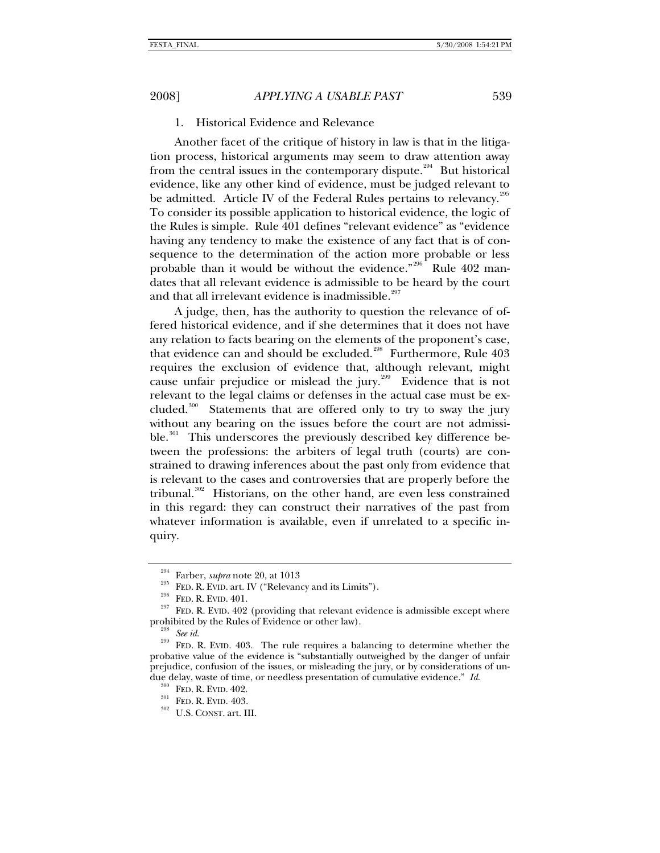# 1. Historical Evidence and Relevance

Another facet of the critique of history in law is that in the litigation process, historical arguments may seem to draw attention away from the central issues in the contemporary dispute.<sup>[294](#page-60-0)</sup> But historical evidence, like any other kind of evidence, must be judged relevant to be admitted. Article IV of the Federal Rules pertains to relevancy. $^{295}$  $^{295}$  $^{295}$ To consider its possible application to historical evidence, the logic of the Rules is simple. Rule 401 defines "relevant evidence" as "evidence having any tendency to make the existence of any fact that is of consequence to the determination of the action more probable or less probable than it would be without the evidence."<sup>[296](#page-60-2)</sup> Rule 402 mandates that all relevant evidence is admissible to be heard by the court and that all irrelevant evidence is inadmissible.<sup>[297](#page-60-3)</sup>

A judge, then, has the authority to question the relevance of offered historical evidence, and if she determines that it does not have any relation to facts bearing on the elements of the proponent's case, that evidence can and should be excluded.<sup>[298](#page-60-4)</sup> Furthermore, Rule 403 requires the exclusion of evidence that, although relevant, might cause unfair prejudice or mislead the jury.<sup>[299](#page-60-5)</sup> Evidence that is not relevant to the legal claims or defenses in the actual case must be ex-cluded.<sup>[300](#page-60-6)</sup> Statements that are offered only to try to sway the jury without any bearing on the issues before the court are not admissi-ble.<sup>[301](#page-60-7)</sup> This underscores the previously described key difference between the professions: the arbiters of legal truth (courts) are constrained to drawing inferences about the past only from evidence that is relevant to the cases and controversies that are properly before the tribunal. $302$  Historians, on the other hand, are even less constrained in this regard: they can construct their narratives of the past from whatever information is available, even if unrelated to a specific inquiry.

<span id="page-60-3"></span><span id="page-60-2"></span><span id="page-60-1"></span><span id="page-60-0"></span><sup>&</sup>lt;sup>295</sup> Farber, *supra* note 20, at 1013<br><sup>295</sup> FED. R. EVID. art. IV ("Relevancy and its Limits").<br><sup>296</sup> FED. R. EVID. 401. <br>**297** FED. R. EVID. 402 (providing that relevant evidence is admissible except where prohibited by the Rules of Evidence or other law).<br><sup>298</sup> *See id.* <sup>299</sup> FED. R. EVID. 403. The rule requires a balancing to determine whether the

<span id="page-60-7"></span><span id="page-60-6"></span><span id="page-60-5"></span><span id="page-60-4"></span>probative value of the evidence is "substantially outweighed by the danger of unfair prejudice, confusion of the issues, or misleading the jury, or by considerations of undue delay, waste of time, or needless presentation of cumulative evidence." *Id.* <sup>300</sup> FED. R. EVID. 402. <br><sup>301</sup> FED. R. EVID. 403. U.S. CONST. art. III.

<span id="page-60-8"></span>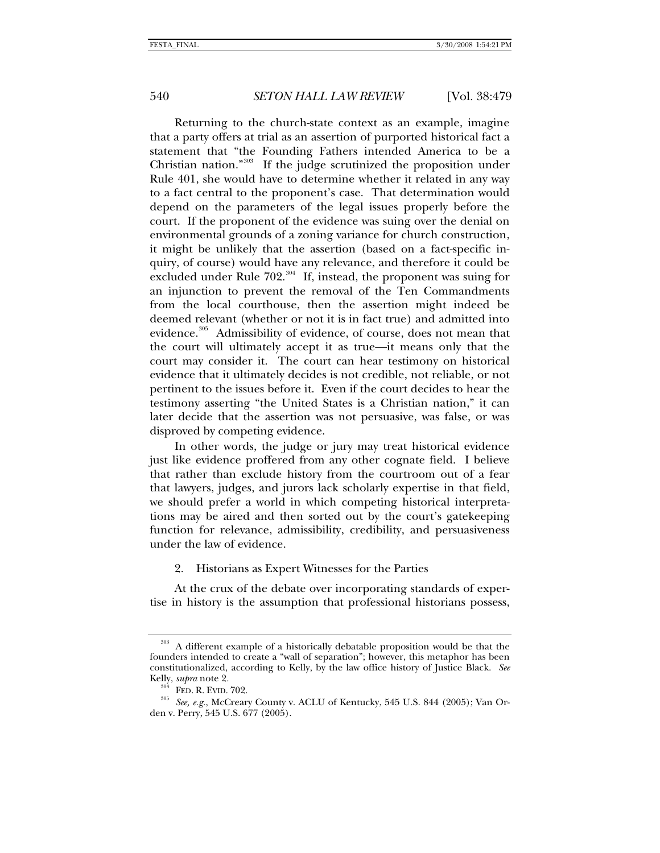Returning to the church-state context as an example, imagine that a party offers at trial as an assertion of purported historical fact a statement that "the Founding Fathers intended America to be a Christian nation."[303](#page-61-0) If the judge scrutinized the proposition under Rule 401, she would have to determine whether it related in any way to a fact central to the proponent's case. That determination would depend on the parameters of the legal issues properly before the court. If the proponent of the evidence was suing over the denial on environmental grounds of a zoning variance for church construction, it might be unlikely that the assertion (based on a fact-specific inquiry, of course) would have any relevance, and therefore it could be excluded under Rule  $702.^{304}$  $702.^{304}$  $702.^{304}$  If, instead, the proponent was suing for an injunction to prevent the removal of the Ten Commandments from the local courthouse, then the assertion might indeed be deemed relevant (whether or not it is in fact true) and admitted into evidence.<sup>[305](#page-61-2)</sup> Admissibility of evidence, of course, does not mean that the court will ultimately accept it as true—it means only that the court may consider it. The court can hear testimony on historical evidence that it ultimately decides is not credible, not reliable, or not pertinent to the issues before it. Even if the court decides to hear the testimony asserting "the United States is a Christian nation," it can later decide that the assertion was not persuasive, was false, or was disproved by competing evidence.

In other words, the judge or jury may treat historical evidence just like evidence proffered from any other cognate field. I believe that rather than exclude history from the courtroom out of a fear that lawyers, judges, and jurors lack scholarly expertise in that field, we should prefer a world in which competing historical interpretations may be aired and then sorted out by the court's gatekeeping function for relevance, admissibility, credibility, and persuasiveness under the law of evidence.

2. Historians as Expert Witnesses for the Parties

At the crux of the debate over incorporating standards of expertise in history is the assumption that professional historians possess,

<span id="page-61-0"></span><sup>303</sup> A different example of a historically debatable proposition would be that the founders intended to create a "wall of separation"; however, this metaphor has been constitutionalized, according to Kelly, by the law office history of Justice Black. *See* 

<span id="page-61-2"></span><span id="page-61-1"></span>Kelly, *supra* note 2.<br><sup>304</sup> FED. R. EVID. 702.<br><sup>305</sup> *See, e.g.*, McCreary County v. ACLU of Kentucky, 545 U.S. 844 (2005); Van Orden v. Perry, 545 U.S. 677 (2005).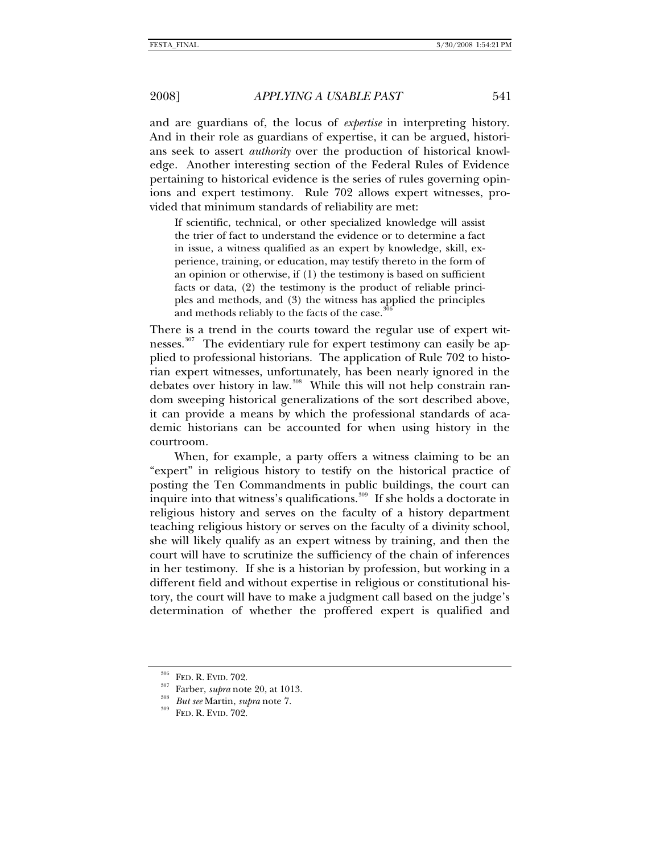and are guardians of, the locus of *expertise* in interpreting history. And in their role as guardians of expertise, it can be argued, historians seek to assert *authority* over the production of historical knowledge. Another interesting section of the Federal Rules of Evidence pertaining to historical evidence is the series of rules governing opinions and expert testimony. Rule 702 allows expert witnesses, provided that minimum standards of reliability are met:

If scientific, technical, or other specialized knowledge will assist the trier of fact to understand the evidence or to determine a fact in issue, a witness qualified as an expert by knowledge, skill, experience, training, or education, may testify thereto in the form of an opinion or otherwise, if (1) the testimony is based on sufficient facts or data, (2) the testimony is the product of reliable principles and methods, and (3) the witness has applied the principles and methods reliably to the facts of the case.

There is a trend in the courts toward the regular use of expert wit-nesses.<sup>[307](#page-62-1)</sup> The evidentiary rule for expert testimony can easily be applied to professional historians. The application of Rule 702 to historian expert witnesses, unfortunately, has been nearly ignored in the debates over history in law.<sup>[308](#page-62-2)</sup> While this will not help constrain random sweeping historical generalizations of the sort described above, it can provide a means by which the professional standards of academic historians can be accounted for when using history in the courtroom.

When, for example, a party offers a witness claiming to be an "expert" in religious history to testify on the historical practice of posting the Ten Commandments in public buildings, the court can inquire into that witness's qualifications.<sup>[309](#page-62-3)</sup> If she holds a doctorate in religious history and serves on the faculty of a history department teaching religious history or serves on the faculty of a divinity school, she will likely qualify as an expert witness by training, and then the court will have to scrutinize the sufficiency of the chain of inferences in her testimony. If she is a historian by profession, but working in a different field and without expertise in religious or constitutional history, the court will have to make a judgment call based on the judge's determination of whether the proffered expert is qualified and

<span id="page-62-1"></span>

<span id="page-62-0"></span><sup>&</sup>lt;sup>306</sup> FED. R. EVID. 702.<br><sup>307</sup> Farber, *supra* note 20, at 1013.<br><sup>309</sup> FED. R. EVID. 702.

<span id="page-62-3"></span><span id="page-62-2"></span>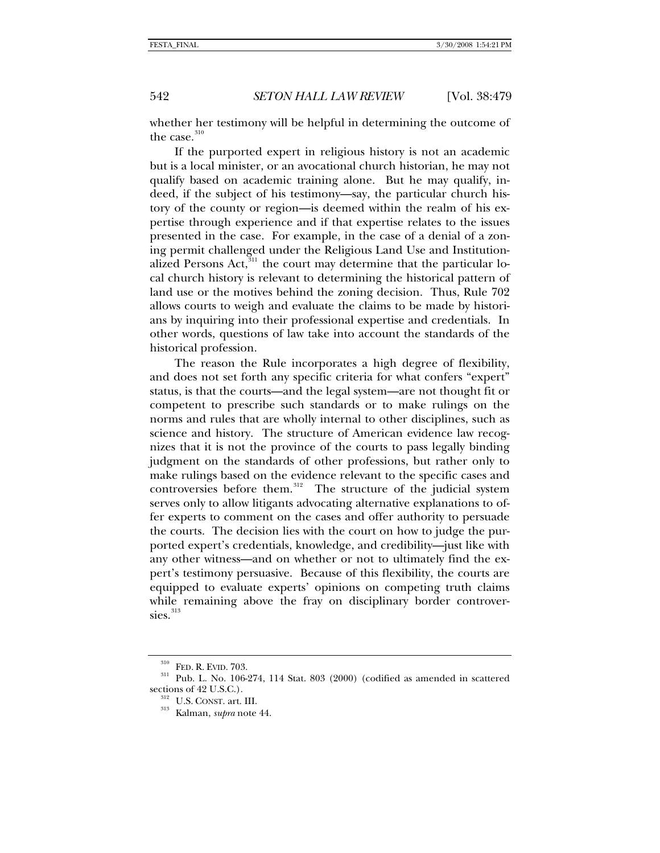whether her testimony will be helpful in determining the outcome of the case.<sup>[310](#page-63-0)</sup>

If the purported expert in religious history is not an academic but is a local minister, or an avocational church historian, he may not qualify based on academic training alone. But he may qualify, indeed, if the subject of his testimony—say, the particular church history of the county or region—is deemed within the realm of his expertise through experience and if that expertise relates to the issues presented in the case. For example, in the case of a denial of a zoning permit challenged under the Religious Land Use and Institution-alized Persons Act,<sup>[311](#page-63-1)</sup> the court may determine that the particular local church history is relevant to determining the historical pattern of land use or the motives behind the zoning decision. Thus, Rule 702 allows courts to weigh and evaluate the claims to be made by historians by inquiring into their professional expertise and credentials. In other words, questions of law take into account the standards of the historical profession.

The reason the Rule incorporates a high degree of flexibility, and does not set forth any specific criteria for what confers "expert" status, is that the courts—and the legal system—are not thought fit or competent to prescribe such standards or to make rulings on the norms and rules that are wholly internal to other disciplines, such as science and history. The structure of American evidence law recognizes that it is not the province of the courts to pass legally binding judgment on the standards of other professions, but rather only to make rulings based on the evidence relevant to the specific cases and controversies before them.<sup>[312](#page-63-2)</sup> The structure of the judicial system serves only to allow litigants advocating alternative explanations to offer experts to comment on the cases and offer authority to persuade the courts. The decision lies with the court on how to judge the purported expert's credentials, knowledge, and credibility—just like with any other witness—and on whether or not to ultimately find the expert's testimony persuasive. Because of this flexibility, the courts are equipped to evaluate experts' opinions on competing truth claims while remaining above the fray on disciplinary border controversies. $313$ 

<span id="page-63-3"></span><span id="page-63-2"></span><span id="page-63-1"></span><span id="page-63-0"></span><sup>&</sup>lt;sup>310</sup> FED. R. EVID. 703. <br><sup>311</sup> Pub. L. No. 106-274, 114 Stat. 803 (2000) (codified as amended in scattered sections of 42 U.S.C.).

 $\frac{312}{313}$  U.S. CONST. art. III.<br>Kalman, *supra* note 44.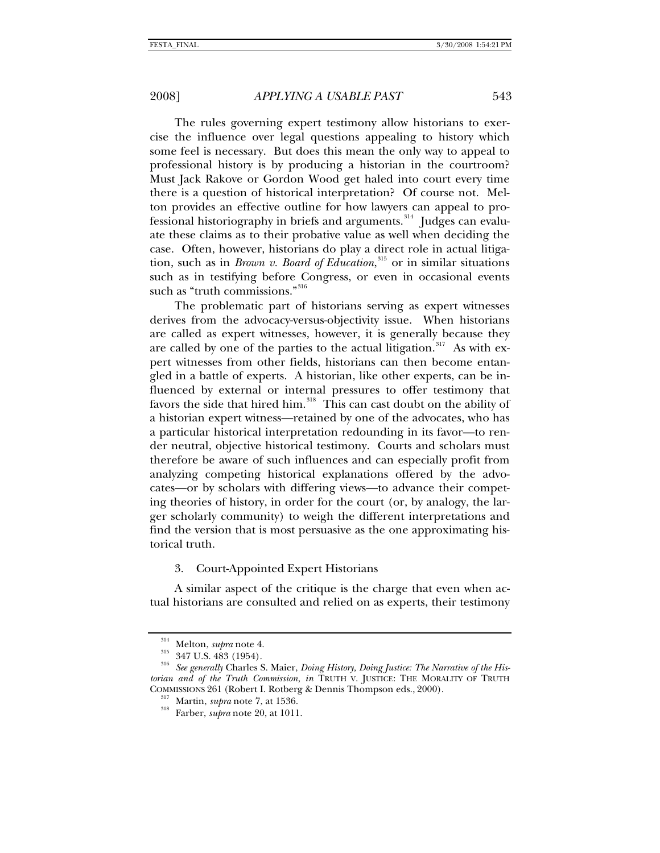The rules governing expert testimony allow historians to exercise the influence over legal questions appealing to history which some feel is necessary. But does this mean the only way to appeal to professional history is by producing a historian in the courtroom? Must Jack Rakove or Gordon Wood get haled into court every time there is a question of historical interpretation? Of course not. Melton provides an effective outline for how lawyers can appeal to pro-fessional historiography in briefs and arguments.<sup>[314](#page-64-0)</sup> Judges can evaluate these claims as to their probative value as well when deciding the case. Often, however, historians do play a direct role in actual litigation, such as in *Brown v. Board of Education*, [315](#page-64-1) or in similar situations such as in testifying before Congress, or even in occasional events such as "truth commissions."<sup>[316](#page-64-2)</sup>

The problematic part of historians serving as expert witnesses derives from the advocacy-versus-objectivity issue. When historians are called as expert witnesses, however, it is generally because they are called by one of the parties to the actual litigation.<sup>[317](#page-64-3)</sup> As with expert witnesses from other fields, historians can then become entangled in a battle of experts. A historian, like other experts, can be influenced by external or internal pressures to offer testimony that favors the side that hired him.<sup>[318](#page-64-4)</sup> This can cast doubt on the ability of a historian expert witness—retained by one of the advocates, who has a particular historical interpretation redounding in its favor—to render neutral, objective historical testimony. Courts and scholars must therefore be aware of such influences and can especially profit from analyzing competing historical explanations offered by the advocates—or by scholars with differing views—to advance their competing theories of history, in order for the court (or, by analogy, the larger scholarly community) to weigh the different interpretations and find the version that is most persuasive as the one approximating historical truth.

3. Court-Appointed Expert Historians

A similar aspect of the critique is the charge that even when actual historians are consulted and relied on as experts, their testimony

<span id="page-64-3"></span><span id="page-64-2"></span><span id="page-64-1"></span><span id="page-64-0"></span><sup>314</sup> Melton, *supra* note 4. 315 347 U.S. 483 (1954). 316 *See generally* Charles S. Maier, *Doing History, Doing Justice: The Narrative of the Historian and of the Truth Commission*, *in* TRUTH V. JUSTICE: THE MORALITY OF TRUTH COMMISSIONS 261 (Robert I. Rotberg & Dennis Thompson eds., 2000). 317 Martin, *supra* note 7, at 1536. 318 Farber, *supra* note 20, at 1011.

<span id="page-64-4"></span>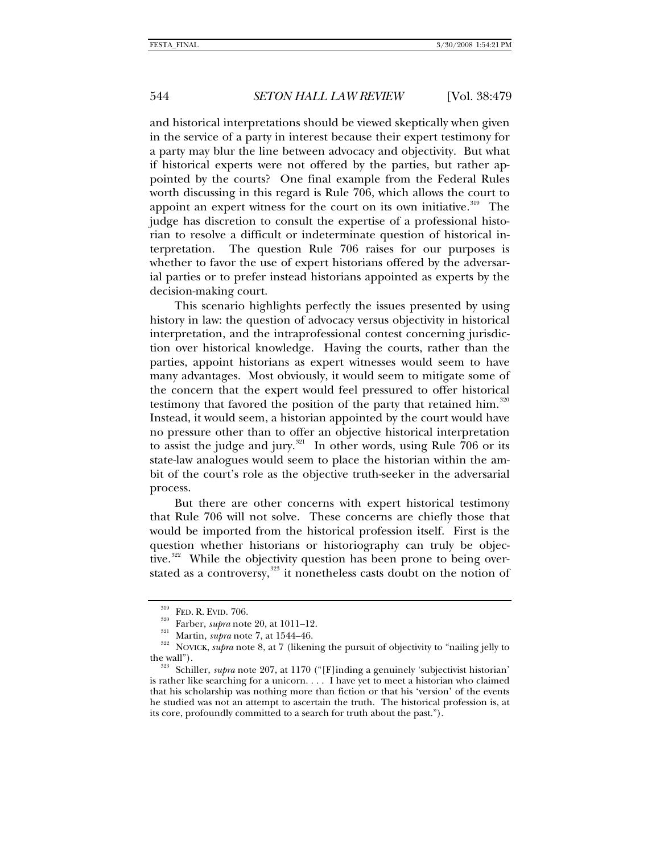and historical interpretations should be viewed skeptically when given in the service of a party in interest because their expert testimony for a party may blur the line between advocacy and objectivity. But what if historical experts were not offered by the parties, but rather appointed by the courts? One final example from the Federal Rules worth discussing in this regard is Rule 706, which allows the court to appoint an expert witness for the court on its own initiative.<sup>[319](#page-65-0)</sup> The judge has discretion to consult the expertise of a professional historian to resolve a difficult or indeterminate question of historical interpretation. The question Rule 706 raises for our purposes is whether to favor the use of expert historians offered by the adversarial parties or to prefer instead historians appointed as experts by the decision-making court.

This scenario highlights perfectly the issues presented by using history in law: the question of advocacy versus objectivity in historical interpretation, and the intraprofessional contest concerning jurisdiction over historical knowledge. Having the courts, rather than the parties, appoint historians as expert witnesses would seem to have many advantages. Most obviously, it would seem to mitigate some of the concern that the expert would feel pressured to offer historical testimony that favored the position of the party that retained him.<sup>[320](#page-65-1)</sup> Instead, it would seem, a historian appointed by the court would have no pressure other than to offer an objective historical interpretation to assist the judge and jury. $321$  In other words, using Rule 706 or its state-law analogues would seem to place the historian within the ambit of the court's role as the objective truth-seeker in the adversarial process.

But there are other concerns with expert historical testimony that Rule 706 will not solve. These concerns are chiefly those that would be imported from the historical profession itself. First is the question whether historians or historiography can truly be objec-tive.<sup>[322](#page-65-3)</sup> While the objectivity question has been prone to being over-stated as a controversy,<sup>[323](#page-65-4)</sup> it nonetheless casts doubt on the notion of

<span id="page-65-1"></span><span id="page-65-0"></span><sup>&</sup>lt;sup>320</sup> Farber, *supra* note 20, at 1011–12.<br><sup>321</sup> Martin, *supra* note 7, at 1544–46.<br><sup>322</sup> NOVICK, *supra* note 8, at 7 (likening the pursuit of objectivity to "nailing jelly to

<span id="page-65-4"></span><span id="page-65-3"></span><span id="page-65-2"></span>the wall"). 323 Schiller, *supra* note 207, at 1170 ("[F]inding a genuinely 'subjectivist historian' is rather like searching for a unicorn. . . . I have yet to meet a historian who claimed that his scholarship was nothing more than fiction or that his 'version' of the events he studied was not an attempt to ascertain the truth. The historical profession is, at its core, profoundly committed to a search for truth about the past.").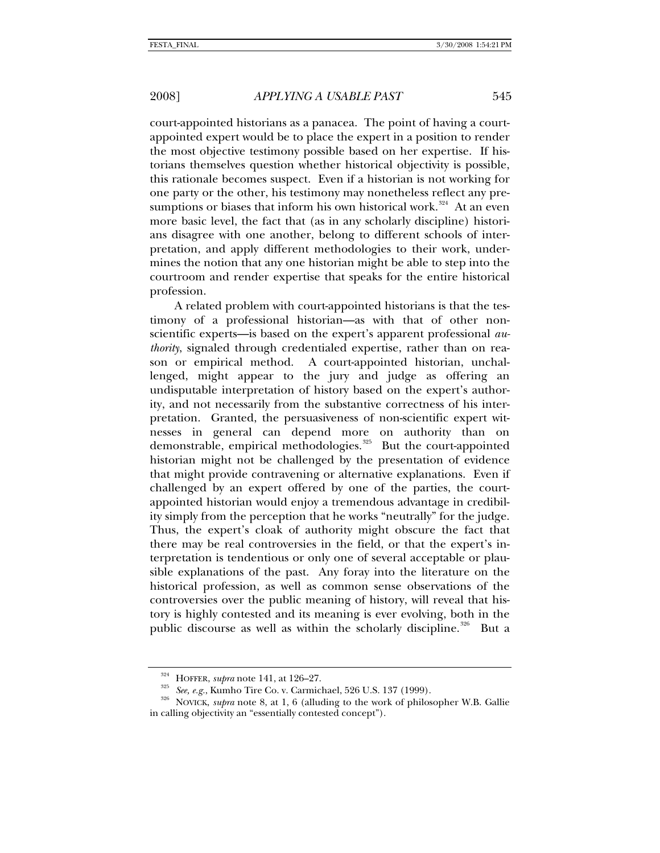court-appointed historians as a panacea. The point of having a courtappointed expert would be to place the expert in a position to render the most objective testimony possible based on her expertise. If historians themselves question whether historical objectivity is possible, this rationale becomes suspect. Even if a historian is not working for one party or the other, his testimony may nonetheless reflect any pre-sumptions or biases that inform his own historical work.<sup>[324](#page-66-0)</sup> At an even more basic level, the fact that (as in any scholarly discipline) historians disagree with one another, belong to different schools of interpretation, and apply different methodologies to their work, undermines the notion that any one historian might be able to step into the courtroom and render expertise that speaks for the entire historical profession.

A related problem with court-appointed historians is that the testimony of a professional historian—as with that of other nonscientific experts—is based on the expert's apparent professional *authority*, signaled through credentialed expertise, rather than on reason or empirical method. A court-appointed historian, unchallenged, might appear to the jury and judge as offering an undisputable interpretation of history based on the expert's authority, and not necessarily from the substantive correctness of his interpretation. Granted, the persuasiveness of non-scientific expert witnesses in general can depend more on authority than on demonstrable, empirical methodologies.<sup>[325](#page-66-1)</sup> But the court-appointed historian might not be challenged by the presentation of evidence that might provide contravening or alternative explanations. Even if challenged by an expert offered by one of the parties, the courtappointed historian would enjoy a tremendous advantage in credibility simply from the perception that he works "neutrally" for the judge. Thus, the expert's cloak of authority might obscure the fact that there may be real controversies in the field, or that the expert's interpretation is tendentious or only one of several acceptable or plausible explanations of the past. Any foray into the literature on the historical profession, as well as common sense observations of the controversies over the public meaning of history, will reveal that history is highly contested and its meaning is ever evolving, both in the public discourse as well as within the scholarly discipline.<sup>[326](#page-66-2)</sup> But a

<span id="page-66-2"></span><span id="page-66-1"></span><span id="page-66-0"></span><sup>&</sup>lt;sup>324</sup> HOFFER, *supra* note 141, at 126–27.<br><sup>325</sup> See, e.g., Kumho Tire Co. v. Carmichael, 526 U.S. 137 (1999).<br><sup>326</sup> NOVICK, *supra* note 8, at 1, 6 (alluding to the work of philosopher W.B. Gallie in calling objectivity an "essentially contested concept").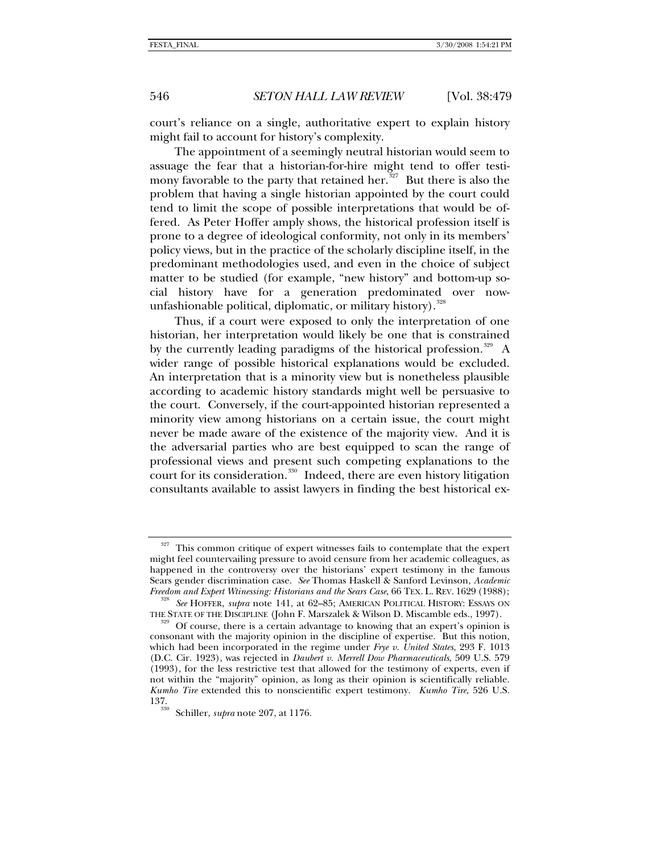court's reliance on a single, authoritative expert to explain history might fail to account for history's complexity.

The appointment of a seemingly neutral historian would seem to assuage the fear that a historian-for-hire might tend to offer testi-mony favorable to the party that retained her.<sup>[327](#page-67-0)</sup> But there is also the problem that having a single historian appointed by the court could tend to limit the scope of possible interpretations that would be offered. As Peter Hoffer amply shows, the historical profession itself is prone to a degree of ideological conformity, not only in its members' policy views, but in the practice of the scholarly discipline itself, in the predominant methodologies used, and even in the choice of subject matter to be studied (for example, "new history" and bottom-up social history have for a generation predominated over now-unfashionable political, diplomatic, or military history).<sup>[328](#page-67-1)</sup>

Thus, if a court were exposed to only the interpretation of one historian, her interpretation would likely be one that is constrained by the currently leading paradigms of the historical profession.<sup>[329](#page-67-2)</sup> A wider range of possible historical explanations would be excluded. An interpretation that is a minority view but is nonetheless plausible according to academic history standards might well be persuasive to the court. Conversely, if the court-appointed historian represented a minority view among historians on a certain issue, the court might never be made aware of the existence of the majority view. And it is the adversarial parties who are best equipped to scan the range of professional views and present such competing explanations to the court for its consideration.<sup>[330](#page-67-3)</sup> Indeed, there are even history litigation consultants available to assist lawyers in finding the best historical ex-

<span id="page-67-0"></span><sup>327</sup> This common critique of expert witnesses fails to contemplate that the expert might feel countervailing pressure to avoid censure from her academic colleagues, as happened in the controversy over the historians' expert testimony in the famous Sears gender discrimination case. *See* Thomas Haskell & Sanford Levinson, *Academic Freedom and Expert Winessing: Historians and the Sears Case*, 66 TEX. L. REV. 1629 (1988);

<span id="page-67-1"></span><sup>&</sup>lt;sup>328</sup> *See* HOFFER, *supra* note 141, at 62–85; AMERICAN POLITICAL HISTORY: ESSAYS ON THE STATE OF THE DISCIPLINE (John F. Marszalek & Wilson D. Miscamble eds., 1997).

<span id="page-67-2"></span>Of course, there is a certain advantage to knowing that an expert's opinion is consonant with the majority opinion in the discipline of expertise. But this notion, which had been incorporated in the regime under *Frye v. United States*, 293 F. 1013 (D.C. Cir. 1923), was rejected in *Daubert v. Merrell Dow Pharmaceuticals*, 509 U.S. 579 (1993), for the less restrictive test that allowed for the testimony of experts, even if not within the "majority" opinion, as long as their opinion is scientifically reliable. *Kumho Tire* extended this to nonscientific expert testimony. *Kumho Tire*, 526 U.S. 137. 330 Schiller, *supra* note 207, at 1176.

<span id="page-67-3"></span>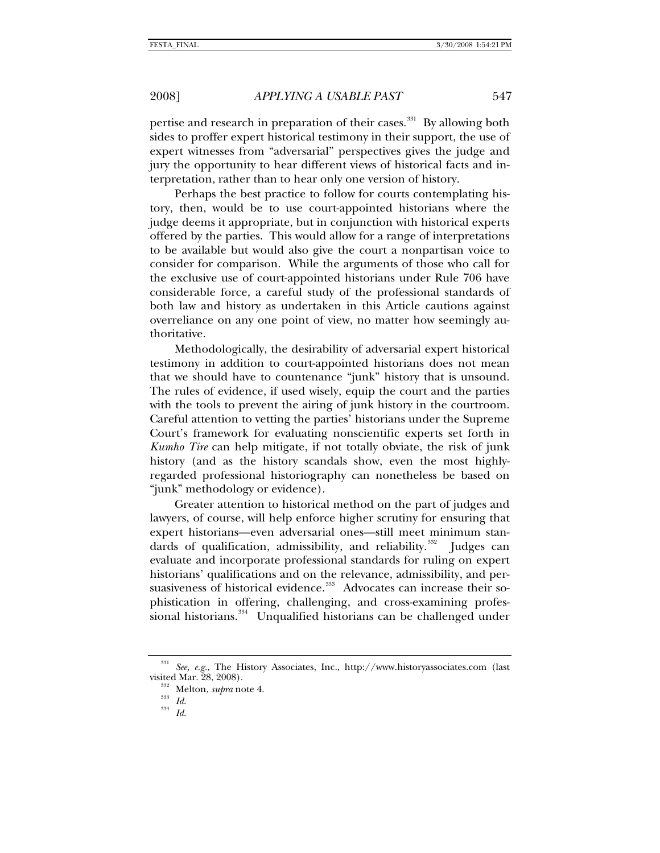pertise and research in preparation of their cases.<sup>[331](#page-68-0)</sup> By allowing both sides to proffer expert historical testimony in their support, the use of expert witnesses from "adversarial" perspectives gives the judge and jury the opportunity to hear different views of historical facts and interpretation, rather than to hear only one version of history.

Perhaps the best practice to follow for courts contemplating history, then, would be to use court-appointed historians where the judge deems it appropriate, but in conjunction with historical experts offered by the parties. This would allow for a range of interpretations to be available but would also give the court a nonpartisan voice to consider for comparison. While the arguments of those who call for the exclusive use of court-appointed historians under Rule 706 have considerable force, a careful study of the professional standards of both law and history as undertaken in this Article cautions against overreliance on any one point of view, no matter how seemingly authoritative.

Methodologically, the desirability of adversarial expert historical testimony in addition to court-appointed historians does not mean that we should have to countenance "junk" history that is unsound. The rules of evidence, if used wisely, equip the court and the parties with the tools to prevent the airing of junk history in the courtroom. Careful attention to vetting the parties' historians under the Supreme Court's framework for evaluating nonscientific experts set forth in *Kumho Tire* can help mitigate, if not totally obviate, the risk of junk history (and as the history scandals show, even the most highlyregarded professional historiography can nonetheless be based on "junk" methodology or evidence).

Greater attention to historical method on the part of judges and lawyers, of course, will help enforce higher scrutiny for ensuring that expert historians—even adversarial ones—still meet minimum stan-dards of qualification, admissibility, and reliability.<sup>[332](#page-68-1)</sup> Judges can evaluate and incorporate professional standards for ruling on expert historians' qualifications and on the relevance, admissibility, and per-suasiveness of historical evidence.<sup>[333](#page-68-2)</sup> Advocates can increase their sophistication in offering, challenging, and cross-examining profes-sional historians.<sup>[334](#page-68-3)</sup> Unqualified historians can be challenged under

<span id="page-68-3"></span><span id="page-68-2"></span><span id="page-68-1"></span><span id="page-68-0"></span><sup>331</sup> *See, e.g.*, The History Associates, Inc., http://www.historyassociates.com (last visited Mar. 28, 2008). 332 Melton, *supra* note 4. 333 *Id*. 334 *Id*.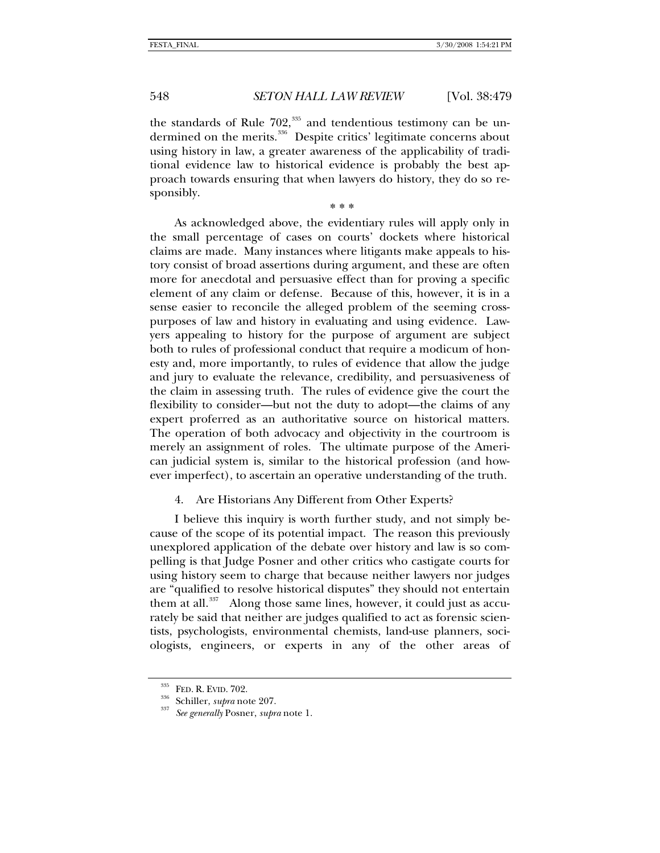the standards of Rule  $702$ ,<sup>[335](#page-69-0)</sup> and tendentious testimony can be un-dermined on the merits.<sup>[336](#page-69-1)</sup> Despite critics' legitimate concerns about using history in law, a greater awareness of the applicability of traditional evidence law to historical evidence is probably the best approach towards ensuring that when lawyers do history, they do so responsibly.

**\* \* \***

As acknowledged above, the evidentiary rules will apply only in the small percentage of cases on courts' dockets where historical claims are made. Many instances where litigants make appeals to history consist of broad assertions during argument, and these are often more for anecdotal and persuasive effect than for proving a specific element of any claim or defense. Because of this, however, it is in a sense easier to reconcile the alleged problem of the seeming crosspurposes of law and history in evaluating and using evidence. Lawyers appealing to history for the purpose of argument are subject both to rules of professional conduct that require a modicum of honesty and, more importantly, to rules of evidence that allow the judge and jury to evaluate the relevance, credibility, and persuasiveness of the claim in assessing truth. The rules of evidence give the court the flexibility to consider—but not the duty to adopt—the claims of any expert proferred as an authoritative source on historical matters. The operation of both advocacy and objectivity in the courtroom is merely an assignment of roles. The ultimate purpose of the American judicial system is, similar to the historical profession (and however imperfect), to ascertain an operative understanding of the truth.

## 4. Are Historians Any Different from Other Experts?

I believe this inquiry is worth further study, and not simply because of the scope of its potential impact. The reason this previously unexplored application of the debate over history and law is so compelling is that Judge Posner and other critics who castigate courts for using history seem to charge that because neither lawyers nor judges are "qualified to resolve historical disputes" they should not entertain them at all. $337$  Along those same lines, however, it could just as accurately be said that neither are judges qualified to act as forensic scientists, psychologists, environmental chemists, land-use planners, sociologists, engineers, or experts in any of the other areas of

<span id="page-69-2"></span><span id="page-69-1"></span><span id="page-69-0"></span>

<sup>335</sup> FED. R. EVID. 702. 336 Schiller, *supra* note 207. 337 *See generally* Posner, *supra* note 1.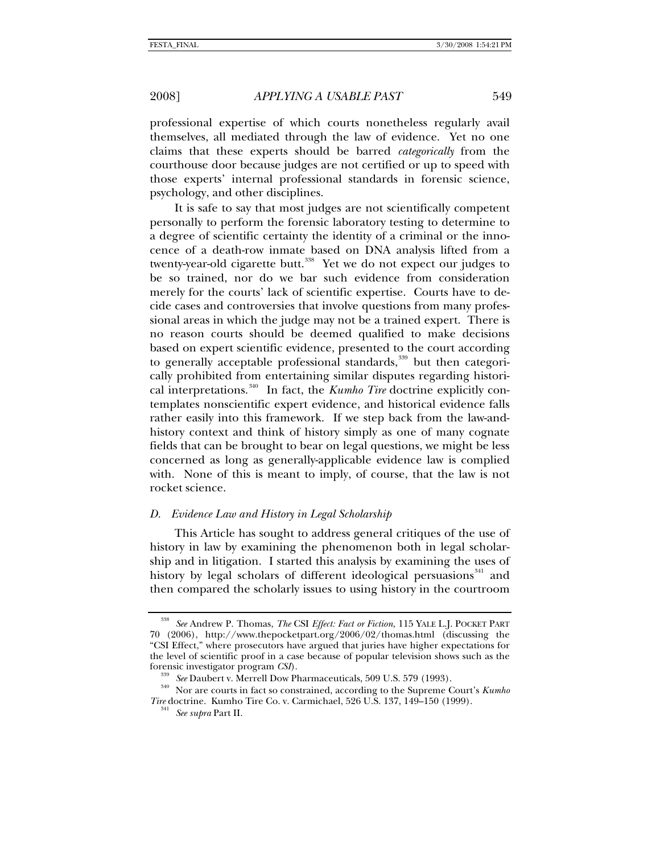professional expertise of which courts nonetheless regularly avail themselves, all mediated through the law of evidence. Yet no one claims that these experts should be barred *categorically* from the courthouse door because judges are not certified or up to speed with those experts' internal professional standards in forensic science, psychology, and other disciplines.

It is safe to say that most judges are not scientifically competent personally to perform the forensic laboratory testing to determine to a degree of scientific certainty the identity of a criminal or the innocence of a death-row inmate based on DNA analysis lifted from a twenty-year-old cigarette butt.<sup>[338](#page-70-0)</sup> Yet we do not expect our judges to be so trained, nor do we bar such evidence from consideration merely for the courts' lack of scientific expertise. Courts have to decide cases and controversies that involve questions from many professional areas in which the judge may not be a trained expert. There is no reason courts should be deemed qualified to make decisions based on expert scientific evidence, presented to the court according to generally acceptable professional standards,<sup>[339](#page-70-1)</sup> but then categorically prohibited from entertaining similar disputes regarding historical interpretations.[340](#page-70-2) In fact, the *Kumho Tire* doctrine explicitly contemplates nonscientific expert evidence, and historical evidence falls rather easily into this framework. If we step back from the law-andhistory context and think of history simply as one of many cognate fields that can be brought to bear on legal questions, we might be less concerned as long as generally-applicable evidence law is complied with. None of this is meant to imply, of course, that the law is not rocket science.

## *D. Evidence Law and History in Legal Scholarship*

This Article has sought to address general critiques of the use of history in law by examining the phenomenon both in legal scholarship and in litigation. I started this analysis by examining the uses of history by legal scholars of different ideological persuasions<sup>[341](#page-70-3)</sup> and then compared the scholarly issues to using history in the courtroom

<span id="page-70-0"></span><sup>338</sup> *See* Andrew P. Thomas, *The* CSI *Effect: Fact or Fiction*, 115 YALE L.J. POCKET PART 70 (2006), http://www.thepocketpart.org/2006/02/thomas.html (discussing the "CSI Effect," where prosecutors have argued that juries have higher expectations for the level of scientific proof in a case because of popular television shows such as the forensic investigator program *CSI*).<br><sup>339</sup> See Daubert v. Merrell Dow Pharmaceuticals, 509 U.S. 579 (1993).<br><sup>340</sup> Nor are courts in fact so constrained, according to the Supreme Court's *Kumho* 

<span id="page-70-3"></span><span id="page-70-2"></span><span id="page-70-1"></span>*Tire* doctrine. Kumho Tire Co. v. Carmichael, 526 U.S. 137, 149–150 (1999). 341 *See supra* Part II.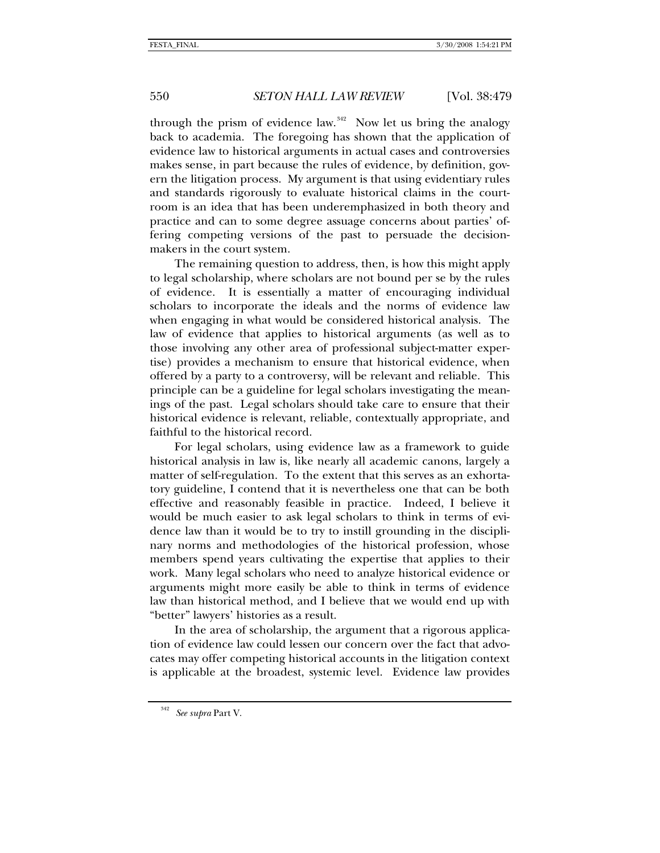through the prism of evidence law.<sup>[342](#page-71-0)</sup> Now let us bring the analogy back to academia. The foregoing has shown that the application of evidence law to historical arguments in actual cases and controversies makes sense, in part because the rules of evidence, by definition, govern the litigation process. My argument is that using evidentiary rules and standards rigorously to evaluate historical claims in the courtroom is an idea that has been underemphasized in both theory and practice and can to some degree assuage concerns about parties' offering competing versions of the past to persuade the decisionmakers in the court system.

The remaining question to address, then, is how this might apply to legal scholarship, where scholars are not bound per se by the rules of evidence. It is essentially a matter of encouraging individual scholars to incorporate the ideals and the norms of evidence law when engaging in what would be considered historical analysis. The law of evidence that applies to historical arguments (as well as to those involving any other area of professional subject-matter expertise) provides a mechanism to ensure that historical evidence, when offered by a party to a controversy, will be relevant and reliable. This principle can be a guideline for legal scholars investigating the meanings of the past. Legal scholars should take care to ensure that their historical evidence is relevant, reliable, contextually appropriate, and faithful to the historical record.

For legal scholars, using evidence law as a framework to guide historical analysis in law is, like nearly all academic canons, largely a matter of self-regulation. To the extent that this serves as an exhortatory guideline, I contend that it is nevertheless one that can be both effective and reasonably feasible in practice. Indeed, I believe it would be much easier to ask legal scholars to think in terms of evidence law than it would be to try to instill grounding in the disciplinary norms and methodologies of the historical profession, whose members spend years cultivating the expertise that applies to their work. Many legal scholars who need to analyze historical evidence or arguments might more easily be able to think in terms of evidence law than historical method, and I believe that we would end up with "better" lawyers' histories as a result.

In the area of scholarship, the argument that a rigorous application of evidence law could lessen our concern over the fact that advocates may offer competing historical accounts in the litigation context is applicable at the broadest, systemic level. Evidence law provides

<span id="page-71-0"></span><sup>342</sup> *See supra* Part V.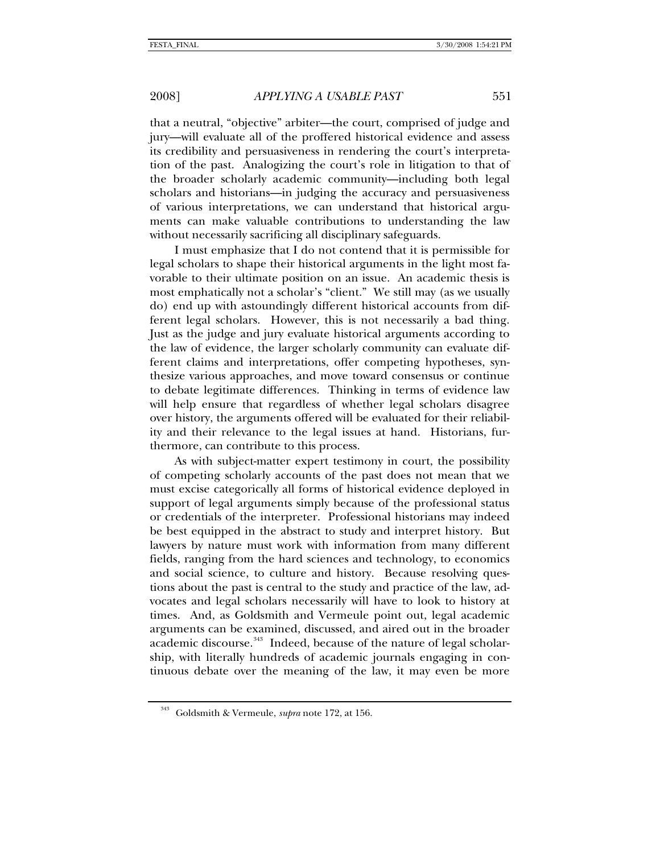## 2008] *APPLYING A USABLE PAST* 551

that a neutral, "objective" arbiter—the court, comprised of judge and jury—will evaluate all of the proffered historical evidence and assess its credibility and persuasiveness in rendering the court's interpretation of the past. Analogizing the court's role in litigation to that of the broader scholarly academic community—including both legal scholars and historians—in judging the accuracy and persuasiveness of various interpretations, we can understand that historical arguments can make valuable contributions to understanding the law without necessarily sacrificing all disciplinary safeguards.

I must emphasize that I do not contend that it is permissible for legal scholars to shape their historical arguments in the light most favorable to their ultimate position on an issue. An academic thesis is most emphatically not a scholar's "client." We still may (as we usually do) end up with astoundingly different historical accounts from different legal scholars. However, this is not necessarily a bad thing. Just as the judge and jury evaluate historical arguments according to the law of evidence, the larger scholarly community can evaluate different claims and interpretations, offer competing hypotheses, synthesize various approaches, and move toward consensus or continue to debate legitimate differences. Thinking in terms of evidence law will help ensure that regardless of whether legal scholars disagree over history, the arguments offered will be evaluated for their reliability and their relevance to the legal issues at hand. Historians, furthermore, can contribute to this process.

As with subject-matter expert testimony in court, the possibility of competing scholarly accounts of the past does not mean that we must excise categorically all forms of historical evidence deployed in support of legal arguments simply because of the professional status or credentials of the interpreter. Professional historians may indeed be best equipped in the abstract to study and interpret history. But lawyers by nature must work with information from many different fields, ranging from the hard sciences and technology, to economics and social science, to culture and history. Because resolving questions about the past is central to the study and practice of the law, advocates and legal scholars necessarily will have to look to history at times. And, as Goldsmith and Vermeule point out, legal academic arguments can be examined, discussed, and aired out in the broader academic discourse.<sup>[343](#page-72-0)</sup> Indeed, because of the nature of legal scholarship, with literally hundreds of academic journals engaging in continuous debate over the meaning of the law, it may even be more

<span id="page-72-0"></span><sup>343</sup> Goldsmith & Vermeule, *supra* note 172, at 156.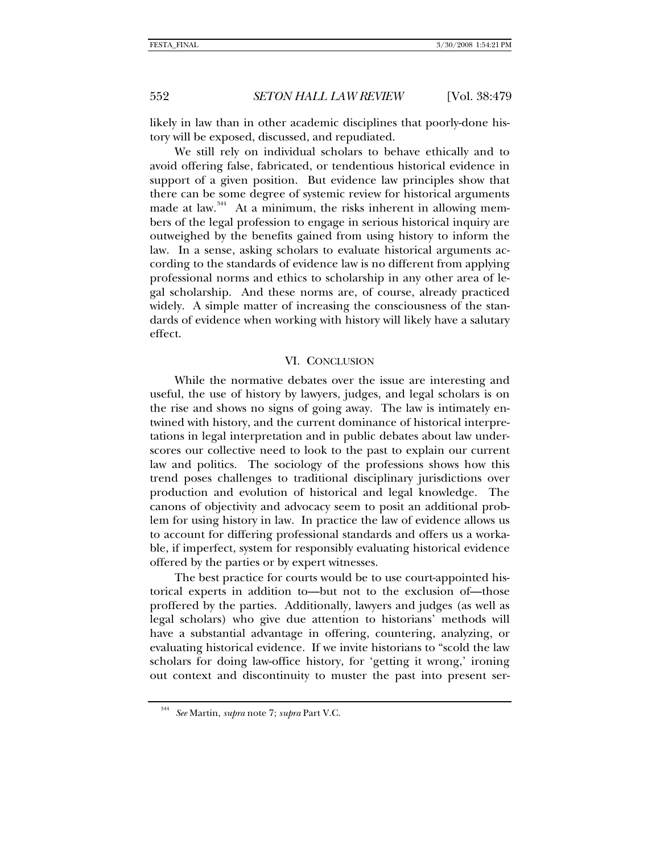552 *SETON HALL LAW REVIEW* [Vol. 38:479

likely in law than in other academic disciplines that poorly-done history will be exposed, discussed, and repudiated.

We still rely on individual scholars to behave ethically and to avoid offering false, fabricated, or tendentious historical evidence in support of a given position. But evidence law principles show that there can be some degree of systemic review for historical arguments made at law.<sup>[344](#page-73-0)</sup> At a minimum, the risks inherent in allowing members of the legal profession to engage in serious historical inquiry are outweighed by the benefits gained from using history to inform the law. In a sense, asking scholars to evaluate historical arguments according to the standards of evidence law is no different from applying professional norms and ethics to scholarship in any other area of legal scholarship. And these norms are, of course, already practiced widely. A simple matter of increasing the consciousness of the standards of evidence when working with history will likely have a salutary effect.

# VI. CONCLUSION

While the normative debates over the issue are interesting and useful, the use of history by lawyers, judges, and legal scholars is on the rise and shows no signs of going away. The law is intimately entwined with history, and the current dominance of historical interpretations in legal interpretation and in public debates about law underscores our collective need to look to the past to explain our current law and politics. The sociology of the professions shows how this trend poses challenges to traditional disciplinary jurisdictions over production and evolution of historical and legal knowledge. The canons of objectivity and advocacy seem to posit an additional problem for using history in law. In practice the law of evidence allows us to account for differing professional standards and offers us a workable, if imperfect, system for responsibly evaluating historical evidence offered by the parties or by expert witnesses.

The best practice for courts would be to use court-appointed historical experts in addition to—but not to the exclusion of—those proffered by the parties. Additionally, lawyers and judges (as well as legal scholars) who give due attention to historians' methods will have a substantial advantage in offering, countering, analyzing, or evaluating historical evidence. If we invite historians to "scold the law scholars for doing law-office history, for 'getting it wrong,' ironing out context and discontinuity to muster the past into present ser-

<span id="page-73-0"></span><sup>344</sup> *See* Martin, *supra* note 7; *supra* Part V.C.